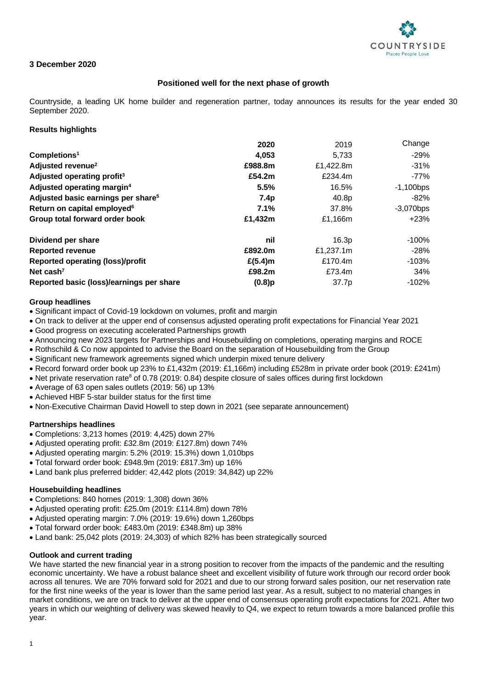

# **3 December 2020**

# **Positioned well for the next phase of growth**

Countryside, a leading UK home builder and regeneration partner, today announces its results for the year ended 30 September 2020.

# **Results highlights**

|                                                | 2020             | 2019              | Change       |
|------------------------------------------------|------------------|-------------------|--------------|
| Completions <sup>1</sup>                       | 4,053            | 5.733             | $-29%$       |
| Adjusted revenue <sup>2</sup>                  | £988.8m          | £1,422.8m         | $-31%$       |
| Adjusted operating profit <sup>3</sup>         | £54.2m           | £234.4m           | -77%         |
| Adjusted operating margin <sup>4</sup>         | 5.5%             | 16.5%             | $-1,100$ bps |
| Adjusted basic earnings per share <sup>5</sup> | 7.4 <sub>p</sub> | 40.8 <sub>p</sub> | -82%         |
| Return on capital employed <sup>6</sup>        | 7.1%             | 37.8%             | $-3,070$ bps |
| Group total forward order book                 | £1,432m          | £1,166m           | $+23%$       |
| Dividend per share                             | nil              | 16.3p             | $-100%$      |
| <b>Reported revenue</b>                        | £892.0m          | £1,237.1m         | $-28%$       |
| <b>Reported operating (loss)/profit</b>        | $£(5.4)$ m       | £170.4m           | $-103%$      |
| Net cash <sup>7</sup>                          | £98.2m           | £73.4m            | 34%          |
| Reported basic (loss)/earnings per share       | $(0.8)$ p        | 37.7p             | $-102%$      |

#### **Group headlines**

- Significant impact of Covid-19 lockdown on volumes, profit and margin
- On track to deliver at the upper end of consensus adjusted operating profit expectations for Financial Year 2021
- Good progress on executing accelerated Partnerships growth
- Announcing new 2023 targets for Partnerships and Housebuilding on completions, operating margins and ROCE
- Rothschild & Co now appointed to advise the Board on the separation of Housebuilding from the Group
- Significant new framework agreements signed which underpin mixed tenure delivery
- Record forward order book up 23% to £1,432m (2019: £1,166m) including £528m in private order book (2019: £241m)
- Net private reservation rate<sup>8</sup> of 0.78 (2019: 0.84) despite closure of sales offices during first lockdown
- Average of 63 open sales outlets (2019: 56) up 13%
- Achieved HBF 5-star builder status for the first time
- Non-Executive Chairman David Howell to step down in 2021 (see separate announcement)

# **Partnerships headlines**

- Completions: 3,213 homes (2019: 4,425) down 27%
- Adjusted operating profit: £32.8m (2019: £127.8m) down 74%
- Adjusted operating margin: 5.2% (2019: 15.3%) down 1,010bps
- Total forward order book: £948.9m (2019: £817.3m) up 16%
- Land bank plus preferred bidder: 42,442 plots (2019: 34,842) up 22%

# **Housebuilding headlines**

- Completions: 840 homes (2019: 1,308) down 36%
- Adjusted operating profit: £25.0m (2019: £114.8m) down 78%
- Adjusted operating margin: 7.0% (2019: 19.6%) down 1,260bps
- Total forward order book: £483.0m (2019: £348.8m) up 38%
- Land bank: 25,042 plots (2019: 24,303) of which 82% has been strategically sourced

# **Outlook and current trading**

We have started the new financial year in a strong position to recover from the impacts of the pandemic and the resulting economic uncertainty. We have a robust balance sheet and excellent visibility of future work through our record order book across all tenures. We are 70% forward sold for 2021 and due to our strong forward sales position, our net reservation rate for the first nine weeks of the year is lower than the same period last year. As a result, subject to no material changes in market conditions, we are on track to deliver at the upper end of consensus operating profit expectations for 2021. After two years in which our weighting of delivery was skewed heavily to Q4, we expect to return towards a more balanced profile this year.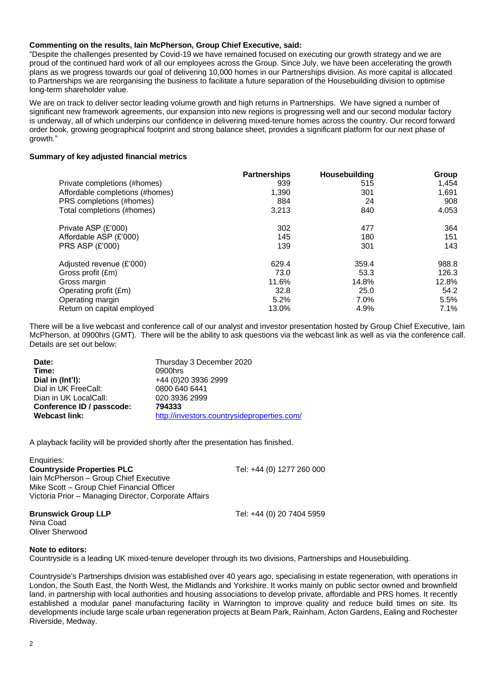# **Commenting on the results, Iain McPherson, Group Chief Executive, said:**

"Despite the challenges presented by Covid-19 we have remained focused on executing our growth strategy and we are proud of the continued hard work of all our employees across the Group. Since July, we have been accelerating the growth plans as we progress towards our goal of delivering 10,000 homes in our Partnerships division. As more capital is allocated to Partnerships we are reorganising the business to facilitate a future separation of the Housebuilding division to optimise long-term shareholder value.

We are on track to deliver sector leading volume growth and high returns in Partnerships. We have signed a number of significant new framework agreements, our expansion into new regions is progressing well and our second modular factory is underway, all of which underpins our confidence in delivering mixed-tenure homes across the country. Our record forward order book, growing geographical footprint and strong balance sheet, provides a significant platform for our next phase of growth."

# **Summary of key adjusted financial metrics**

|                                 | <b>Partnerships</b> | Housebuilding | Group |
|---------------------------------|---------------------|---------------|-------|
| Private completions (#homes)    | 939                 | 515           | 1.454 |
| Affordable completions (#homes) | 1.390               | 301           | 1.691 |
| PRS completions (#homes)        | 884                 | 24            | 908   |
| Total completions (#homes)      | 3,213               | 840           | 4,053 |
| Private ASP (£'000)             | 302                 | 477           | 364   |
| Affordable ASP (£'000)          | 145                 | 180           | 151   |
| <b>PRS ASP (£'000)</b>          | 139                 | 301           | 143   |
| Adjusted revenue (£'000)        | 629.4               | 359.4         | 988.8 |
| Gross profit (£m)               | 73.0                | 53.3          | 126.3 |
| Gross margin                    | 11.6%               | 14.8%         | 12.8% |
| Operating profit (£m)           | 32.8                | 25.0          | 54.2  |
| Operating margin                | 5.2%                | 7.0%          | 5.5%  |
| Return on capital employed      | 13.0%               | 4.9%          | 7.1%  |

There will be a live webcast and conference call of our analyst and investor presentation hosted by Group Chief Executive, Iain McPherson, at 0900hrs (GMT). There will be the ability to ask questions via the webcast link as well as via the conference call. Details are set out below:

| Date:                     | Thursday 3 December 2020                    |
|---------------------------|---------------------------------------------|
| Time:                     | 0900hrs                                     |
| Dial in (Int'l):          | +44 (0)20 3936 2999                         |
| Dial in UK FreeCall:      | 0800 640 6441                               |
| Dian in UK LocalCall:     | 020 3936 2999                               |
| Conference ID / passcode: | 794333                                      |
| <b>Webcast link:</b>      | http://investors.countrysideproperties.com/ |

A playback facility will be provided shortly after the presentation has finished.

Enquiries: **Countryside Properties PLC** Tel: +44 (0) 1277 260 000 Iain McPherson – Group Chief Executive Mike Scott – Group Chief Financial Officer Victoria Prior – Managing Director, Corporate Affairs

Nina Coad Oliver Sherwood

**Brunswick Group LLP** Tel: +44 (0) 20 7404 5959

# **Note to editors:**

Countryside is a leading UK mixed-tenure developer through its two divisions, Partnerships and Housebuilding.

Countryside's Partnerships division was established over 40 years ago, specialising in estate regeneration, with operations in London, the South East, the North West, the Midlands and Yorkshire. It works mainly on public sector owned and brownfield land, in partnership with local authorities and housing associations to develop private, affordable and PRS homes. It recently established a modular panel manufacturing facility in Warrington to improve quality and reduce build times on site. Its developments include large scale urban regeneration projects at Beam Park, Rainham, Acton Gardens, Ealing and Rochester Riverside, Medway.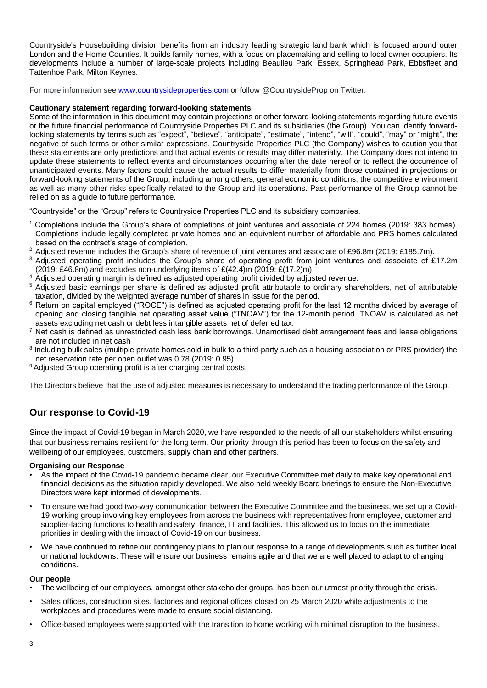Countryside's Housebuilding division benefits from an industry leading strategic land bank which is focused around outer London and the Home Counties. It builds family homes, with a focus on placemaking and selling to local owner occupiers. Its developments include a number of large-scale projects including Beaulieu Park, Essex, Springhead Park, Ebbsfleet and Tattenhoe Park, Milton Keynes.

For more information see [www.countrysideproperties.com](http://www.countrysideproperties.com/) or follow @CountrysideProp on Twitter.

# **Cautionary statement regarding forward-looking statements**

Some of the information in this document may contain projections or other forward-looking statements regarding future events or the future financial performance of Countryside Properties PLC and its subsidiaries (the Group). You can identify forwardlooking statements by terms such as "expect", "believe", "anticipate", "estimate", "intend", "will", "could", "may" or "might", the negative of such terms or other similar expressions. Countryside Properties PLC (the Company) wishes to caution you that these statements are only predictions and that actual events or results may differ materially. The Company does not intend to update these statements to reflect events and circumstances occurring after the date hereof or to reflect the occurrence of unanticipated events. Many factors could cause the actual results to differ materially from those contained in projections or forward-looking statements of the Group, including among others, general economic conditions, the competitive environment as well as many other risks specifically related to the Group and its operations. Past performance of the Group cannot be relied on as a guide to future performance.

"Countryside" or the "Group" refers to Countryside Properties PLC and its subsidiary companies.

- $1$  Completions include the Group's share of completions of joint ventures and associate of 224 homes (2019: 383 homes). Completions include legally completed private homes and an equivalent number of affordable and PRS homes calculated based on the contract's stage of completion.
- <sup>2</sup> Adjusted revenue includes the Group's share of revenue of joint ventures and associate of £96.8m (2019: £185.7m).
- <sup>3</sup> Adjusted operating profit includes the Group's share of operating profit from joint ventures and associate of £17.2m (2019: £46.8m) and excludes non-underlying items of  $E(42.4)$ m (2019:  $E(17.2)$ m).
- <sup>4</sup> Adjusted operating margin is defined as adjusted operating profit divided by adjusted revenue.
- <sup>5</sup> Adjusted basic earnings per share is defined as adjusted profit attributable to ordinary shareholders, net of attributable taxation, divided by the weighted average number of shares in issue for the period.
- <sup>6</sup> Return on capital employed ("ROCE") is defined as adjusted operating profit for the last 12 months divided by average of opening and closing tangible net operating asset value ("TNOAV") for the 12-month period. TNOAV is calculated as net assets excluding net cash or debt less intangible assets net of deferred tax.
- <sup>7</sup> Net cash is defined as unrestricted cash less bank borrowings. Unamortised debt arrangement fees and lease obligations are not included in net cash
- <sup>8</sup> Including bulk sales (multiple private homes sold in bulk to a third-party such as a housing association or PRS provider) the net reservation rate per open outlet was 0.78 (2019: 0.95)
- <sup>9</sup> Adjusted Group operating profit is after charging central costs.

The Directors believe that the use of adjusted measures is necessary to understand the trading performance of the Group.

# **Our response to Covid-19**

Since the impact of Covid-19 began in March 2020, we have responded to the needs of all our stakeholders whilst ensuring that our business remains resilient for the long term. Our priority through this period has been to focus on the safety and wellbeing of our employees, customers, supply chain and other partners.

# **Organising our Response**

- As the impact of the Covid-19 pandemic became clear, our Executive Committee met daily to make key operational and financial decisions as the situation rapidly developed. We also held weekly Board briefings to ensure the Non-Executive Directors were kept informed of developments.
- To ensure we had good two-way communication between the Executive Committee and the business, we set up a Covid-19 working group involving key employees from across the business with representatives from employee, customer and supplier-facing functions to health and safety, finance, IT and facilities. This allowed us to focus on the immediate priorities in dealing with the impact of Covid-19 on our business.
- We have continued to refine our contingency plans to plan our response to a range of developments such as further local or national lockdowns. These will ensure our business remains agile and that we are well placed to adapt to changing conditions.

# **Our people**

- The wellbeing of our employees, amongst other stakeholder groups, has been our utmost priority through the crisis.
- Sales offices, construction sites, factories and regional offices closed on 25 March 2020 while adjustments to the workplaces and procedures were made to ensure social distancing.
- Office-based employees were supported with the transition to home working with minimal disruption to the business.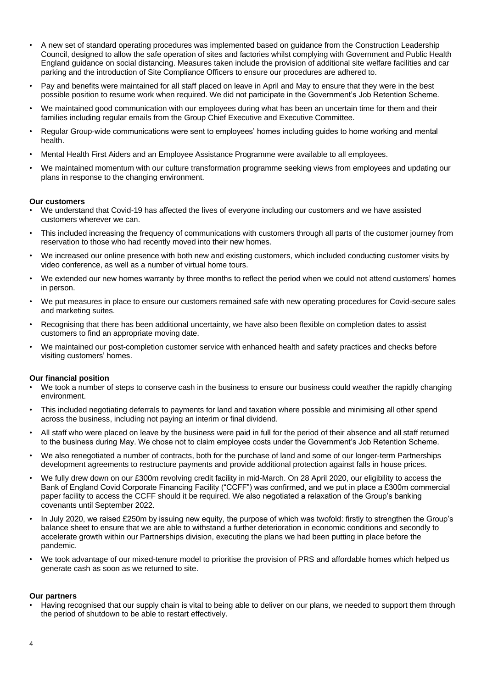- A new set of standard operating procedures was implemented based on guidance from the Construction Leadership Council, designed to allow the safe operation of sites and factories whilst complying with Government and Public Health England guidance on social distancing. Measures taken include the provision of additional site welfare facilities and car parking and the introduction of Site Compliance Officers to ensure our procedures are adhered to.
- Pay and benefits were maintained for all staff placed on leave in April and May to ensure that they were in the best possible position to resume work when required. We did not participate in the Government's Job Retention Scheme.
- We maintained good communication with our employees during what has been an uncertain time for them and their families including regular emails from the Group Chief Executive and Executive Committee.
- Regular Group-wide communications were sent to employees' homes including guides to home working and mental health.
- Mental Health First Aiders and an Employee Assistance Programme were available to all employees.
- We maintained momentum with our culture transformation programme seeking views from employees and updating our plans in response to the changing environment.

#### **Our customers**

- We understand that Covid-19 has affected the lives of everyone including our customers and we have assisted customers wherever we can.
- This included increasing the frequency of communications with customers through all parts of the customer journey from reservation to those who had recently moved into their new homes.
- We increased our online presence with both new and existing customers, which included conducting customer visits by video conference, as well as a number of virtual home tours.
- We extended our new homes warranty by three months to reflect the period when we could not attend customers' homes in person.
- We put measures in place to ensure our customers remained safe with new operating procedures for Covid-secure sales and marketing suites.
- Recognising that there has been additional uncertainty, we have also been flexible on completion dates to assist customers to find an appropriate moving date.
- We maintained our post-completion customer service with enhanced health and safety practices and checks before visiting customers' homes.

#### **Our financial position**

- We took a number of steps to conserve cash in the business to ensure our business could weather the rapidly changing environment.
- This included negotiating deferrals to payments for land and taxation where possible and minimising all other spend across the business, including not paying an interim or final dividend.
- All staff who were placed on leave by the business were paid in full for the period of their absence and all staff returned to the business during May. We chose not to claim employee costs under the Government's Job Retention Scheme.
- We also renegotiated a number of contracts, both for the purchase of land and some of our longer-term Partnerships development agreements to restructure payments and provide additional protection against falls in house prices.
- We fully drew down on our £300m revolving credit facility in mid-March. On 28 April 2020, our eligibility to access the Bank of England Covid Corporate Financing Facility ("CCFF") was confirmed, and we put in place a £300m commercial paper facility to access the CCFF should it be required. We also negotiated a relaxation of the Group's banking covenants until September 2022.
- In July 2020, we raised £250m by issuing new equity, the purpose of which was twofold: firstly to strengthen the Group's balance sheet to ensure that we are able to withstand a further deterioration in economic conditions and secondly to accelerate growth within our Partnerships division, executing the plans we had been putting in place before the pandemic.
- We took advantage of our mixed-tenure model to prioritise the provision of PRS and affordable homes which helped us generate cash as soon as we returned to site.

# **Our partners**

• Having recognised that our supply chain is vital to being able to deliver on our plans, we needed to support them through the period of shutdown to be able to restart effectively.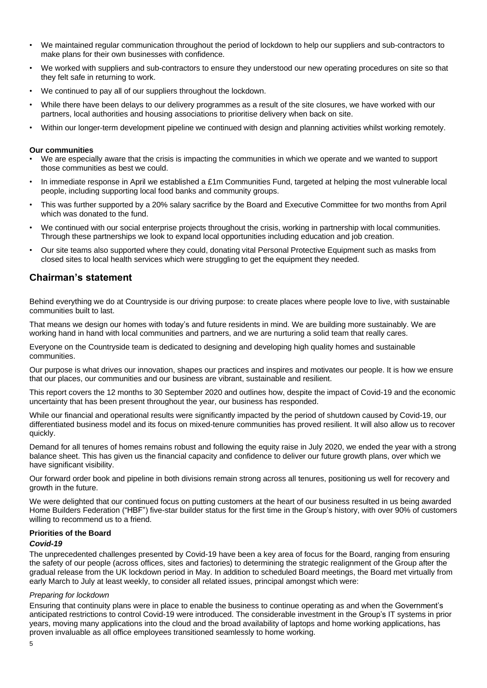- We maintained regular communication throughout the period of lockdown to help our suppliers and sub-contractors to make plans for their own businesses with confidence.
- We worked with suppliers and sub-contractors to ensure they understood our new operating procedures on site so that they felt safe in returning to work.
- We continued to pay all of our suppliers throughout the lockdown.
- While there have been delays to our delivery programmes as a result of the site closures, we have worked with our partners, local authorities and housing associations to prioritise delivery when back on site.
- Within our longer-term development pipeline we continued with design and planning activities whilst working remotely.

# **Our communities**

- We are especially aware that the crisis is impacting the communities in which we operate and we wanted to support those communities as best we could.
- In immediate response in April we established a £1m Communities Fund, targeted at helping the most vulnerable local people, including supporting local food banks and community groups.
- This was further supported by a 20% salary sacrifice by the Board and Executive Committee for two months from April which was donated to the fund.
- We continued with our social enterprise projects throughout the crisis, working in partnership with local communities. Through these partnerships we look to expand local opportunities including education and job creation.
- Our site teams also supported where they could, donating vital Personal Protective Equipment such as masks from closed sites to local health services which were struggling to get the equipment they needed.

# **Chairman's statement**

Behind everything we do at Countryside is our driving purpose: to create places where people love to live, with sustainable communities built to last.

That means we design our homes with today's and future residents in mind. We are building more sustainably. We are working hand in hand with local communities and partners, and we are nurturing a solid team that really cares.

Everyone on the Countryside team is dedicated to designing and developing high quality homes and sustainable communities.

Our purpose is what drives our innovation, shapes our practices and inspires and motivates our people. It is how we ensure that our places, our communities and our business are vibrant, sustainable and resilient.

This report covers the 12 months to 30 September 2020 and outlines how, despite the impact of Covid-19 and the economic uncertainty that has been present throughout the year, our business has responded.

While our financial and operational results were significantly impacted by the period of shutdown caused by Covid-19, our differentiated business model and its focus on mixed-tenure communities has proved resilient. It will also allow us to recover quickly.

Demand for all tenures of homes remains robust and following the equity raise in July 2020, we ended the year with a strong balance sheet. This has given us the financial capacity and confidence to deliver our future growth plans, over which we have significant visibility.

Our forward order book and pipeline in both divisions remain strong across all tenures, positioning us well for recovery and growth in the future.

We were delighted that our continued focus on putting customers at the heart of our business resulted in us being awarded Home Builders Federation ("HBF") five-star builder status for the first time in the Group's history, with over 90% of customers willing to recommend us to a friend.

# **Priorities of the Board**

# *Covid-19*

The unprecedented challenges presented by Covid-19 have been a key area of focus for the Board, ranging from ensuring the safety of our people (across offices, sites and factories) to determining the strategic realignment of the Group after the gradual release from the UK lockdown period in May. In addition to scheduled Board meetings, the Board met virtually from early March to July at least weekly, to consider all related issues, principal amongst which were:

# *Preparing for lockdown*

Ensuring that continuity plans were in place to enable the business to continue operating as and when the Government's anticipated restrictions to control Covid-19 were introduced. The considerable investment in the Group's IT systems in prior years, moving many applications into the cloud and the broad availability of laptops and home working applications, has proven invaluable as all office employees transitioned seamlessly to home working.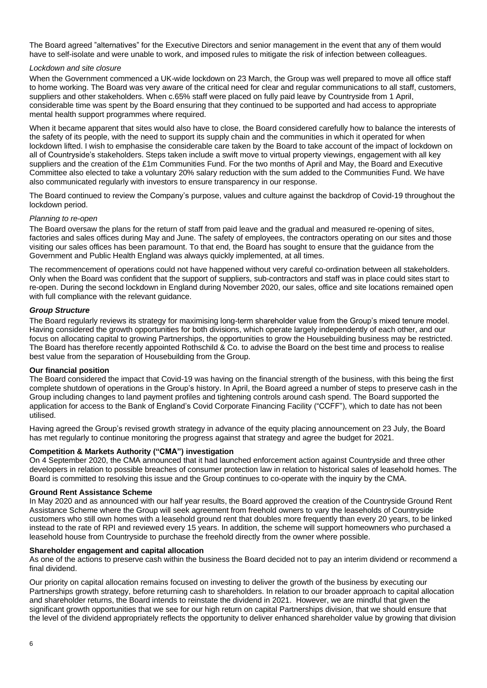The Board agreed "alternatives" for the Executive Directors and senior management in the event that any of them would have to self-isolate and were unable to work, and imposed rules to mitigate the risk of infection between colleagues.

# *Lockdown and site closure*

When the Government commenced a UK-wide lockdown on 23 March, the Group was well prepared to move all office staff to home working. The Board was very aware of the critical need for clear and regular communications to all staff, customers, suppliers and other stakeholders. When c.65% staff were placed on fully paid leave by Countryside from 1 April, considerable time was spent by the Board ensuring that they continued to be supported and had access to appropriate mental health support programmes where required.

When it became apparent that sites would also have to close, the Board considered carefully how to balance the interests of the safety of its people, with the need to support its supply chain and the communities in which it operated for when lockdown lifted. I wish to emphasise the considerable care taken by the Board to take account of the impact of lockdown on all of Countryside's stakeholders. Steps taken include a swift move to virtual property viewings, engagement with all key suppliers and the creation of the £1m Communities Fund. For the two months of April and May, the Board and Executive Committee also elected to take a voluntary 20% salary reduction with the sum added to the Communities Fund. We have also communicated regularly with investors to ensure transparency in our response.

The Board continued to review the Company's purpose, values and culture against the backdrop of Covid-19 throughout the lockdown period.

# *Planning to re-open*

The Board oversaw the plans for the return of staff from paid leave and the gradual and measured re-opening of sites, factories and sales offices during May and June. The safety of employees, the contractors operating on our sites and those visiting our sales offices has been paramount. To that end, the Board has sought to ensure that the guidance from the Government and Public Health England was always quickly implemented, at all times.

The recommencement of operations could not have happened without very careful co-ordination between all stakeholders. Only when the Board was confident that the support of suppliers, sub-contractors and staff was in place could sites start to re-open. During the second lockdown in England during November 2020, our sales, office and site locations remained open with full compliance with the relevant quidance.

# *Group Structure*

The Board regularly reviews its strategy for maximising long-term shareholder value from the Group's mixed tenure model. Having considered the growth opportunities for both divisions, which operate largely independently of each other, and our focus on allocating capital to growing Partnerships, the opportunities to grow the Housebuilding business may be restricted. The Board has therefore recently appointed Rothschild & Co. to advise the Board on the best time and process to realise best value from the separation of Housebuilding from the Group.

# **Our financial position**

The Board considered the impact that Covid-19 was having on the financial strength of the business, with this being the first complete shutdown of operations in the Group's history. In April, the Board agreed a number of steps to preserve cash in the Group including changes to land payment profiles and tightening controls around cash spend. The Board supported the application for access to the Bank of England's Covid Corporate Financing Facility ("CCFF"), which to date has not been utilised.

Having agreed the Group's revised growth strategy in advance of the equity placing announcement on 23 July, the Board has met regularly to continue monitoring the progress against that strategy and agree the budget for 2021.

# **Competition & Markets Authority ("CMA") investigation**

On 4 September 2020, the CMA announced that it had launched enforcement action against Countryside and three other developers in relation to possible breaches of consumer protection law in relation to historical sales of leasehold homes. The Board is committed to resolving this issue and the Group continues to co-operate with the inquiry by the CMA.

# **Ground Rent Assistance Scheme**

In May 2020 and as announced with our half year results, the Board approved the creation of the Countryside Ground Rent Assistance Scheme where the Group will seek agreement from freehold owners to vary the leaseholds of Countryside customers who still own homes with a leasehold ground rent that doubles more frequently than every 20 years, to be linked instead to the rate of RPI and reviewed every 15 years. In addition, the scheme will support homeowners who purchased a leasehold house from Countryside to purchase the freehold directly from the owner where possible.

# **Shareholder engagement and capital allocation**

As one of the actions to preserve cash within the business the Board decided not to pay an interim dividend or recommend a final dividend.

Our priority on capital allocation remains focused on investing to deliver the growth of the business by executing our Partnerships growth strategy, before returning cash to shareholders. In relation to our broader approach to capital allocation and shareholder returns, the Board intends to reinstate the dividend in 2021. However, we are mindful that given the significant growth opportunities that we see for our high return on capital Partnerships division, that we should ensure that the level of the dividend appropriately reflects the opportunity to deliver enhanced shareholder value by growing that division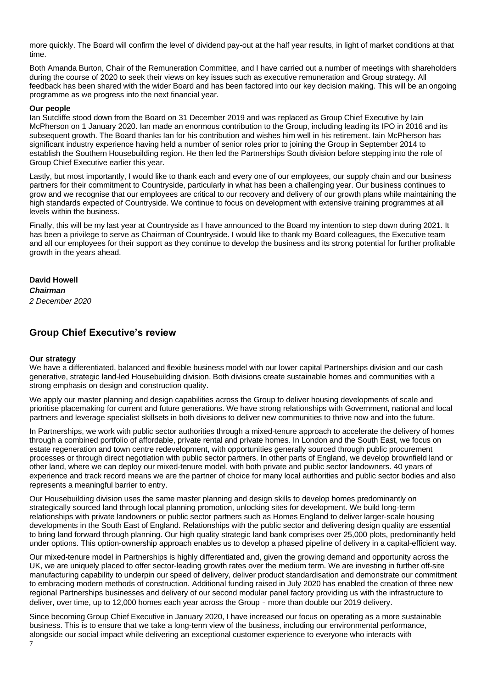more quickly. The Board will confirm the level of dividend pay-out at the half year results, in light of market conditions at that time.

Both Amanda Burton, Chair of the Remuneration Committee, and I have carried out a number of meetings with shareholders during the course of 2020 to seek their views on key issues such as executive remuneration and Group strategy. All feedback has been shared with the wider Board and has been factored into our key decision making. This will be an ongoing programme as we progress into the next financial year.

# **Our people**

Ian Sutcliffe stood down from the Board on 31 December 2019 and was replaced as Group Chief Executive by Iain McPherson on 1 January 2020. Ian made an enormous contribution to the Group, including leading its IPO in 2016 and its subsequent growth. The Board thanks Ian for his contribution and wishes him well in his retirement. Iain McPherson has significant industry experience having held a number of senior roles prior to joining the Group in September 2014 to establish the Southern Housebuilding region. He then led the Partnerships South division before stepping into the role of Group Chief Executive earlier this year.

Lastly, but most importantly, I would like to thank each and every one of our employees, our supply chain and our business partners for their commitment to Countryside, particularly in what has been a challenging year. Our business continues to grow and we recognise that our employees are critical to our recovery and delivery of our growth plans while maintaining the high standards expected of Countryside. We continue to focus on development with extensive training programmes at all levels within the business.

Finally, this will be my last year at Countryside as I have announced to the Board my intention to step down during 2021. It has been a privilege to serve as Chairman of Countryside. I would like to thank my Board colleagues, the Executive team and all our employees for their support as they continue to develop the business and its strong potential for further profitable growth in the years ahead.

**David Howell** *Chairman 2 December 2020*

# **Group Chief Executive's review**

# **Our strategy**

We have a differentiated, balanced and flexible business model with our lower capital Partnerships division and our cash generative, strategic land-led Housebuilding division. Both divisions create sustainable homes and communities with a strong emphasis on design and construction quality.

We apply our master planning and design capabilities across the Group to deliver housing developments of scale and prioritise placemaking for current and future generations. We have strong relationships with Government, national and local partners and leverage specialist skillsets in both divisions to deliver new communities to thrive now and into the future.

In Partnerships, we work with public sector authorities through a mixed-tenure approach to accelerate the delivery of homes through a combined portfolio of affordable, private rental and private homes. In London and the South East, we focus on estate regeneration and town centre redevelopment, with opportunities generally sourced through public procurement processes or through direct negotiation with public sector partners. In other parts of England, we develop brownfield land or other land, where we can deploy our mixed-tenure model, with both private and public sector landowners. 40 years of experience and track record means we are the partner of choice for many local authorities and public sector bodies and also represents a meaningful barrier to entry.

Our Housebuilding division uses the same master planning and design skills to develop homes predominantly on strategically sourced land through local planning promotion, unlocking sites for development. We build long-term relationships with private landowners or public sector partners such as Homes England to deliver larger-scale housing developments in the South East of England. Relationships with the public sector and delivering design quality are essential to bring land forward through planning. Our high quality strategic land bank comprises over 25,000 plots, predominantly held under options. This option-ownership approach enables us to develop a phased pipeline of delivery in a capital-efficient way.

Our mixed-tenure model in Partnerships is highly differentiated and, given the growing demand and opportunity across the UK, we are uniquely placed to offer sector-leading growth rates over the medium term. We are investing in further off-site manufacturing capability to underpin our speed of delivery, deliver product standardisation and demonstrate our commitment to embracing modern methods of construction. Additional funding raised in July 2020 has enabled the creation of three new regional Partnerships businesses and delivery of our second modular panel factory providing us with the infrastructure to deliver, over time, up to 12,000 homes each year across the Group – more than double our 2019 delivery.

Since becoming Group Chief Executive in January 2020, I have increased our focus on operating as a more sustainable business. This is to ensure that we take a long-term view of the business, including our environmental performance, alongside our social impact while delivering an exceptional customer experience to everyone who interacts with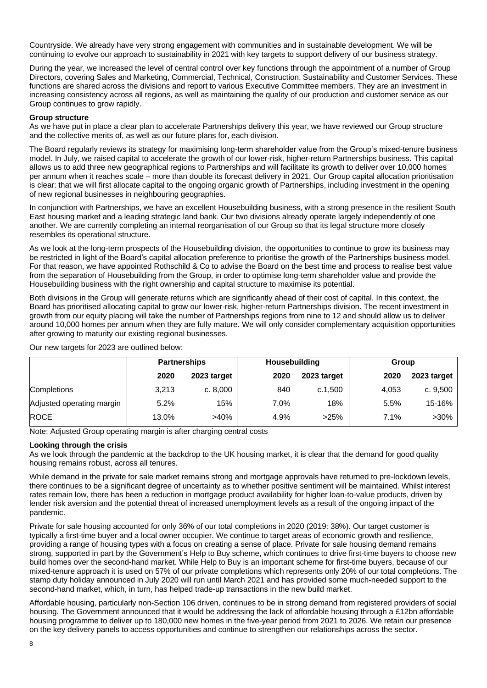Countryside. We already have very strong engagement with communities and in sustainable development. We will be continuing to evolve our approach to sustainability in 2021 with key targets to support delivery of our business strategy.

During the year, we increased the level of central control over key functions through the appointment of a number of Group Directors, covering Sales and Marketing, Commercial, Technical, Construction, Sustainability and Customer Services. These functions are shared across the divisions and report to various Executive Committee members. They are an investment in increasing consistency across all regions, as well as maintaining the quality of our production and customer service as our Group continues to grow rapidly.

# **Group structure**

As we have put in place a clear plan to accelerate Partnerships delivery this year, we have reviewed our Group structure and the collective merits of, as well as our future plans for, each division.

The Board regularly reviews its strategy for maximising long-term shareholder value from the Group's mixed-tenure business model. In July, we raised capital to accelerate the growth of our lower-risk, higher-return Partnerships business. This capital allows us to add three new geographical regions to Partnerships and will facilitate its growth to deliver over 10,000 homes per annum when it reaches scale – more than double its forecast delivery in 2021. Our Group capital allocation prioritisation is clear: that we will first allocate capital to the ongoing organic growth of Partnerships, including investment in the opening of new regional businesses in neighbouring geographies.

In conjunction with Partnerships, we have an excellent Housebuilding business, with a strong presence in the resilient South East housing market and a leading strategic land bank. Our two divisions already operate largely independently of one another. We are currently completing an internal reorganisation of our Group so that its legal structure more closely resembles its operational structure.

As we look at the long-term prospects of the Housebuilding division, the opportunities to continue to grow its business may be restricted in light of the Board's capital allocation preference to prioritise the growth of the Partnerships business model. For that reason, we have appointed Rothschild & Co to advise the Board on the best time and process to realise best value from the separation of Housebuilding from the Group, in order to optimise long-term shareholder value and provide the Housebuilding business with the right ownership and capital structure to maximise its potential.

Both divisions in the Group will generate returns which are significantly ahead of their cost of capital. In this context, the Board has prioritised allocating capital to grow our lower-risk, higher-return Partnerships division. The recent investment in growth from our equity placing will take the number of Partnerships regions from nine to 12 and should allow us to deliver around 10,000 homes per annum when they are fully mature. We will only consider complementary acquisition opportunities after growing to maturity our existing regional businesses.

Our new targets for 2023 are outlined below:

|                           |       | <b>Partnerships</b> | Housebuilding |             | Group |             |
|---------------------------|-------|---------------------|---------------|-------------|-------|-------------|
|                           | 2020  | 2023 target         | 2020          | 2023 target | 2020  | 2023 target |
| Completions               | 3.213 | c. 8.000            | 840           | c.1,500     | 4.053 | c.9,500     |
| Adjusted operating margin | 5.2%  | 15%                 | 7.0%          | 18%         | 5.5%  | 15-16%      |
| <b>ROCE</b>               | 13.0% | $>40\%$             | 4.9%          | $>25\%$     | 7.1%  | >30%        |

Note: Adjusted Group operating margin is after charging central costs

# **Looking through the crisis**

As we look through the pandemic at the backdrop to the UK housing market, it is clear that the demand for good quality housing remains robust, across all tenures.

While demand in the private for sale market remains strong and mortgage approvals have returned to pre-lockdown levels, there continues to be a significant degree of uncertainty as to whether positive sentiment will be maintained. Whilst interest rates remain low, there has been a reduction in mortgage product availability for higher loan-to-value products, driven by lender risk aversion and the potential threat of increased unemployment levels as a result of the ongoing impact of the pandemic.

Private for sale housing accounted for only 36% of our total completions in 2020 (2019: 38%). Our target customer is typically a first-time buyer and a local owner occupier. We continue to target areas of economic growth and resilience, providing a range of housing types with a focus on creating a sense of place. Private for sale housing demand remains strong, supported in part by the Government's Help to Buy scheme, which continues to drive first-time buyers to choose new build homes over the second-hand market. While Help to Buy is an important scheme for first-time buyers, because of our mixed-tenure approach it is used on 57% of our private completions which represents only 20% of our total completions. The stamp duty holiday announced in July 2020 will run until March 2021 and has provided some much-needed support to the second-hand market, which, in turn, has helped trade-up transactions in the new build market.

Affordable housing, particularly non-Section 106 driven, continues to be in strong demand from registered providers of social housing. The Government announced that it would be addressing the lack of affordable housing through a £12bn affordable housing programme to deliver up to 180,000 new homes in the five-year period from 2021 to 2026. We retain our presence on the key delivery panels to access opportunities and continue to strengthen our relationships across the sector.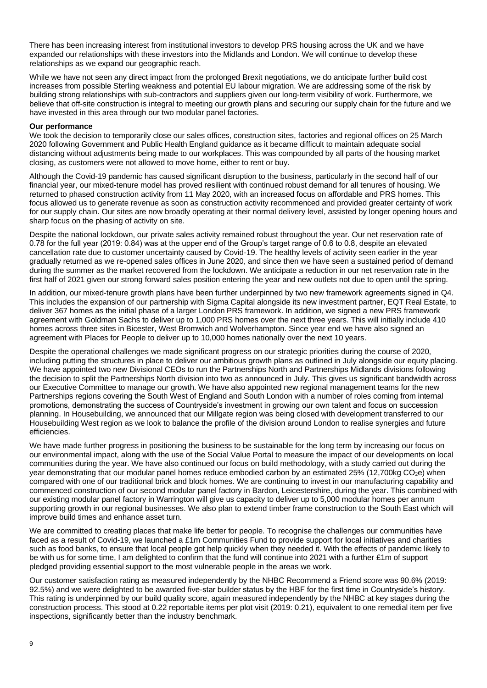There has been increasing interest from institutional investors to develop PRS housing across the UK and we have expanded our relationships with these investors into the Midlands and London. We will continue to develop these relationships as we expand our geographic reach.

While we have not seen any direct impact from the prolonged Brexit negotiations, we do anticipate further build cost increases from possible Sterling weakness and potential EU labour migration. We are addressing some of the risk by building strong relationships with sub-contractors and suppliers given our long-term visibility of work. Furthermore, we believe that off-site construction is integral to meeting our growth plans and securing our supply chain for the future and we have invested in this area through our two modular panel factories.

# **Our performance**

We took the decision to temporarily close our sales offices, construction sites, factories and regional offices on 25 March 2020 following Government and Public Health England guidance as it became difficult to maintain adequate social distancing without adjustments being made to our workplaces. This was compounded by all parts of the housing market closing, as customers were not allowed to move home, either to rent or buy.

Although the Covid-19 pandemic has caused significant disruption to the business, particularly in the second half of our financial year, our mixed-tenure model has proved resilient with continued robust demand for all tenures of housing. We returned to phased construction activity from 11 May 2020, with an increased focus on affordable and PRS homes. This focus allowed us to generate revenue as soon as construction activity recommenced and provided greater certainty of work for our supply chain. Our sites are now broadly operating at their normal delivery level, assisted by longer opening hours and sharp focus on the phasing of activity on site.

Despite the national lockdown, our private sales activity remained robust throughout the year. Our net reservation rate of 0.78 for the full year (2019: 0.84) was at the upper end of the Group's target range of 0.6 to 0.8, despite an elevated cancellation rate due to customer uncertainty caused by Covid-19. The healthy levels of activity seen earlier in the year gradually returned as we re-opened sales offices in June 2020, and since then we have seen a sustained period of demand during the summer as the market recovered from the lockdown. We anticipate a reduction in our net reservation rate in the first half of 2021 given our strong forward sales position entering the year and new outlets not due to open until the spring.

In addition, our mixed-tenure growth plans have been further underpinned by two new framework agreements signed in Q4. This includes the expansion of our partnership with Sigma Capital alongside its new investment partner, EQT Real Estate, to deliver 367 homes as the initial phase of a larger London PRS framework. In addition, we signed a new PRS framework agreement with Goldman Sachs to deliver up to 1,000 PRS homes over the next three years. This will initially include 410 homes across three sites in Bicester, West Bromwich and Wolverhampton. Since year end we have also signed an agreement with Places for People to deliver up to 10,000 homes nationally over the next 10 years.

Despite the operational challenges we made significant progress on our strategic priorities during the course of 2020, including putting the structures in place to deliver our ambitious growth plans as outlined in July alongside our equity placing. We have appointed two new Divisional CEOs to run the Partnerships North and Partnerships Midlands divisions following the decision to split the Partnerships North division into two as announced in July. This gives us significant bandwidth across our Executive Committee to manage our growth. We have also appointed new regional management teams for the new Partnerships regions covering the South West of England and South London with a number of roles coming from internal promotions, demonstrating the success of Countryside's investment in growing our own talent and focus on succession planning. In Housebuilding, we announced that our Millgate region was being closed with development transferred to our Housebuilding West region as we look to balance the profile of the division around London to realise synergies and future efficiencies.

We have made further progress in positioning the business to be sustainable for the long term by increasing our focus on our environmental impact, along with the use of the Social Value Portal to measure the impact of our developments on local communities during the year. We have also continued our focus on build methodology, with a study carried out during the year demonstrating that our modular panel homes reduce embodied carbon by an estimated 25% (12,700kg CO<sub>2</sub>e) when compared with one of our traditional brick and block homes. We are continuing to invest in our manufacturing capability and commenced construction of our second modular panel factory in Bardon, Leicestershire, during the year. This combined with our existing modular panel factory in Warrington will give us capacity to deliver up to 5,000 modular homes per annum supporting growth in our regional businesses. We also plan to extend timber frame construction to the South East which will improve build times and enhance asset turn.

We are committed to creating places that make life better for people. To recognise the challenges our communities have faced as a result of Covid-19, we launched a £1m Communities Fund to provide support for local initiatives and charities such as food banks, to ensure that local people got help quickly when they needed it. With the effects of pandemic likely to be with us for some time, I am delighted to confirm that the fund will continue into 2021 with a further £1m of support pledged providing essential support to the most vulnerable people in the areas we work.

Our customer satisfaction rating as measured independently by the NHBC Recommend a Friend score was 90.6% (2019: 92.5%) and we were delighted to be awarded five-star builder status by the HBF for the first time in Countryside's history. This rating is underpinned by our build quality score, again measured independently by the NHBC at key stages during the construction process. This stood at 0.22 reportable items per plot visit (2019: 0.21), equivalent to one remedial item per five inspections, significantly better than the industry benchmark.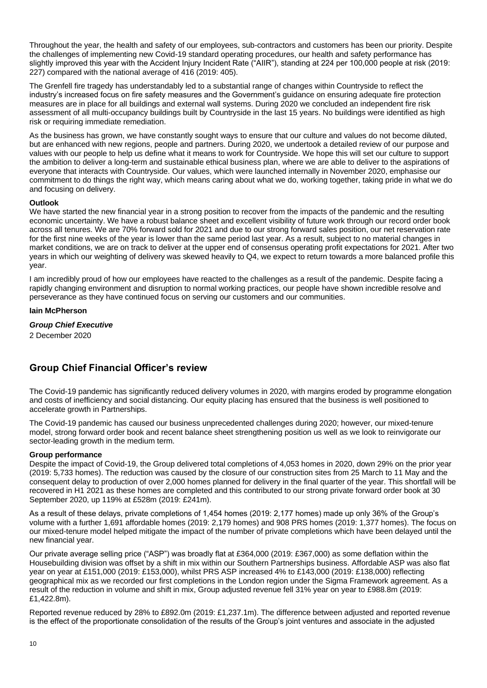Throughout the year, the health and safety of our employees, sub-contractors and customers has been our priority. Despite the challenges of implementing new Covid-19 standard operating procedures, our health and safety performance has slightly improved this year with the Accident Injury Incident Rate ("AIIR"), standing at 224 per 100,000 people at risk (2019: 227) compared with the national average of 416 (2019: 405).

The Grenfell fire tragedy has understandably led to a substantial range of changes within Countryside to reflect the industry's increased focus on fire safety measures and the Government's guidance on ensuring adequate fire protection measures are in place for all buildings and external wall systems. During 2020 we concluded an independent fire risk assessment of all multi-occupancy buildings built by Countryside in the last 15 years. No buildings were identified as high risk or requiring immediate remediation.

As the business has grown, we have constantly sought ways to ensure that our culture and values do not become diluted, but are enhanced with new regions, people and partners. During 2020, we undertook a detailed review of our purpose and values with our people to help us define what it means to work for Countryside. We hope this will set our culture to support the ambition to deliver a long-term and sustainable ethical business plan, where we are able to deliver to the aspirations of everyone that interacts with Countryside. Our values, which were launched internally in November 2020, emphasise our commitment to do things the right way, which means caring about what we do, working together, taking pride in what we do and focusing on delivery.

# **Outlook**

We have started the new financial year in a strong position to recover from the impacts of the pandemic and the resulting economic uncertainty. We have a robust balance sheet and excellent visibility of future work through our record order book across all tenures. We are 70% forward sold for 2021 and due to our strong forward sales position, our net reservation rate for the first nine weeks of the year is lower than the same period last year. As a result, subject to no material changes in market conditions, we are on track to deliver at the upper end of consensus operating profit expectations for 2021. After two years in which our weighting of delivery was skewed heavily to Q4, we expect to return towards a more balanced profile this year.

I am incredibly proud of how our employees have reacted to the challenges as a result of the pandemic. Despite facing a rapidly changing environment and disruption to normal working practices, our people have shown incredible resolve and perseverance as they have continued focus on serving our customers and our communities.

# **Iain McPherson**

*Group Chief Executive* 2 December 2020

# **Group Chief Financial Officer's review**

The Covid-19 pandemic has significantly reduced delivery volumes in 2020, with margins eroded by programme elongation and costs of inefficiency and social distancing. Our equity placing has ensured that the business is well positioned to accelerate growth in Partnerships.

The Covid-19 pandemic has caused our business unprecedented challenges during 2020; however, our mixed-tenure model, strong forward order book and recent balance sheet strengthening position us well as we look to reinvigorate our sector-leading growth in the medium term.

# **Group performance**

Despite the impact of Covid-19, the Group delivered total completions of 4,053 homes in 2020, down 29% on the prior year (2019: 5,733 homes). The reduction was caused by the closure of our construction sites from 25 March to 11 May and the consequent delay to production of over 2,000 homes planned for delivery in the final quarter of the year. This shortfall will be recovered in H1 2021 as these homes are completed and this contributed to our strong private forward order book at 30 September 2020, up 119% at £528m (2019: £241m).

As a result of these delays, private completions of 1,454 homes (2019: 2,177 homes) made up only 36% of the Group's volume with a further 1,691 affordable homes (2019: 2,179 homes) and 908 PRS homes (2019: 1,377 homes). The focus on our mixed-tenure model helped mitigate the impact of the number of private completions which have been delayed until the new financial year.

Our private average selling price ("ASP") was broadly flat at £364,000 (2019: £367,000) as some deflation within the Housebuilding division was offset by a shift in mix within our Southern Partnerships business. Affordable ASP was also flat year on year at £151,000 (2019: £153,000), whilst PRS ASP increased 4% to £143,000 (2019: £138,000) reflecting geographical mix as we recorded our first completions in the London region under the Sigma Framework agreement. As a result of the reduction in volume and shift in mix, Group adjusted revenue fell 31% year on year to £988.8m (2019: £1,422.8m).

Reported revenue reduced by 28% to £892.0m (2019: £1,237.1m). The difference between adjusted and reported revenue is the effect of the proportionate consolidation of the results of the Group's joint ventures and associate in the adjusted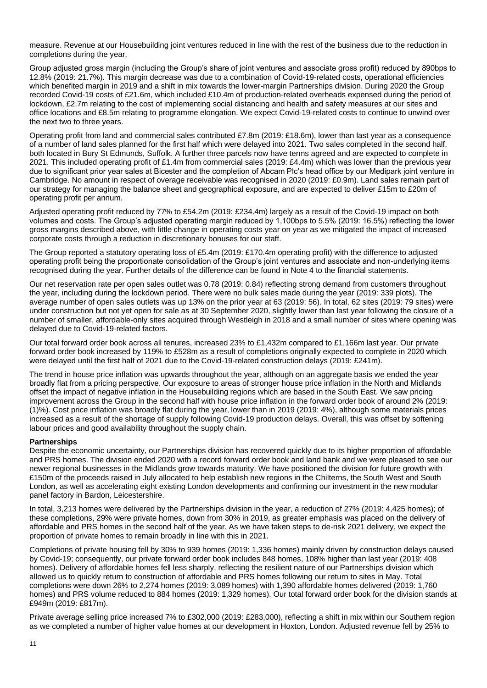measure. Revenue at our Housebuilding joint ventures reduced in line with the rest of the business due to the reduction in completions during the year.

Group adjusted gross margin (including the Group's share of joint ventures and associate gross profit) reduced by 890bps to 12.8% (2019: 21.7%). This margin decrease was due to a combination of Covid-19-related costs, operational efficiencies which benefited margin in 2019 and a shift in mix towards the lower-margin Partnerships division. During 2020 the Group recorded Covid-19 costs of £21.6m, which included £10.4m of production-related overheads expensed during the period of lockdown, £2.7m relating to the cost of implementing social distancing and health and safety measures at our sites and office locations and £8.5m relating to programme elongation. We expect Covid-19-related costs to continue to unwind over the next two to three years.

Operating profit from land and commercial sales contributed £7.8m (2019: £18.6m), lower than last year as a consequence of a number of land sales planned for the first half which were delayed into 2021. Two sales completed in the second half, both located in Bury St Edmunds, Suffolk. A further three parcels now have terms agreed and are expected to complete in 2021. This included operating profit of £1.4m from commercial sales (2019: £4.4m) which was lower than the previous year due to significant prior year sales at Bicester and the completion of Abcam Plc's head office by our Medipark joint venture in Cambridge. No amount in respect of overage receivable was recognised in 2020 (2019: £0.9m). Land sales remain part of our strategy for managing the balance sheet and geographical exposure, and are expected to deliver £15m to £20m of operating profit per annum.

Adjusted operating profit reduced by 77% to £54.2m (2019: £234.4m) largely as a result of the Covid-19 impact on both volumes and costs. The Group's adjusted operating margin reduced by 1,100bps to 5.5% (2019: 16.5%) reflecting the lower gross margins described above, with little change in operating costs year on year as we mitigated the impact of increased corporate costs through a reduction in discretionary bonuses for our staff.

The Group reported a statutory operating loss of £5.4m (2019: £170.4m operating profit) with the difference to adjusted operating profit being the proportionate consolidation of the Group's joint ventures and associate and non-underlying items recognised during the year. Further details of the difference can be found in Note 4 to the financial statements.

Our net reservation rate per open sales outlet was 0.78 (2019: 0.84) reflecting strong demand from customers throughout the year, including during the lockdown period. There were no bulk sales made during the year (2019: 339 plots). The average number of open sales outlets was up 13% on the prior year at 63 (2019: 56). In total, 62 sites (2019: 79 sites) were under construction but not yet open for sale as at 30 September 2020, slightly lower than last year following the closure of a number of smaller, affordable-only sites acquired through Westleigh in 2018 and a small number of sites where opening was delayed due to Covid-19-related factors.

Our total forward order book across all tenures, increased 23% to £1,432m compared to £1,166m last year. Our private forward order book increased by 119% to £528m as a result of completions originally expected to complete in 2020 which were delayed until the first half of 2021 due to the Covid-19-related construction delays (2019: £241m).

The trend in house price inflation was upwards throughout the year, although on an aggregate basis we ended the year broadly flat from a pricing perspective. Our exposure to areas of stronger house price inflation in the North and Midlands offset the impact of negative inflation in the Housebuilding regions which are based in the South East. We saw pricing improvement across the Group in the second half with house price inflation in the forward order book of around 2% (2019: (1)%). Cost price inflation was broadly flat during the year, lower than in 2019 (2019: 4%), although some materials prices increased as a result of the shortage of supply following Covid-19 production delays. Overall, this was offset by softening labour prices and good availability throughout the supply chain.

# **Partnerships**

Despite the economic uncertainty, our Partnerships division has recovered quickly due to its higher proportion of affordable and PRS homes. The division ended 2020 with a record forward order book and land bank and we were pleased to see our newer regional businesses in the Midlands grow towards maturity. We have positioned the division for future growth with £150m of the proceeds raised in July allocated to help establish new regions in the Chilterns, the South West and South London, as well as accelerating eight existing London developments and confirming our investment in the new modular panel factory in Bardon, Leicestershire.

In total, 3,213 homes were delivered by the Partnerships division in the year, a reduction of 27% (2019: 4,425 homes); of these completions, 29% were private homes, down from 30% in 2019, as greater emphasis was placed on the delivery of affordable and PRS homes in the second half of the year. As we have taken steps to de-risk 2021 delivery, we expect the proportion of private homes to remain broadly in line with this in 2021.

Completions of private housing fell by 30% to 939 homes (2019: 1,336 homes) mainly driven by construction delays caused by Covid-19; consequently, our private forward order book includes 848 homes, 108% higher than last year (2019: 408 homes). Delivery of affordable homes fell less sharply, reflecting the resilient nature of our Partnerships division which allowed us to quickly return to construction of affordable and PRS homes following our return to sites in May. Total completions were down 26% to 2,274 homes (2019: 3,089 homes) with 1,390 affordable homes delivered (2019: 1,760 homes) and PRS volume reduced to 884 homes (2019: 1,329 homes). Our total forward order book for the division stands at £949m (2019: £817m).

Private average selling price increased 7% to £302,000 (2019: £283,000), reflecting a shift in mix within our Southern region as we completed a number of higher value homes at our development in Hoxton, London. Adjusted revenue fell by 25% to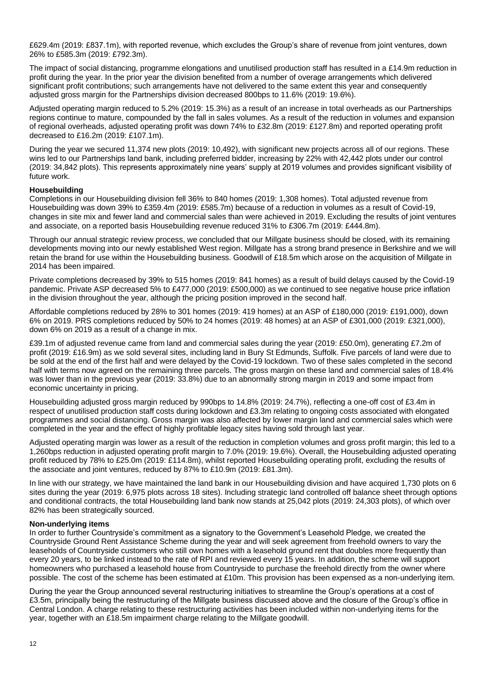£629.4m (2019: £837.1m), with reported revenue, which excludes the Group's share of revenue from joint ventures, down 26% to £585.3m (2019: £792.3m).

The impact of social distancing, programme elongations and unutilised production staff has resulted in a £14.9m reduction in profit during the year. In the prior year the division benefited from a number of overage arrangements which delivered significant profit contributions; such arrangements have not delivered to the same extent this year and consequently adjusted gross margin for the Partnerships division decreased 800bps to 11.6% (2019: 19.6%).

Adjusted operating margin reduced to 5.2% (2019: 15.3%) as a result of an increase in total overheads as our Partnerships regions continue to mature, compounded by the fall in sales volumes. As a result of the reduction in volumes and expansion of regional overheads, adjusted operating profit was down 74% to £32.8m (2019: £127.8m) and reported operating profit decreased to £16.2m (2019: £107.1m).

During the year we secured 11,374 new plots (2019: 10,492), with significant new projects across all of our regions. These wins led to our Partnerships land bank, including preferred bidder, increasing by 22% with 42,442 plots under our control (2019: 34,842 plots). This represents approximately nine years' supply at 2019 volumes and provides significant visibility of future work.

# **Housebuilding**

Completions in our Housebuilding division fell 36% to 840 homes (2019: 1,308 homes). Total adjusted revenue from Housebuilding was down 39% to £359.4m (2019: £585.7m) because of a reduction in volumes as a result of Covid-19, changes in site mix and fewer land and commercial sales than were achieved in 2019. Excluding the results of joint ventures and associate, on a reported basis Housebuilding revenue reduced 31% to £306.7m (2019: £444.8m).

Through our annual strategic review process, we concluded that our Millgate business should be closed, with its remaining developments moving into our newly established West region. Millgate has a strong brand presence in Berkshire and we will retain the brand for use within the Housebuilding business. Goodwill of £18.5m which arose on the acquisition of Millgate in 2014 has been impaired.

Private completions decreased by 39% to 515 homes (2019: 841 homes) as a result of build delays caused by the Covid-19 pandemic. Private ASP decreased 5% to £477,000 (2019: £500,000) as we continued to see negative house price inflation in the division throughout the year, although the pricing position improved in the second half.

Affordable completions reduced by 28% to 301 homes (2019: 419 homes) at an ASP of £180,000 (2019: £191,000), down 6% on 2019. PRS completions reduced by 50% to 24 homes (2019: 48 homes) at an ASP of £301,000 (2019: £321,000), down 6% on 2019 as a result of a change in mix.

£39.1m of adjusted revenue came from land and commercial sales during the year (2019: £50.0m), generating £7.2m of profit (2019: £16.9m) as we sold several sites, including land in Bury St Edmunds, Suffolk. Five parcels of land were due to be sold at the end of the first half and were delayed by the Covid-19 lockdown. Two of these sales completed in the second half with terms now agreed on the remaining three parcels. The gross margin on these land and commercial sales of 18.4% was lower than in the previous year (2019: 33.8%) due to an abnormally strong margin in 2019 and some impact from economic uncertainty in pricing.

Housebuilding adjusted gross margin reduced by 990bps to 14.8% (2019: 24.7%), reflecting a one-off cost of £3.4m in respect of unutilised production staff costs during lockdown and £3.3m relating to ongoing costs associated with elongated programmes and social distancing. Gross margin was also affected by lower margin land and commercial sales which were completed in the year and the effect of highly profitable legacy sites having sold through last year.

Adjusted operating margin was lower as a result of the reduction in completion volumes and gross profit margin; this led to a 1,260bps reduction in adjusted operating profit margin to 7.0% (2019: 19.6%). Overall, the Housebuilding adjusted operating profit reduced by 78% to £25.0m (2019: £114.8m), whilst reported Housebuilding operating profit, excluding the results of the associate and joint ventures, reduced by 87% to £10.9m (2019: £81.3m).

In line with our strategy, we have maintained the land bank in our Housebuilding division and have acquired 1,730 plots on 6 sites during the year (2019: 6,975 plots across 18 sites). Including strategic land controlled off balance sheet through options and conditional contracts, the total Housebuilding land bank now stands at 25,042 plots (2019: 24,303 plots), of which over 82% has been strategically sourced.

#### **Non-underlying items**

In order to further Countryside's commitment as a signatory to the Government's Leasehold Pledge, we created the Countryside Ground Rent Assistance Scheme during the year and will seek agreement from freehold owners to vary the leaseholds of Countryside customers who still own homes with a leasehold ground rent that doubles more frequently than every 20 years, to be linked instead to the rate of RPI and reviewed every 15 years. In addition, the scheme will support homeowners who purchased a leasehold house from Countryside to purchase the freehold directly from the owner where possible. The cost of the scheme has been estimated at £10m. This provision has been expensed as a non-underlying item.

During the year the Group announced several restructuring initiatives to streamline the Group's operations at a cost of £3.5m, principally being the restructuring of the Millgate business discussed above and the closure of the Group's office in Central London. A charge relating to these restructuring activities has been included within non-underlying items for the year, together with an £18.5m impairment charge relating to the Millgate goodwill.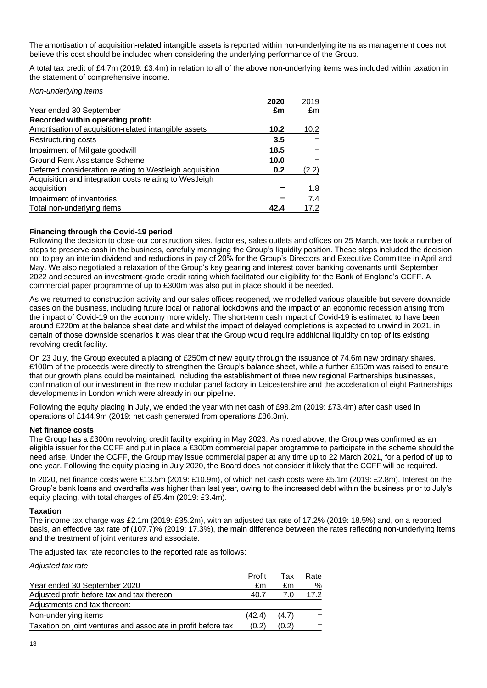The amortisation of acquisition-related intangible assets is reported within non-underlying items as management does not believe this cost should be included when considering the underlying performance of the Group.

A total tax credit of £4.7m (2019: £3.4m) in relation to all of the above non-underlying items was included within taxation in the statement of comprehensive income.

#### *Non-underlying items*

|                                                          | 2020 | 2019  |
|----------------------------------------------------------|------|-------|
| Year ended 30 September                                  | £m   | £m    |
| Recorded within operating profit:                        |      |       |
| Amortisation of acquisition-related intangible assets    | 10.2 | 10.2  |
| Restructuring costs                                      | 3.5  |       |
| Impairment of Millgate goodwill                          | 18.5 |       |
| <b>Ground Rent Assistance Scheme</b>                     | 10.0 |       |
| Deferred consideration relating to Westleigh acquisition | 0.2  | (2.2) |
| Acquisition and integration costs relating to Westleigh  |      |       |
| acquisition                                              |      | 1.8   |
| Impairment of inventories                                |      | 7.4   |
| Total non-underlying items                               | 42.4 | 17 2  |

# **Financing through the Covid-19 period**

Following the decision to close our construction sites, factories, sales outlets and offices on 25 March, we took a number of steps to preserve cash in the business, carefully managing the Group's liquidity position. These steps included the decision not to pay an interim dividend and reductions in pay of 20% for the Group's Directors and Executive Committee in April and May. We also negotiated a relaxation of the Group's key gearing and interest cover banking covenants until September 2022 and secured an investment-grade credit rating which facilitated our eligibility for the Bank of England's CCFF. A commercial paper programme of up to £300m was also put in place should it be needed.

As we returned to construction activity and our sales offices reopened, we modelled various plausible but severe downside cases on the business, including future local or national lockdowns and the impact of an economic recession arising from the impact of Covid-19 on the economy more widely. The short-term cash impact of Covid-19 is estimated to have been around £220m at the balance sheet date and whilst the impact of delayed completions is expected to unwind in 2021, in certain of those downside scenarios it was clear that the Group would require additional liquidity on top of its existing revolving credit facility.

On 23 July, the Group executed a placing of £250m of new equity through the issuance of 74.6m new ordinary shares. £100m of the proceeds were directly to strengthen the Group's balance sheet, while a further £150m was raised to ensure that our growth plans could be maintained, including the establishment of three new regional Partnerships businesses, confirmation of our investment in the new modular panel factory in Leicestershire and the acceleration of eight Partnerships developments in London which were already in our pipeline.

Following the equity placing in July, we ended the year with net cash of £98.2m (2019: £73.4m) after cash used in operations of £144.9m (2019: net cash generated from operations £86.3m).

# **Net finance costs**

The Group has a £300m revolving credit facility expiring in May 2023. As noted above, the Group was confirmed as an eligible issuer for the CCFF and put in place a £300m commercial paper programme to participate in the scheme should the need arise. Under the CCFF, the Group may issue commercial paper at any time up to 22 March 2021, for a period of up to one year. Following the equity placing in July 2020, the Board does not consider it likely that the CCFF will be required.

In 2020, net finance costs were £13.5m (2019: £10.9m), of which net cash costs were £5.1m (2019: £2.8m). Interest on the Group's bank loans and overdrafts was higher than last year, owing to the increased debt within the business prior to July's equity placing, with total charges of £5.4m (2019: £3.4m).

#### **Taxation**

The income tax charge was £2.1m (2019: £35.2m), with an adjusted tax rate of 17.2% (2019: 18.5%) and, on a reported basis, an effective tax rate of (107.7)% (2019: 17.3%), the main difference between the rates reflecting non-underlying items and the treatment of joint ventures and associate.

The adjusted tax rate reconciles to the reported rate as follows:

*Adjusted tax rate*

|                                                               | Profit | Тах   | Rate |
|---------------------------------------------------------------|--------|-------|------|
| Year ended 30 September 2020                                  | £m     | £m    | %    |
| Adjusted profit before tax and tax thereon                    | 40.7   | 7 በ   | 17.2 |
| Adjustments and tax thereon:                                  |        |       |      |
| Non-underlying items                                          | (42.4) | (4.7) |      |
| Taxation on joint ventures and associate in profit before tax | (0.2)  | (0.2) |      |
|                                                               |        |       |      |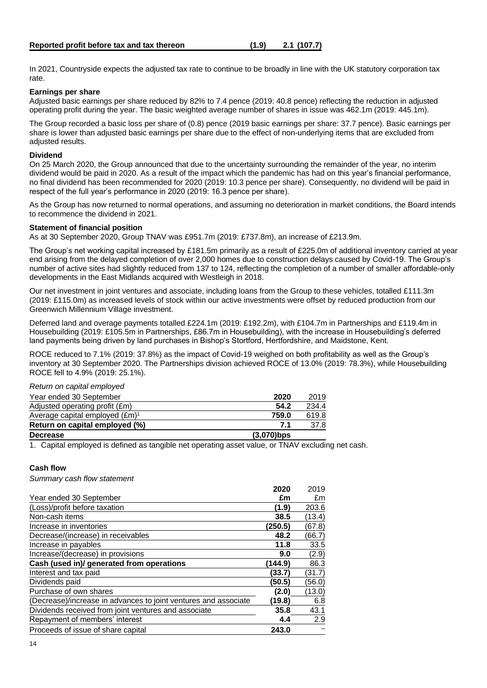In 2021, Countryside expects the adjusted tax rate to continue to be broadly in line with the UK statutory corporation tax rate.

# **Earnings per share**

Adjusted basic earnings per share reduced by 82% to 7.4 pence (2019: 40.8 pence) reflecting the reduction in adjusted operating profit during the year. The basic weighted average number of shares in issue was 462.1m (2019: 445.1m).

The Group recorded a basic loss per share of (0.8) pence (2019 basic earnings per share: 37.7 pence). Basic earnings per share is lower than adjusted basic earnings per share due to the effect of non-underlying items that are excluded from adjusted results.

# **Dividend**

On 25 March 2020, the Group announced that due to the uncertainty surrounding the remainder of the year, no interim dividend would be paid in 2020. As a result of the impact which the pandemic has had on this year's financial performance, no final dividend has been recommended for 2020 (2019: 10.3 pence per share). Consequently, no dividend will be paid in respect of the full year's performance in 2020 (2019: 16.3 pence per share).

As the Group has now returned to normal operations, and assuming no deterioration in market conditions, the Board intends to recommence the dividend in 2021.

# **Statement of financial position**

As at 30 September 2020, Group TNAV was £951.7m (2019: £737.8m), an increase of £213.9m.

The Group's net working capital increased by £181.5m primarily as a result of £225.0m of additional inventory carried at year end arising from the delayed completion of over 2,000 homes due to construction delays caused by Covid-19. The Group's number of active sites had slightly reduced from 137 to 124, reflecting the completion of a number of smaller affordable-only developments in the East Midlands acquired with Westleigh in 2018.

Our net investment in joint ventures and associate, including loans from the Group to these vehicles, totalled £111.3m (2019: £115.0m) as increased levels of stock within our active investments were offset by reduced production from our Greenwich Millennium Village investment.

Deferred land and overage payments totalled £224.1m (2019: £192.2m), with £104.7m in Partnerships and £119.4m in Housebuilding (2019: £105.5m in Partnerships, £86.7m in Housebuilding), with the increase in Housebuilding's deferred land payments being driven by land purchases in Bishop's Stortford, Hertfordshire, and Maidstone, Kent.

ROCE reduced to 7.1% (2019: 37.8%) as the impact of Covid-19 weighed on both profitability as well as the Group's inventory at 30 September 2020. The Partnerships division achieved ROCE of 13.0% (2019: 78.3%), while Housebuilding ROCE fell to 4.9% (2019: 25.1%).

*Return on capital employed*

| Year ended 30 September                  | 2020          | 2019  |
|------------------------------------------|---------------|-------|
| Adjusted operating profit (£m)           | 54.2          | 234.4 |
| Average capital employed $(\text{Em})^1$ | 759.0         | 619.8 |
| Return on capital employed (%)           | 71            | 37.8  |
| <b>Decrease</b>                          | $(3,070)$ bps |       |

1. Capital employed is defined as tangible net operating asset value, or TNAV excluding net cash.

# **Cash flow**

*Summary cash flow statement*

| 2020    | 2019   |
|---------|--------|
| £m      | £m     |
| (1.9)   | 203.6  |
| 38.5    | (13.4) |
| (250.5) | (67.8) |
| 48.2    | (66.7) |
| 11.8    | 33.5   |
| 9.0     | (2.9)  |
| (144.9) | 86.3   |
| (33.7)  | (31.7) |
| (50.5)  | (56.0) |
| (2.0)   | (13.0) |
| (19.8)  | 6.8    |
| 35.8    | 43.1   |
| 4.4     | 2.9    |
| 243.0   |        |
|         |        |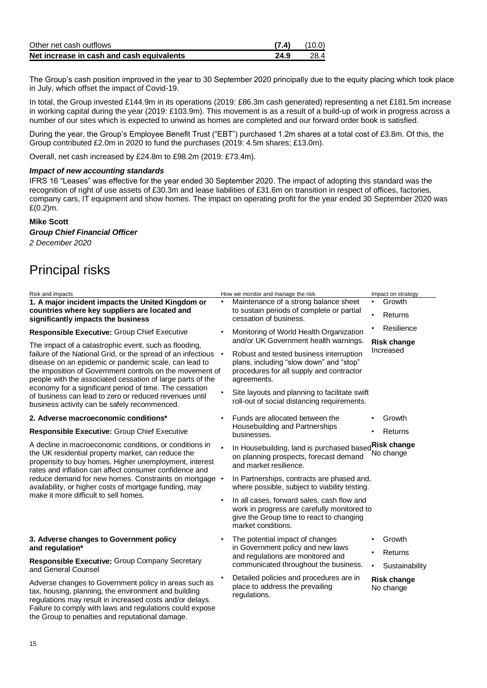| Other net cash outflows                   | (7.4) | (10.0) |
|-------------------------------------------|-------|--------|
| Net increase in cash and cash equivalents | 24.9  | 28.4   |

The Group's cash position improved in the year to 30 September 2020 principally due to the equity placing which took place in July, which offset the impact of Covid-19.

In total, the Group invested £144.9m in its operations (2019: £86.3m cash generated) representing a net £181.5m increase in working capital during the year (2019: £103.9m). This movement is as a result of a build-up of work in progress across a number of our sites which is expected to unwind as homes are completed and our forward order book is satisfied.

During the year, the Group's Employee Benefit Trust ("EBT") purchased 1.2m shares at a total cost of £3.8m. Of this, the Group contributed £2.0m in 2020 to fund the purchases (2019: 4.5m shares; £13.0m).

Overall, net cash increased by £24.8m to £98.2m (2019: £73.4m).

# *Impact of new accounting standards*

IFRS 16 "Leases" was effective for the year ended 30 September 2020. The impact of adopting this standard was the recognition of right of use assets of £30.3m and lease liabilities of £31.6m on transition in respect of offices, factories, company cars, IT equipment and show homes. The impact on operating profit for the year ended 30 September 2020 was £(0.2)m.

# **Mike Scott**

*Group Chief Financial Officer 2 December 2020*

# Principal risks

| Risk and impacts                                                                                                                                                                                                                                                                                                                                                                                                                                                              |           | How we monitor and manage the risk                                                                                                                                                                                                                                                     | Impact on strategy              |
|-------------------------------------------------------------------------------------------------------------------------------------------------------------------------------------------------------------------------------------------------------------------------------------------------------------------------------------------------------------------------------------------------------------------------------------------------------------------------------|-----------|----------------------------------------------------------------------------------------------------------------------------------------------------------------------------------------------------------------------------------------------------------------------------------------|---------------------------------|
| 1. A major incident impacts the United Kingdom or                                                                                                                                                                                                                                                                                                                                                                                                                             | $\bullet$ | Maintenance of a strong balance sheet                                                                                                                                                                                                                                                  | Growth<br>$\bullet$             |
| countries where key suppliers are located and<br>significantly impacts the business                                                                                                                                                                                                                                                                                                                                                                                           |           | to sustain periods of complete or partial<br>cessation of business.                                                                                                                                                                                                                    | Returns<br>$\bullet$            |
| Responsible Executive: Group Chief Executive                                                                                                                                                                                                                                                                                                                                                                                                                                  | $\bullet$ | Monitoring of World Health Organization                                                                                                                                                                                                                                                | Resilience                      |
| The impact of a catastrophic event, such as flooding,<br>failure of the National Grid, or the spread of an infectious<br>disease on an epidemic or pandemic scale, can lead to<br>the imposition of Government controls on the movement of<br>people with the associated cessation of large parts of the<br>economy for a significant period of time. The cessation<br>of business can lead to zero or reduced revenues until<br>business activity can be safely recommenced. | $\bullet$ | and/or UK Government health warnings.<br>Robust and tested business interruption<br>plans, including "slow down" and "stop"<br>procedures for all supply and contractor<br>agreements.<br>Site layouts and planning to facilitate swift<br>roll-out of social distancing requirements. | <b>Risk change</b><br>Increased |
| 2. Adverse macroeconomic conditions*                                                                                                                                                                                                                                                                                                                                                                                                                                          |           | Funds are allocated between the                                                                                                                                                                                                                                                        | Growth                          |
| Responsible Executive: Group Chief Executive                                                                                                                                                                                                                                                                                                                                                                                                                                  |           | Housebuilding and Partnerships<br>businesses.                                                                                                                                                                                                                                          | Returns                         |
| A decline in macroeconomic conditions, or conditions in<br>the UK residential property market, can reduce the<br>propensity to buy homes. Higher unemployment, interest<br>rates and inflation can affect consumer confidence and                                                                                                                                                                                                                                             |           | In Housebuilding, land is purchased based<br>on planning prospects, forecast demand<br>and market resilience.                                                                                                                                                                          | <b>Risk change</b><br>No change |
| reduce demand for new homes. Constraints on mortgage .<br>availability, or higher costs of mortgage funding, may                                                                                                                                                                                                                                                                                                                                                              |           | In Partnerships, contracts are phased and,<br>where possible, subject to viability testing.                                                                                                                                                                                            |                                 |
| make it more difficult to sell homes.                                                                                                                                                                                                                                                                                                                                                                                                                                         | $\bullet$ | In all cases, forward sales, cash flow and<br>work in progress are carefully monitored to<br>give the Group time to react to changing<br>market conditions.                                                                                                                            |                                 |
| 3. Adverse changes to Government policy<br>and regulation*                                                                                                                                                                                                                                                                                                                                                                                                                    |           | The potential impact of changes<br>in Government policy and new laws                                                                                                                                                                                                                   | Growth                          |
|                                                                                                                                                                                                                                                                                                                                                                                                                                                                               |           | and regulations are monitored and                                                                                                                                                                                                                                                      | Returns                         |
| Responsible Executive: Group Company Secretary<br>and General Counsel                                                                                                                                                                                                                                                                                                                                                                                                         |           | communicated throughout the business.                                                                                                                                                                                                                                                  | Sustainability<br>$\bullet$     |
| Adverse changes to Government policy in areas such as<br>tax, housing, planning, the environment and building<br>regulations may result in increased costs and/or delays.<br>Failure to comply with laws and regulations could expose<br>the Group to penalties and reputational damage.                                                                                                                                                                                      |           | Detailed policies and procedures are in<br>place to address the prevailing<br>regulations.                                                                                                                                                                                             | <b>Risk change</b><br>No change |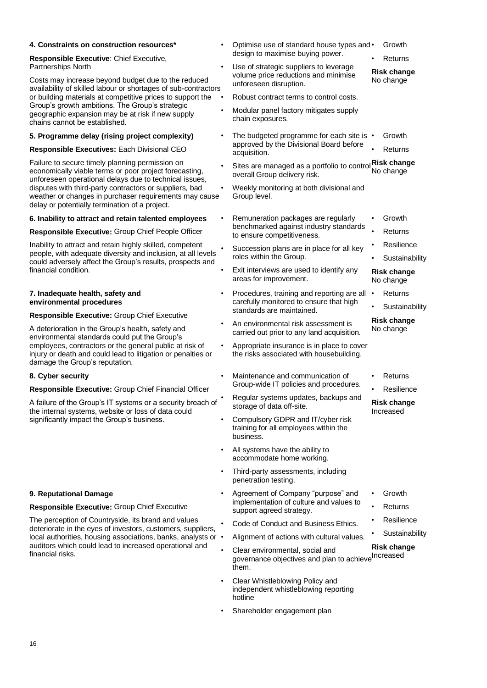#### **4. Constraints on construction resources\* Responsible Executive**: Chief Executive, Partnerships North Costs may increase beyond budget due to the reduced availability of skilled labour or shortages of sub-contractors or building materials at competitive prices to support the Group's growth ambitions. The Group's strategic geographic expansion may be at risk if new supply chains cannot be established. • Optimise use of standard house types and design to maximise buying power. Use of strategic suppliers to leverage volume price reductions and minimise unforeseen disruption. • Robust contract terms to control costs. • Modular panel factory mitigates supply chain exposures. **Growth Returns Risk change** No change **5. Programme delay (rising project complexity) Responsible Executives:** Each Divisional CEO Failure to secure timely planning permission on economically viable terms or poor project forecasting, unforeseen operational delays due to technical issues, disputes with third-party contractors or suppliers, bad weather or changes in purchaser requirements may cause delay or potentially termination of a project. The budgeted programme for each site is  $\cdot$ approved by the Divisional Board before acquisition. • Sites are managed as a portfolio to control **Risk change** overall Group delivery risk. • Weekly monitoring at both divisional and Group level. • Growth **Returns** No change **6. Inability to attract and retain talented employees Responsible Executive:** Group Chief People Officer Inability to attract and retain highly skilled, competent people, with adequate diversity and inclusion, at all levels could adversely affect the Group's results, prospects and financial condition. • Remuneration packages are regularly benchmarked against industry standards to ensure competitiveness. Succession plans are in place for all key roles within the Group. Exit interviews are used to identify any areas for improvement. **Growth Returns Resilience Sustainability Risk change** No change **7. Inadequate health, safety and environmental procedures Responsible Executive:** Group Chief Executive A deterioration in the Group's health, safety and environmental standards could put the Group's employees, contractors or the general public at risk of injury or death and could lead to litigation or penalties or damage the Group's reputation. • Procedures, training and reporting are all carefully monitored to ensure that high standards are maintained. • An environmental risk assessment is carried out prior to any land acquisition. • Appropriate insurance is in place to cover the risks associated with housebuilding. **Returns Sustainability Risk change** No change **8. Cyber security Responsible Executive:** Group Chief Financial Officer A failure of the Group's IT systems or a security breach of the internal systems, website or loss of data could significantly impact the Group's business. • Maintenance and communication of Group-wide IT policies and procedures. • Regular systems updates, backups and storage of data off-site. • Compulsory GDPR and IT/cyber risk training for all employees within the business. • All systems have the ability to accommodate home working. • Third-party assessments, including penetration testing. **Returns Resilience Risk change** Increased **9. Reputational Damage Responsible Executive:** Group Chief Executive The perception of Countryside, its brand and values deteriorate in the eyes of investors, customers, suppliers, local authorities, housing associations, banks, analysts or  $\cdot$ auditors which could lead to increased operational and financial risks. • Agreement of Company "purpose" and implementation of culture and values to support agreed strategy. Code of Conduct and Business Ethics. • Alignment of actions with cultural values. • Clear environmental, social and governance objectives and plan to achieve Increased them. • Clear Whistleblowing Policy and independent whistleblowing reporting hotline Shareholder engagement plan **Growth Returns Resilience Sustainability Risk change**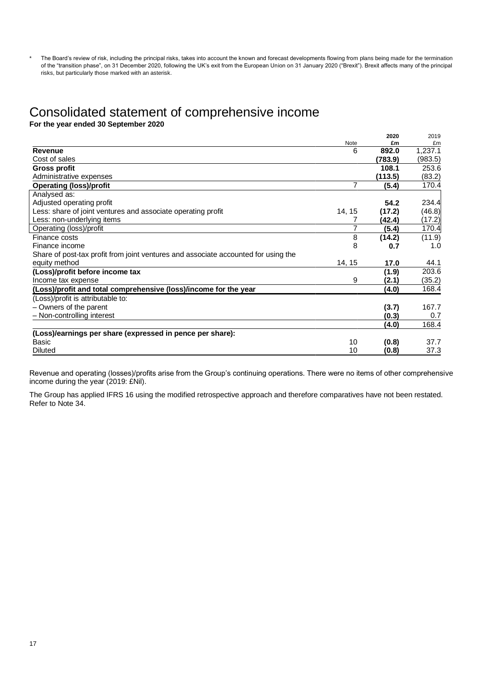\* The Board's review of risk, including the principal risks, takes into account the known and forecast developments flowing from plans being made for the termination of the "transition phase", on 31 December 2020, following the UK's exit from the European Union on 31 January 2020 ("Brexit"). Brexit affects many of the principal risks, but particularly those marked with an asterisk.

# Consolidated statement of comprehensive income

**For the year ended 30 September 2020**

|                                                                                    |                  | 2020    | 2019    |
|------------------------------------------------------------------------------------|------------------|---------|---------|
|                                                                                    | <b>Note</b><br>6 | £m      | £m      |
| Revenue                                                                            |                  | 892.0   | 1,237.1 |
| Cost of sales                                                                      |                  | (783.9) | (983.5) |
| <b>Gross profit</b>                                                                |                  | 108.1   | 253.6   |
| Administrative expenses                                                            |                  | (113.5) | (83.2)  |
| <b>Operating (loss)/profit</b>                                                     | 7                | (5.4)   | 170.4   |
| Analysed as:                                                                       |                  |         |         |
| Adjusted operating profit                                                          |                  | 54.2    | 234.4   |
| Less: share of joint ventures and associate operating profit                       | 14, 15           | (17.2)  | (46.8)  |
| Less: non-underlying items                                                         |                  | (42.4)  | (17.2)  |
| Operating (loss)/profit                                                            |                  | (5.4)   | 170.4   |
| Finance costs                                                                      | 8                | (14.2)  | (11.9)  |
| Finance income                                                                     | 8                | 0.7     | 1.0     |
| Share of post-tax profit from joint ventures and associate accounted for using the |                  |         |         |
| equity method                                                                      | 14, 15           | 17.0    | 44.1    |
| (Loss)/profit before income tax                                                    |                  | (1.9)   | 203.6   |
| Income tax expense                                                                 | 9                | (2.1)   | (35.2)  |
| (Loss)/profit and total comprehensive (loss)/income for the year                   |                  | (4.0)   | 168.4   |
| (Loss)/profit is attributable to:                                                  |                  |         |         |
| - Owners of the parent                                                             |                  | (3.7)   | 167.7   |
| - Non-controlling interest                                                         |                  | (0.3)   | 0.7     |
|                                                                                    |                  | (4.0)   | 168.4   |
| (Loss)/earnings per share (expressed in pence per share):                          |                  |         |         |
| Basic                                                                              | 10               | (0.8)   | 37.7    |
| <b>Diluted</b>                                                                     | 10               | (0.8)   | 37.3    |

Revenue and operating (losses)/profits arise from the Group's continuing operations. There were no items of other comprehensive income during the year (2019: £Nil).

The Group has applied IFRS 16 using the modified retrospective approach and therefore comparatives have not been restated. Refer to Note 34.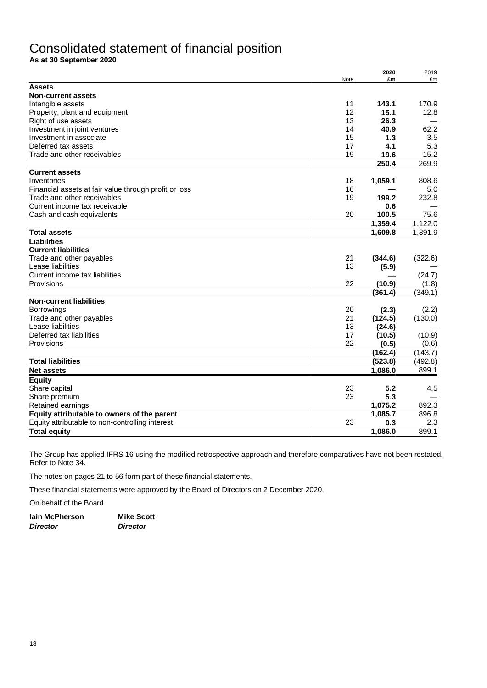# Consolidated statement of financial position

**As at 30 September 2020**

|                                                       |      | 2020    | 2019    |
|-------------------------------------------------------|------|---------|---------|
|                                                       | Note | £m      | £m      |
| <b>Assets</b>                                         |      |         |         |
| <b>Non-current assets</b>                             |      |         |         |
| Intangible assets                                     | 11   | 143.1   | 170.9   |
| Property, plant and equipment                         | 12   | 15.1    | 12.8    |
| Right of use assets                                   | 13   | 26.3    |         |
| Investment in joint ventures                          | 14   | 40.9    | 62.2    |
| Investment in associate                               | 15   | 1.3     | 3.5     |
| Deferred tax assets                                   | 17   | 4.1     | 5.3     |
| Trade and other receivables                           | 19   | 19.6    | 15.2    |
|                                                       |      | 250.4   | 269.9   |
| <b>Current assets</b>                                 |      |         |         |
| Inventories                                           | 18   | 1,059.1 | 808.6   |
| Financial assets at fair value through profit or loss | 16   |         | 5.0     |
| Trade and other receivables                           | 19   | 199.2   | 232.8   |
| Current income tax receivable                         |      |         |         |
|                                                       |      | 0.6     |         |
| Cash and cash equivalents                             | 20   | 100.5   | 75.6    |
|                                                       |      | 1,359.4 | 1,122.0 |
| <b>Total assets</b>                                   |      | 1,609.8 | 1,391.9 |
| <b>Liabilities</b>                                    |      |         |         |
| <b>Current liabilities</b>                            |      |         |         |
| Trade and other payables                              | 21   | (344.6) | (322.6) |
| Lease liabilities                                     | 13   | (5.9)   |         |
| Current income tax liabilities                        |      |         | (24.7)  |
| Provisions                                            | 22   | (10.9)  | (1.8)   |
|                                                       |      | (361.4) | (349.1) |
| <b>Non-current liabilities</b>                        |      |         |         |
| <b>Borrowings</b>                                     | 20   | (2.3)   | (2.2)   |
| Trade and other payables                              | 21   | (124.5) | (130.0) |
| Lease liabilities                                     | 13   | (24.6)  |         |
| Deferred tax liabilities                              | 17   | (10.5)  | (10.9)  |
| Provisions                                            | 22   | (0.5)   | (0.6)   |
|                                                       |      | (162.4) | (143.7) |
|                                                       |      |         |         |
| <b>Total liabilities</b>                              |      | (523.8) | (492.8) |
| <b>Net assets</b>                                     |      | 1,086.0 | 899.1   |
| <b>Equity</b>                                         |      |         |         |
| Share capital                                         | 23   | 5.2     | 4.5     |
| Share premium                                         | 23   | 5.3     |         |
| Retained earnings                                     |      | 1,075.2 | 892.3   |
| Equity attributable to owners of the parent           |      | 1,085.7 | 896.8   |
| Equity attributable to non-controlling interest       | 23   | 0.3     | 2.3     |
| <b>Total equity</b>                                   |      | 1,086.0 | 899.1   |

The Group has applied IFRS 16 using the modified retrospective approach and therefore comparatives have not been restated. Refer to Note 34.

The notes on pages 21 to 56 form part of these financial statements.

These financial statements were approved by the Board of Directors on 2 December 2020.

On behalf of the Board

| lain McPherson  | <b>Mike Scott</b> |
|-----------------|-------------------|
| <b>Director</b> | <b>Director</b>   |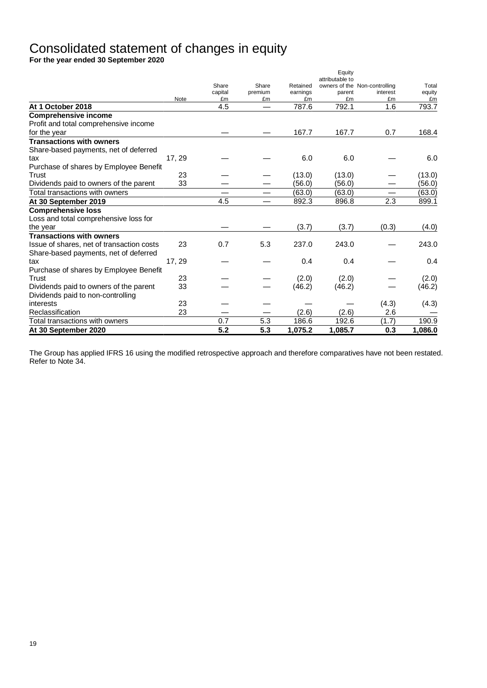# Consolidated statement of changes in equity

**For the year ended 30 September 2020**

|                                           |             |         |         |          | Equity<br>attributable to |                               |         |
|-------------------------------------------|-------------|---------|---------|----------|---------------------------|-------------------------------|---------|
|                                           |             | Share   | Share   | Retained |                           | owners of the Non-controlling | Total   |
|                                           |             | capital | premium | earnings | parent                    | interest                      | equity  |
|                                           | <b>Note</b> | £m      | £m      | £m       | £m                        | £m                            | £m      |
| At 1 October 2018                         |             | 4.5     |         | 787.6    | 792.1                     | 1.6                           | 793.7   |
| <b>Comprehensive income</b>               |             |         |         |          |                           |                               |         |
| Profit and total comprehensive income     |             |         |         |          |                           |                               |         |
| for the year                              |             |         |         | 167.7    | 167.7                     | 0.7                           | 168.4   |
| <b>Transactions with owners</b>           |             |         |         |          |                           |                               |         |
| Share-based payments, net of deferred     |             |         |         |          |                           |                               |         |
| tax                                       | 17, 29      |         |         | 6.0      | 6.0                       |                               | 6.0     |
| Purchase of shares by Employee Benefit    |             |         |         |          |                           |                               |         |
| Trust                                     | 23          |         |         | (13.0)   | (13.0)                    |                               | (13.0)  |
| Dividends paid to owners of the parent    | 33          |         |         | (56.0)   | (56.0)                    |                               | (56.0)  |
| Total transactions with owners            |             |         |         | (63.0)   | (63.0)                    |                               | (63.0)  |
| At 30 September 2019                      |             | 4.5     |         | 892.3    | 896.8                     | 2.3                           | 899.1   |
| <b>Comprehensive loss</b>                 |             |         |         |          |                           |                               |         |
| Loss and total comprehensive loss for     |             |         |         |          |                           |                               |         |
| the year                                  |             |         |         | (3.7)    | (3.7)                     | (0.3)                         | (4.0)   |
| <b>Transactions with owners</b>           |             |         |         |          |                           |                               |         |
| Issue of shares, net of transaction costs | 23          | 0.7     | 5.3     | 237.0    | 243.0                     |                               | 243.0   |
| Share-based payments, net of deferred     |             |         |         |          |                           |                               |         |
| tax                                       | 17, 29      |         |         | 0.4      | 0.4                       |                               | 0.4     |
| Purchase of shares by Employee Benefit    |             |         |         |          |                           |                               |         |
| Trust                                     | 23          |         |         | (2.0)    | (2.0)                     |                               | (2.0)   |
| Dividends paid to owners of the parent    | 33          |         |         | (46.2)   | (46.2)                    |                               | (46.2)  |
| Dividends paid to non-controlling         |             |         |         |          |                           |                               |         |
| interests                                 | 23          |         |         |          |                           | (4.3)                         | (4.3)   |
| Reclassification                          | 23          |         |         | (2.6)    | (2.6)                     | 2.6                           |         |
| Total transactions with owners            |             | 0.7     | 5.3     | 186.6    | 192.6                     | (1.7)                         | 190.9   |
| At 30 September 2020                      |             | 5.2     | 5.3     | 1,075.2  | 1,085.7                   | 0.3                           | 1,086.0 |

The Group has applied IFRS 16 using the modified retrospective approach and therefore comparatives have not been restated. Refer to Note 34.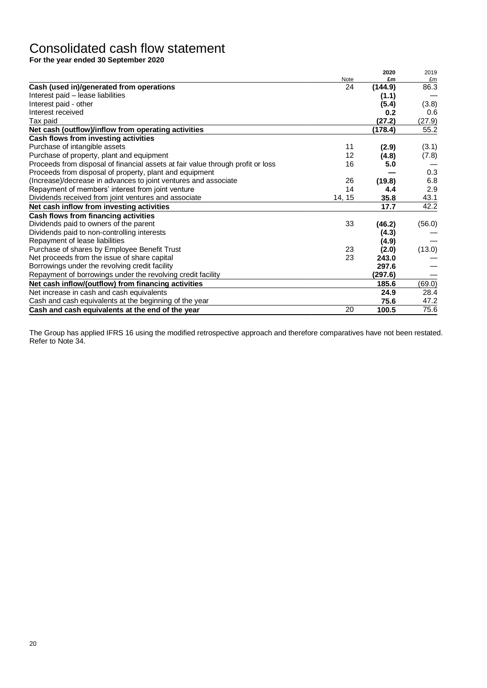# Consolidated cash flow statement

**For the year ended 30 September 2020**

|                                                                                 |            | 2020<br>£m | 2019       |
|---------------------------------------------------------------------------------|------------|------------|------------|
| Cash (used in)/generated from operations                                        | Note<br>24 | (144.9)    | £m<br>86.3 |
| Interest paid - lease liabilities                                               |            | (1.1)      |            |
| Interest paid - other                                                           |            | (5.4)      | (3.8)      |
| Interest received                                                               |            | 0.2        | 0.6        |
| Tax paid                                                                        |            | (27.2)     | (27.9)     |
| Net cash (outflow)/inflow from operating activities                             |            | (178.4)    | 55.2       |
| Cash flows from investing activities                                            |            |            |            |
| Purchase of intangible assets                                                   | 11         | (2.9)      | (3.1)      |
| Purchase of property, plant and equipment                                       | 12         | (4.8)      | (7.8)      |
| Proceeds from disposal of financial assets at fair value through profit or loss | 16         | 5.0        |            |
| Proceeds from disposal of property, plant and equipment                         |            |            | 0.3        |
| (Increase)/decrease in advances to joint ventures and associate                 | 26         | (19.8)     | 6.8        |
| Repayment of members' interest from joint venture                               | 14         | 4.4        | 2.9        |
| Dividends received from joint ventures and associate                            | 14, 15     | 35.8       | 43.1       |
| Net cash inflow from investing activities                                       |            | 17.7       | 42.2       |
| Cash flows from financing activities                                            |            |            |            |
| Dividends paid to owners of the parent                                          | 33         | (46.2)     | (56.0)     |
| Dividends paid to non-controlling interests                                     |            | (4.3)      |            |
| Repayment of lease liabilities                                                  |            | (4.9)      |            |
| Purchase of shares by Employee Benefit Trust                                    | 23         | (2.0)      | (13.0)     |
| Net proceeds from the issue of share capital                                    | 23         | 243.0      |            |
| Borrowings under the revolving credit facility                                  |            | 297.6      |            |
| Repayment of borrowings under the revolving credit facility                     |            | (297.6)    |            |
| Net cash inflow/(outflow) from financing activities                             |            | 185.6      | (69.0)     |
| Net increase in cash and cash equivalents                                       |            | 24.9       | 28.4       |
| Cash and cash equivalents at the beginning of the year                          |            | 75.6       | 47.2       |
| Cash and cash equivalents at the end of the year                                | 20         | 100.5      | 75.6       |

The Group has applied IFRS 16 using the modified retrospective approach and therefore comparatives have not been restated. Refer to Note 34.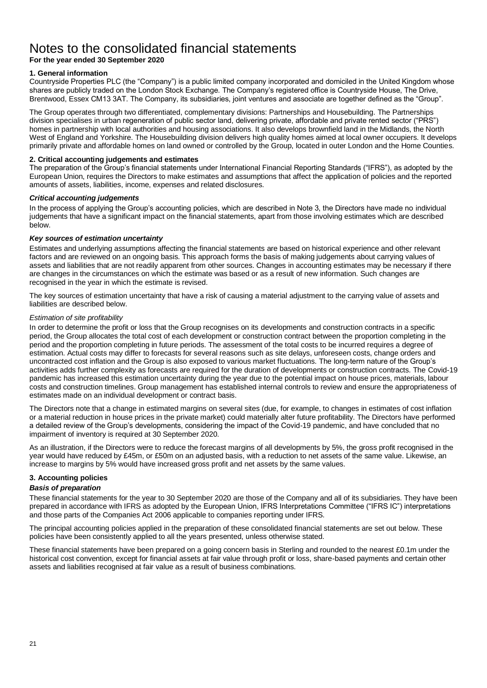# Notes to the consolidated financial statements

# **For the year ended 30 September 2020**

# **1. General information**

Countryside Properties PLC (the "Company") is a public limited company incorporated and domiciled in the United Kingdom whose shares are publicly traded on the London Stock Exchange. The Company's registered office is Countryside House, The Drive, Brentwood, Essex CM13 3AT. The Company, its subsidiaries, joint ventures and associate are together defined as the "Group".

The Group operates through two differentiated, complementary divisions: Partnerships and Housebuilding. The Partnerships division specialises in urban regeneration of public sector land, delivering private, affordable and private rented sector ("PRS") homes in partnership with local authorities and housing associations. It also develops brownfield land in the Midlands, the North West of England and Yorkshire. The Housebuilding division delivers high quality homes aimed at local owner occupiers. It develops primarily private and affordable homes on land owned or controlled by the Group, located in outer London and the Home Counties.

# **2. Critical accounting judgements and estimates**

The preparation of the Group's financial statements under International Financial Reporting Standards ("IFRS"), as adopted by the European Union, requires the Directors to make estimates and assumptions that affect the application of policies and the reported amounts of assets, liabilities, income, expenses and related disclosures.

#### *Critical accounting judgements*

In the process of applying the Group's accounting policies, which are described in Note 3, the Directors have made no individual judgements that have a significant impact on the financial statements, apart from those involving estimates which are described below.

#### *Key sources of estimation uncertainty*

Estimates and underlying assumptions affecting the financial statements are based on historical experience and other relevant factors and are reviewed on an ongoing basis. This approach forms the basis of making judgements about carrying values of assets and liabilities that are not readily apparent from other sources. Changes in accounting estimates may be necessary if there are changes in the circumstances on which the estimate was based or as a result of new information. Such changes are recognised in the year in which the estimate is revised.

The key sources of estimation uncertainty that have a risk of causing a material adjustment to the carrying value of assets and liabilities are described below.

#### *Estimation of site profitability*

In order to determine the profit or loss that the Group recognises on its developments and construction contracts in a specific period, the Group allocates the total cost of each development or construction contract between the proportion completing in the period and the proportion completing in future periods. The assessment of the total costs to be incurred requires a degree of estimation. Actual costs may differ to forecasts for several reasons such as site delays, unforeseen costs, change orders and uncontracted cost inflation and the Group is also exposed to various market fluctuations. The long-term nature of the Group's activities adds further complexity as forecasts are required for the duration of developments or construction contracts. The Covid-19 pandemic has increased this estimation uncertainty during the year due to the potential impact on house prices, materials, labour costs and construction timelines. Group management has established internal controls to review and ensure the appropriateness of estimates made on an individual development or contract basis.

The Directors note that a change in estimated margins on several sites (due, for example, to changes in estimates of cost inflation or a material reduction in house prices in the private market) could materially alter future profitability. The Directors have performed a detailed review of the Group's developments, considering the impact of the Covid-19 pandemic, and have concluded that no impairment of inventory is required at 30 September 2020.

As an illustration, if the Directors were to reduce the forecast margins of all developments by 5%, the gross profit recognised in the year would have reduced by £45m, or £50m on an adjusted basis, with a reduction to net assets of the same value. Likewise, an increase to margins by 5% would have increased gross profit and net assets by the same values.

# **3. Accounting policies**

#### *Basis of preparation*

These financial statements for the year to 30 September 2020 are those of the Company and all of its subsidiaries. They have been prepared in accordance with IFRS as adopted by the European Union, IFRS Interpretations Committee ("IFRS IC") interpretations and those parts of the Companies Act 2006 applicable to companies reporting under IFRS.

The principal accounting policies applied in the preparation of these consolidated financial statements are set out below. These policies have been consistently applied to all the years presented, unless otherwise stated.

These financial statements have been prepared on a going concern basis in Sterling and rounded to the nearest £0.1m under the historical cost convention, except for financial assets at fair value through profit or loss, share-based payments and certain other assets and liabilities recognised at fair value as a result of business combinations.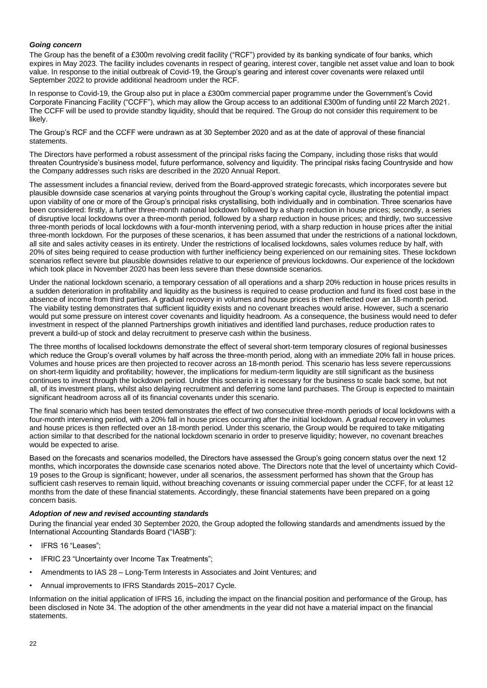# *Going concern*

The Group has the benefit of a £300m revolving credit facility ("RCF") provided by its banking syndicate of four banks, which expires in May 2023. The facility includes covenants in respect of gearing, interest cover, tangible net asset value and loan to book value. In response to the initial outbreak of Covid-19, the Group's gearing and interest cover covenants were relaxed until September 2022 to provide additional headroom under the RCF.

In response to Covid-19, the Group also put in place a £300m commercial paper programme under the Government's Covid Corporate Financing Facility ("CCFF"), which may allow the Group access to an additional £300m of funding until 22 March 2021. The CCFF will be used to provide standby liquidity, should that be required. The Group do not consider this requirement to be likely.

The Group's RCF and the CCFF were undrawn as at 30 September 2020 and as at the date of approval of these financial statements.

The Directors have performed a robust assessment of the principal risks facing the Company, including those risks that would threaten Countryside's business model, future performance, solvency and liquidity. The principal risks facing Countryside and how the Company addresses such risks are described in the 2020 Annual Report.

The assessment includes a financial review, derived from the Board-approved strategic forecasts, which incorporates severe but plausible downside case scenarios at varying points throughout the Group's working capital cycle, illustrating the potential impact upon viability of one or more of the Group's principal risks crystallising, both individually and in combination. Three scenarios have been considered: firstly, a further three-month national lockdown followed by a sharp reduction in house prices; secondly, a series of disruptive local lockdowns over a three-month period, followed by a sharp reduction in house prices; and thirdly, two successive three-month periods of local lockdowns with a four-month intervening period, with a sharp reduction in house prices after the initial three-month lockdown. For the purposes of these scenarios, it has been assumed that under the restrictions of a national lockdown, all site and sales activity ceases in its entirety. Under the restrictions of localised lockdowns, sales volumes reduce by half, with 20% of sites being required to cease production with further inefficiency being experienced on our remaining sites. These lockdown scenarios reflect severe but plausible downsides relative to our experience of previous lockdowns. Our experience of the lockdown which took place in November 2020 has been less severe than these downside scenarios.

Under the national lockdown scenario, a temporary cessation of all operations and a sharp 20% reduction in house prices results in a sudden deterioration in profitability and liquidity as the business is required to cease production and fund its fixed cost base in the absence of income from third parties. A gradual recovery in volumes and house prices is then reflected over an 18-month period. The viability testing demonstrates that sufficient liquidity exists and no covenant breaches would arise. However, such a scenario would put some pressure on interest cover covenants and liquidity headroom. As a consequence, the business would need to defer investment in respect of the planned Partnerships growth initiatives and identified land purchases, reduce production rates to prevent a build-up of stock and delay recruitment to preserve cash within the business.

The three months of localised lockdowns demonstrate the effect of several short-term temporary closures of regional businesses which reduce the Group's overall volumes by half across the three-month period, along with an immediate 20% fall in house prices. Volumes and house prices are then projected to recover across an 18-month period. This scenario has less severe repercussions on short-term liquidity and profitability; however, the implications for medium-term liquidity are still significant as the business continues to invest through the lockdown period. Under this scenario it is necessary for the business to scale back some, but not all, of its investment plans, whilst also delaying recruitment and deferring some land purchases. The Group is expected to maintain significant headroom across all of its financial covenants under this scenario.

The final scenario which has been tested demonstrates the effect of two consecutive three-month periods of local lockdowns with a four-month intervening period, with a 20% fall in house prices occurring after the initial lockdown. A gradual recovery in volumes and house prices is then reflected over an 18-month period. Under this scenario, the Group would be required to take mitigating action similar to that described for the national lockdown scenario in order to preserve liquidity; however, no covenant breaches would be expected to arise.

Based on the forecasts and scenarios modelled, the Directors have assessed the Group's going concern status over the next 12 months, which incorporates the downside case scenarios noted above. The Directors note that the level of uncertainty which Covid-19 poses to the Group is significant; however, under all scenarios, the assessment performed has shown that the Group has sufficient cash reserves to remain liquid, without breaching covenants or issuing commercial paper under the CCFF, for at least 12 months from the date of these financial statements. Accordingly, these financial statements have been prepared on a going concern basis.

# *Adoption of new and revised accounting standards*

During the financial year ended 30 September 2020, the Group adopted the following standards and amendments issued by the International Accounting Standards Board ("IASB"):

- IFRS 16 "Leases";
- IFRIC 23 "Uncertainty over Income Tax Treatments";
- Amendments to IAS 28 Long-Term Interests in Associates and Joint Ventures; and
- Annual improvements to IFRS Standards 2015–2017 Cycle.

Information on the initial application of IFRS 16, including the impact on the financial position and performance of the Group, has been disclosed in Note 34. The adoption of the other amendments in the year did not have a material impact on the financial statements.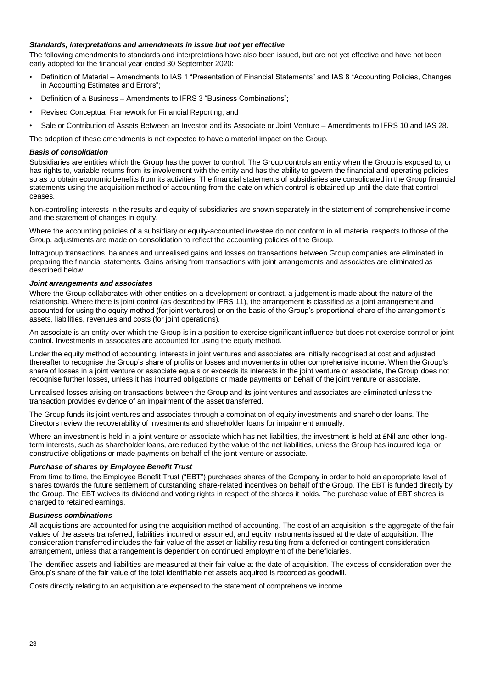# *Standards, interpretations and amendments in issue but not yet effective*

The following amendments to standards and interpretations have also been issued, but are not yet effective and have not been early adopted for the financial year ended 30 September 2020:

- Definition of Material Amendments to IAS 1 "Presentation of Financial Statements" and IAS 8 "Accounting Policies, Changes in Accounting Estimates and Errors";
- Definition of a Business Amendments to IFRS 3 "Business Combinations";
- Revised Conceptual Framework for Financial Reporting; and
- Sale or Contribution of Assets Between an Investor and its Associate or Joint Venture Amendments to IFRS 10 and IAS 28.

The adoption of these amendments is not expected to have a material impact on the Group.

#### *Basis of consolidation*

Subsidiaries are entities which the Group has the power to control. The Group controls an entity when the Group is exposed to, or has rights to, variable returns from its involvement with the entity and has the ability to govern the financial and operating policies so as to obtain economic benefits from its activities. The financial statements of subsidiaries are consolidated in the Group financial statements using the acquisition method of accounting from the date on which control is obtained up until the date that control ceases.

Non-controlling interests in the results and equity of subsidiaries are shown separately in the statement of comprehensive income and the statement of changes in equity.

Where the accounting policies of a subsidiary or equity-accounted investee do not conform in all material respects to those of the Group, adjustments are made on consolidation to reflect the accounting policies of the Group.

Intragroup transactions, balances and unrealised gains and losses on transactions between Group companies are eliminated in preparing the financial statements. Gains arising from transactions with joint arrangements and associates are eliminated as described below.

# *Joint arrangements and associates*

Where the Group collaborates with other entities on a development or contract, a judgement is made about the nature of the relationship. Where there is joint control (as described by IFRS 11), the arrangement is classified as a joint arrangement and accounted for using the equity method (for joint ventures) or on the basis of the Group's proportional share of the arrangement's assets, liabilities, revenues and costs (for joint operations).

An associate is an entity over which the Group is in a position to exercise significant influence but does not exercise control or joint control. Investments in associates are accounted for using the equity method.

Under the equity method of accounting, interests in joint ventures and associates are initially recognised at cost and adjusted thereafter to recognise the Group's share of profits or losses and movements in other comprehensive income. When the Group's share of losses in a joint venture or associate equals or exceeds its interests in the joint venture or associate, the Group does not recognise further losses, unless it has incurred obligations or made payments on behalf of the joint venture or associate.

Unrealised losses arising on transactions between the Group and its joint ventures and associates are eliminated unless the transaction provides evidence of an impairment of the asset transferred.

The Group funds its joint ventures and associates through a combination of equity investments and shareholder loans. The Directors review the recoverability of investments and shareholder loans for impairment annually.

Where an investment is held in a joint venture or associate which has net liabilities, the investment is held at £Nil and other longterm interests, such as shareholder loans, are reduced by the value of the net liabilities, unless the Group has incurred legal or constructive obligations or made payments on behalf of the joint venture or associate.

#### *Purchase of shares by Employee Benefit Trust*

From time to time, the Employee Benefit Trust ("EBT") purchases shares of the Company in order to hold an appropriate level of shares towards the future settlement of outstanding share-related incentives on behalf of the Group. The EBT is funded directly by the Group. The EBT waives its dividend and voting rights in respect of the shares it holds. The purchase value of EBT shares is charged to retained earnings.

#### *Business combinations*

All acquisitions are accounted for using the acquisition method of accounting. The cost of an acquisition is the aggregate of the fair values of the assets transferred, liabilities incurred or assumed, and equity instruments issued at the date of acquisition. The consideration transferred includes the fair value of the asset or liability resulting from a deferred or contingent consideration arrangement, unless that arrangement is dependent on continued employment of the beneficiaries.

The identified assets and liabilities are measured at their fair value at the date of acquisition. The excess of consideration over the Group's share of the fair value of the total identifiable net assets acquired is recorded as goodwill.

Costs directly relating to an acquisition are expensed to the statement of comprehensive income.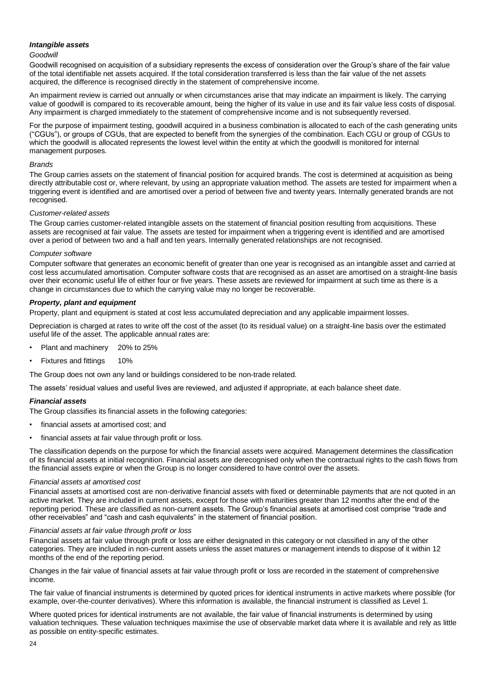# *Intangible assets*

#### *Goodwill*

Goodwill recognised on acquisition of a subsidiary represents the excess of consideration over the Group's share of the fair value of the total identifiable net assets acquired. If the total consideration transferred is less than the fair value of the net assets acquired, the difference is recognised directly in the statement of comprehensive income.

An impairment review is carried out annually or when circumstances arise that may indicate an impairment is likely. The carrying value of goodwill is compared to its recoverable amount, being the higher of its value in use and its fair value less costs of disposal. Any impairment is charged immediately to the statement of comprehensive income and is not subsequently reversed.

For the purpose of impairment testing, goodwill acquired in a business combination is allocated to each of the cash generating units ("CGUs"), or groups of CGUs, that are expected to benefit from the synergies of the combination. Each CGU or group of CGUs to which the goodwill is allocated represents the lowest level within the entity at which the goodwill is monitored for internal management purposes.

#### *Brands*

The Group carries assets on the statement of financial position for acquired brands. The cost is determined at acquisition as being directly attributable cost or, where relevant, by using an appropriate valuation method. The assets are tested for impairment when a triggering event is identified and are amortised over a period of between five and twenty years. Internally generated brands are not recognised.

#### *Customer-related assets*

The Group carries customer-related intangible assets on the statement of financial position resulting from acquisitions. These assets are recognised at fair value. The assets are tested for impairment when a triggering event is identified and are amortised over a period of between two and a half and ten years. Internally generated relationships are not recognised.

#### *Computer software*

Computer software that generates an economic benefit of greater than one year is recognised as an intangible asset and carried at cost less accumulated amortisation. Computer software costs that are recognised as an asset are amortised on a straight-line basis over their economic useful life of either four or five years. These assets are reviewed for impairment at such time as there is a change in circumstances due to which the carrying value may no longer be recoverable.

# *Property, plant and equipment*

Property, plant and equipment is stated at cost less accumulated depreciation and any applicable impairment losses.

Depreciation is charged at rates to write off the cost of the asset (to its residual value) on a straight-line basis over the estimated useful life of the asset. The applicable annual rates are:

- Plant and machinery 20% to 25%
- Fixtures and fittings 10%

The Group does not own any land or buildings considered to be non-trade related.

The assets' residual values and useful lives are reviewed, and adjusted if appropriate, at each balance sheet date.

# *Financial assets*

The Group classifies its financial assets in the following categories:

- financial assets at amortised cost; and
- financial assets at fair value through profit or loss.

The classification depends on the purpose for which the financial assets were acquired. Management determines the classification of its financial assets at initial recognition. Financial assets are derecognised only when the contractual rights to the cash flows from the financial assets expire or when the Group is no longer considered to have control over the assets.

#### *Financial assets at amortised cost*

Financial assets at amortised cost are non-derivative financial assets with fixed or determinable payments that are not quoted in an active market. They are included in current assets, except for those with maturities greater than 12 months after the end of the reporting period. These are classified as non-current assets. The Group's financial assets at amortised cost comprise "trade and other receivables" and "cash and cash equivalents" in the statement of financial position.

# *Financial assets at fair value through profit or loss*

Financial assets at fair value through profit or loss are either designated in this category or not classified in any of the other categories. They are included in non-current assets unless the asset matures or management intends to dispose of it within 12 months of the end of the reporting period.

Changes in the fair value of financial assets at fair value through profit or loss are recorded in the statement of comprehensive income.

The fair value of financial instruments is determined by quoted prices for identical instruments in active markets where possible (for example, over-the-counter derivatives). Where this information is available, the financial instrument is classified as Level 1.

Where quoted prices for identical instruments are not available, the fair value of financial instruments is determined by using valuation techniques. These valuation techniques maximise the use of observable market data where it is available and rely as little as possible on entity-specific estimates.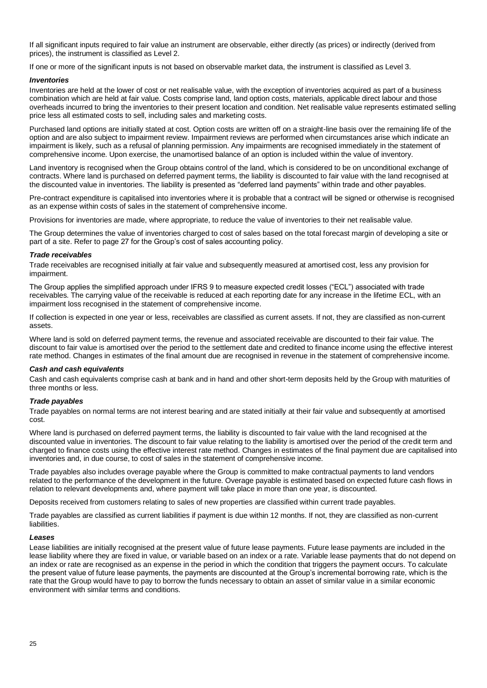If all significant inputs required to fair value an instrument are observable, either directly (as prices) or indirectly (derived from prices), the instrument is classified as Level 2.

If one or more of the significant inputs is not based on observable market data, the instrument is classified as Level 3.

#### *Inventories*

Inventories are held at the lower of cost or net realisable value, with the exception of inventories acquired as part of a business combination which are held at fair value. Costs comprise land, land option costs, materials, applicable direct labour and those overheads incurred to bring the inventories to their present location and condition. Net realisable value represents estimated selling price less all estimated costs to sell, including sales and marketing costs.

Purchased land options are initially stated at cost. Option costs are written off on a straight-line basis over the remaining life of the option and are also subject to impairment review. Impairment reviews are performed when circumstances arise which indicate an impairment is likely, such as a refusal of planning permission. Any impairments are recognised immediately in the statement of comprehensive income. Upon exercise, the unamortised balance of an option is included within the value of inventory.

Land inventory is recognised when the Group obtains control of the land, which is considered to be on unconditional exchange of contracts. Where land is purchased on deferred payment terms, the liability is discounted to fair value with the land recognised at the discounted value in inventories. The liability is presented as "deferred land payments" within trade and other payables.

Pre-contract expenditure is capitalised into inventories where it is probable that a contract will be signed or otherwise is recognised as an expense within costs of sales in the statement of comprehensive income.

Provisions for inventories are made, where appropriate, to reduce the value of inventories to their net realisable value.

The Group determines the value of inventories charged to cost of sales based on the total forecast margin of developing a site or part of a site. Refer to page 27 for the Group's cost of sales accounting policy.

#### *Trade receivables*

Trade receivables are recognised initially at fair value and subsequently measured at amortised cost, less any provision for impairment.

The Group applies the simplified approach under IFRS 9 to measure expected credit losses ("ECL") associated with trade receivables. The carrying value of the receivable is reduced at each reporting date for any increase in the lifetime ECL, with an impairment loss recognised in the statement of comprehensive income.

If collection is expected in one year or less, receivables are classified as current assets. If not, they are classified as non-current assets.

Where land is sold on deferred payment terms, the revenue and associated receivable are discounted to their fair value. The discount to fair value is amortised over the period to the settlement date and credited to finance income using the effective interest rate method. Changes in estimates of the final amount due are recognised in revenue in the statement of comprehensive income.

#### *Cash and cash equivalents*

Cash and cash equivalents comprise cash at bank and in hand and other short-term deposits held by the Group with maturities of three months or less.

#### *Trade payables*

Trade payables on normal terms are not interest bearing and are stated initially at their fair value and subsequently at amortised cost.

Where land is purchased on deferred payment terms, the liability is discounted to fair value with the land recognised at the discounted value in inventories. The discount to fair value relating to the liability is amortised over the period of the credit term and charged to finance costs using the effective interest rate method. Changes in estimates of the final payment due are capitalised into inventories and, in due course, to cost of sales in the statement of comprehensive income.

Trade payables also includes overage payable where the Group is committed to make contractual payments to land vendors related to the performance of the development in the future. Overage payable is estimated based on expected future cash flows in relation to relevant developments and, where payment will take place in more than one year, is discounted.

Deposits received from customers relating to sales of new properties are classified within current trade payables.

Trade payables are classified as current liabilities if payment is due within 12 months. If not, they are classified as non-current liabilities.

#### *Leases*

Lease liabilities are initially recognised at the present value of future lease payments. Future lease payments are included in the lease liability where they are fixed in value, or variable based on an index or a rate. Variable lease payments that do not depend on an index or rate are recognised as an expense in the period in which the condition that triggers the payment occurs. To calculate the present value of future lease payments, the payments are discounted at the Group's incremental borrowing rate, which is the rate that the Group would have to pay to borrow the funds necessary to obtain an asset of similar value in a similar economic environment with similar terms and conditions.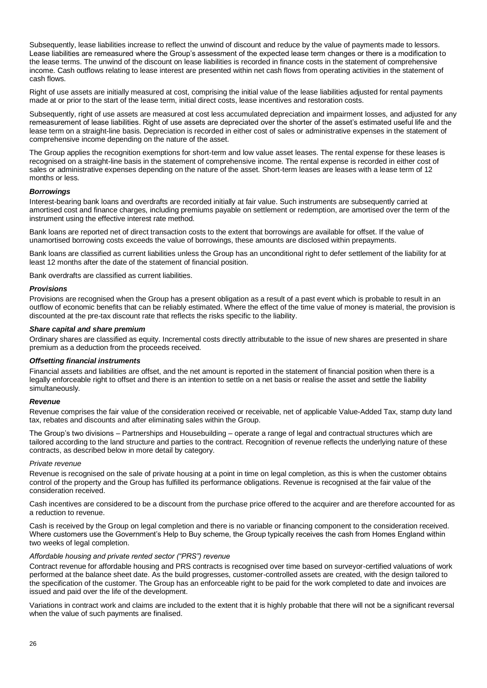Subsequently, lease liabilities increase to reflect the unwind of discount and reduce by the value of payments made to lessors. Lease liabilities are remeasured where the Group's assessment of the expected lease term changes or there is a modification to the lease terms. The unwind of the discount on lease liabilities is recorded in finance costs in the statement of comprehensive income. Cash outflows relating to lease interest are presented within net cash flows from operating activities in the statement of cash flows.

Right of use assets are initially measured at cost, comprising the initial value of the lease liabilities adjusted for rental payments made at or prior to the start of the lease term, initial direct costs, lease incentives and restoration costs.

Subsequently, right of use assets are measured at cost less accumulated depreciation and impairment losses, and adjusted for any remeasurement of lease liabilities. Right of use assets are depreciated over the shorter of the asset's estimated useful life and the lease term on a straight-line basis. Depreciation is recorded in either cost of sales or administrative expenses in the statement of comprehensive income depending on the nature of the asset.

The Group applies the recognition exemptions for short-term and low value asset leases. The rental expense for these leases is recognised on a straight-line basis in the statement of comprehensive income. The rental expense is recorded in either cost of sales or administrative expenses depending on the nature of the asset. Short-term leases are leases with a lease term of 12 months or less.

#### *Borrowings*

Interest-bearing bank loans and overdrafts are recorded initially at fair value. Such instruments are subsequently carried at amortised cost and finance charges, including premiums payable on settlement or redemption, are amortised over the term of the instrument using the effective interest rate method.

Bank loans are reported net of direct transaction costs to the extent that borrowings are available for offset. If the value of unamortised borrowing costs exceeds the value of borrowings, these amounts are disclosed within prepayments.

Bank loans are classified as current liabilities unless the Group has an unconditional right to defer settlement of the liability for at least 12 months after the date of the statement of financial position.

Bank overdrafts are classified as current liabilities.

#### *Provisions*

Provisions are recognised when the Group has a present obligation as a result of a past event which is probable to result in an outflow of economic benefits that can be reliably estimated. Where the effect of the time value of money is material, the provision is discounted at the pre-tax discount rate that reflects the risks specific to the liability.

#### *Share capital and share premium*

Ordinary shares are classified as equity. Incremental costs directly attributable to the issue of new shares are presented in share premium as a deduction from the proceeds received.

#### *Offsetting financial instruments*

Financial assets and liabilities are offset, and the net amount is reported in the statement of financial position when there is a legally enforceable right to offset and there is an intention to settle on a net basis or realise the asset and settle the liability simultaneously.

#### *Revenue*

Revenue comprises the fair value of the consideration received or receivable, net of applicable Value-Added Tax, stamp duty land tax, rebates and discounts and after eliminating sales within the Group.

The Group's two divisions – Partnerships and Housebuilding – operate a range of legal and contractual structures which are tailored according to the land structure and parties to the contract. Recognition of revenue reflects the underlying nature of these contracts, as described below in more detail by category.

#### *Private revenue*

Revenue is recognised on the sale of private housing at a point in time on legal completion, as this is when the customer obtains control of the property and the Group has fulfilled its performance obligations. Revenue is recognised at the fair value of the consideration received.

Cash incentives are considered to be a discount from the purchase price offered to the acquirer and are therefore accounted for as a reduction to revenue.

Cash is received by the Group on legal completion and there is no variable or financing component to the consideration received. Where customers use the Government's Help to Buy scheme, the Group typically receives the cash from Homes England within two weeks of legal completion.

#### *Affordable housing and private rented sector ("PRS") revenue*

Contract revenue for affordable housing and PRS contracts is recognised over time based on surveyor-certified valuations of work performed at the balance sheet date. As the build progresses, customer-controlled assets are created, with the design tailored to the specification of the customer. The Group has an enforceable right to be paid for the work completed to date and invoices are issued and paid over the life of the development.

Variations in contract work and claims are included to the extent that it is highly probable that there will not be a significant reversal when the value of such payments are finalised.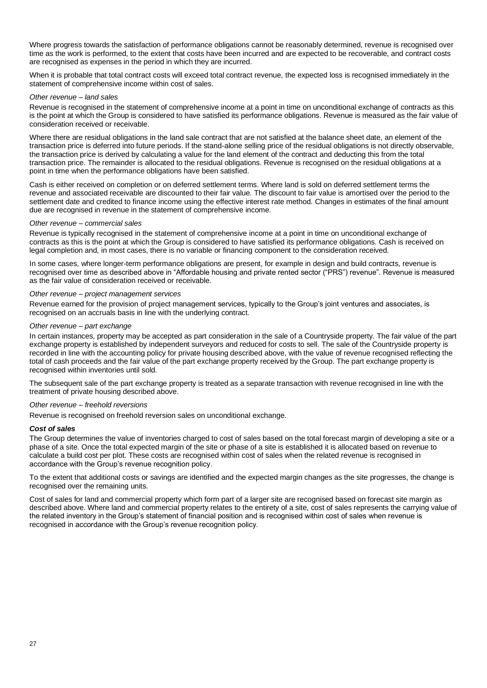Where progress towards the satisfaction of performance obligations cannot be reasonably determined, revenue is recognised over time as the work is performed, to the extent that costs have been incurred and are expected to be recoverable, and contract costs are recognised as expenses in the period in which they are incurred.

When it is probable that total contract costs will exceed total contract revenue, the expected loss is recognised immediately in the statement of comprehensive income within cost of sales.

#### *Other revenue – land sales*

Revenue is recognised in the statement of comprehensive income at a point in time on unconditional exchange of contracts as this is the point at which the Group is considered to have satisfied its performance obligations. Revenue is measured as the fair value of consideration received or receivable.

Where there are residual obligations in the land sale contract that are not satisfied at the balance sheet date, an element of the transaction price is deferred into future periods. If the stand-alone selling price of the residual obligations is not directly observable, the transaction price is derived by calculating a value for the land element of the contract and deducting this from the total transaction price. The remainder is allocated to the residual obligations. Revenue is recognised on the residual obligations at a point in time when the performance obligations have been satisfied.

Cash is either received on completion or on deferred settlement terms. Where land is sold on deferred settlement terms the revenue and associated receivable are discounted to their fair value. The discount to fair value is amortised over the period to the settlement date and credited to finance income using the effective interest rate method. Changes in estimates of the final amount due are recognised in revenue in the statement of comprehensive income.

#### *Other revenue – commercial sales*

Revenue is typically recognised in the statement of comprehensive income at a point in time on unconditional exchange of contracts as this is the point at which the Group is considered to have satisfied its performance obligations. Cash is received on legal completion and, in most cases, there is no variable or financing component to the consideration received.

In some cases, where longer-term performance obligations are present, for example in design and build contracts, revenue is recognised over time as described above in "Affordable housing and private rented sector ("PRS") revenue". Revenue is measured as the fair value of consideration received or receivable.

#### *Other revenue – project management services*

Revenue earned for the provision of project management services, typically to the Group's joint ventures and associates, is recognised on an accruals basis in line with the underlying contract.

#### *Other revenue – part exchange*

In certain instances, property may be accepted as part consideration in the sale of a Countryside property. The fair value of the part exchange property is established by independent surveyors and reduced for costs to sell. The sale of the Countryside property is recorded in line with the accounting policy for private housing described above, with the value of revenue recognised reflecting the total of cash proceeds and the fair value of the part exchange property received by the Group. The part exchange property is recognised within inventories until sold.

The subsequent sale of the part exchange property is treated as a separate transaction with revenue recognised in line with the treatment of private housing described above.

#### *Other revenue – freehold reversions*

Revenue is recognised on freehold reversion sales on unconditional exchange.

#### *Cost of sales*

The Group determines the value of inventories charged to cost of sales based on the total forecast margin of developing a site or a phase of a site. Once the total expected margin of the site or phase of a site is established it is allocated based on revenue to calculate a build cost per plot. These costs are recognised within cost of sales when the related revenue is recognised in accordance with the Group's revenue recognition policy.

To the extent that additional costs or savings are identified and the expected margin changes as the site progresses, the change is recognised over the remaining units.

Cost of sales for land and commercial property which form part of a larger site are recognised based on forecast site margin as described above. Where land and commercial property relates to the entirety of a site, cost of sales represents the carrying value of the related inventory in the Group's statement of financial position and is recognised within cost of sales when revenue is recognised in accordance with the Group's revenue recognition policy.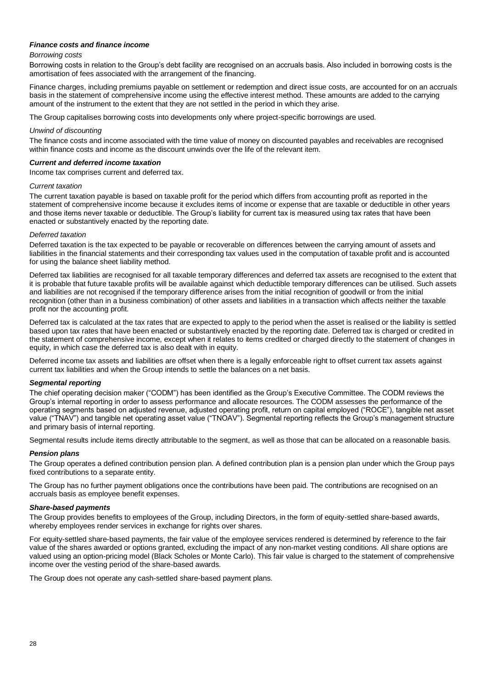# *Finance costs and finance income*

#### *Borrowing costs*

Borrowing costs in relation to the Group's debt facility are recognised on an accruals basis. Also included in borrowing costs is the amortisation of fees associated with the arrangement of the financing.

Finance charges, including premiums payable on settlement or redemption and direct issue costs, are accounted for on an accruals basis in the statement of comprehensive income using the effective interest method. These amounts are added to the carrying amount of the instrument to the extent that they are not settled in the period in which they arise.

The Group capitalises borrowing costs into developments only where project-specific borrowings are used.

#### *Unwind of discounting*

The finance costs and income associated with the time value of money on discounted payables and receivables are recognised within finance costs and income as the discount unwinds over the life of the relevant item.

#### *Current and deferred income taxation*

Income tax comprises current and deferred tax.

#### *Current taxation*

The current taxation payable is based on taxable profit for the period which differs from accounting profit as reported in the statement of comprehensive income because it excludes items of income or expense that are taxable or deductible in other years and those items never taxable or deductible. The Group's liability for current tax is measured using tax rates that have been enacted or substantively enacted by the reporting date.

#### *Deferred taxation*

Deferred taxation is the tax expected to be payable or recoverable on differences between the carrying amount of assets and liabilities in the financial statements and their corresponding tax values used in the computation of taxable profit and is accounted for using the balance sheet liability method.

Deferred tax liabilities are recognised for all taxable temporary differences and deferred tax assets are recognised to the extent that it is probable that future taxable profits will be available against which deductible temporary differences can be utilised. Such assets and liabilities are not recognised if the temporary difference arises from the initial recognition of goodwill or from the initial recognition (other than in a business combination) of other assets and liabilities in a transaction which affects neither the taxable profit nor the accounting profit.

Deferred tax is calculated at the tax rates that are expected to apply to the period when the asset is realised or the liability is settled based upon tax rates that have been enacted or substantively enacted by the reporting date. Deferred tax is charged or credited in the statement of comprehensive income, except when it relates to items credited or charged directly to the statement of changes in equity, in which case the deferred tax is also dealt with in equity.

Deferred income tax assets and liabilities are offset when there is a legally enforceable right to offset current tax assets against current tax liabilities and when the Group intends to settle the balances on a net basis.

#### *Segmental reporting*

The chief operating decision maker ("CODM") has been identified as the Group's Executive Committee. The CODM reviews the Group's internal reporting in order to assess performance and allocate resources. The CODM assesses the performance of the operating segments based on adjusted revenue, adjusted operating profit, return on capital employed ("ROCE"), tangible net asset value ("TNAV") and tangible net operating asset value ("TNOAV"). Segmental reporting reflects the Group's management structure and primary basis of internal reporting.

Segmental results include items directly attributable to the segment, as well as those that can be allocated on a reasonable basis.

#### *Pension plans*

The Group operates a defined contribution pension plan. A defined contribution plan is a pension plan under which the Group pays fixed contributions to a separate entity.

The Group has no further payment obligations once the contributions have been paid. The contributions are recognised on an accruals basis as employee benefit expenses.

#### *Share-based payments*

The Group provides benefits to employees of the Group, including Directors, in the form of equity-settled share-based awards, whereby employees render services in exchange for rights over shares.

For equity-settled share-based payments, the fair value of the employee services rendered is determined by reference to the fair value of the shares awarded or options granted, excluding the impact of any non-market vesting conditions. All share options are valued using an option-pricing model (Black Scholes or Monte Carlo). This fair value is charged to the statement of comprehensive income over the vesting period of the share-based awards.

The Group does not operate any cash-settled share-based payment plans.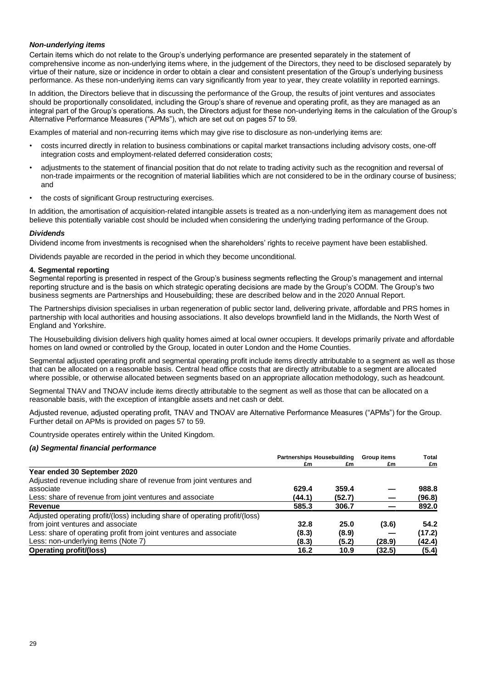# *Non-underlying items*

Certain items which do not relate to the Group's underlying performance are presented separately in the statement of comprehensive income as non-underlying items where, in the judgement of the Directors, they need to be disclosed separately by virtue of their nature, size or incidence in order to obtain a clear and consistent presentation of the Group's underlying business performance. As these non-underlying items can vary significantly from year to year, they create volatility in reported earnings.

In addition, the Directors believe that in discussing the performance of the Group, the results of joint ventures and associates should be proportionally consolidated, including the Group's share of revenue and operating profit, as they are managed as an integral part of the Group's operations. As such, the Directors adjust for these non-underlying items in the calculation of the Group's Alternative Performance Measures ("APMs"), which are set out on pages 57 to 59.

Examples of material and non-recurring items which may give rise to disclosure as non-underlying items are:

- costs incurred directly in relation to business combinations or capital market transactions including advisory costs, one-off integration costs and employment-related deferred consideration costs;
- adjustments to the statement of financial position that do not relate to trading activity such as the recognition and reversal of non-trade impairments or the recognition of material liabilities which are not considered to be in the ordinary course of business; and
- the costs of significant Group restructuring exercises.

In addition, the amortisation of acquisition-related intangible assets is treated as a non-underlying item as management does not believe this potentially variable cost should be included when considering the underlying trading performance of the Group.

#### *Dividends*

Dividend income from investments is recognised when the shareholders' rights to receive payment have been established.

Dividends payable are recorded in the period in which they become unconditional.

#### **4. Segmental reporting**

Segmental reporting is presented in respect of the Group's business segments reflecting the Group's management and internal reporting structure and is the basis on which strategic operating decisions are made by the Group's CODM. The Group's two business segments are Partnerships and Housebuilding; these are described below and in the 2020 Annual Report.

The Partnerships division specialises in urban regeneration of public sector land, delivering private, affordable and PRS homes in partnership with local authorities and housing associations. It also develops brownfield land in the Midlands, the North West of England and Yorkshire.

The Housebuilding division delivers high quality homes aimed at local owner occupiers. It develops primarily private and affordable homes on land owned or controlled by the Group, located in outer London and the Home Counties.

Segmental adjusted operating profit and segmental operating profit include items directly attributable to a segment as well as those that can be allocated on a reasonable basis. Central head office costs that are directly attributable to a segment are allocated where possible, or otherwise allocated between segments based on an appropriate allocation methodology, such as headcount.

Segmental TNAV and TNOAV include items directly attributable to the segment as well as those that can be allocated on a reasonable basis, with the exception of intangible assets and net cash or debt.

Adjusted revenue, adjusted operating profit, TNAV and TNOAV are Alternative Performance Measures ("APMs") for the Group. Further detail on APMs is provided on pages 57 to 59.

Countryside operates entirely within the United Kingdom.

# *(a) Segmental financial performance*

|                                                                             | Partnerships Housebuilding |        | <b>Group items</b> | Total  |
|-----------------------------------------------------------------------------|----------------------------|--------|--------------------|--------|
|                                                                             | £m                         | £m     | £m                 | £m     |
| Year ended 30 September 2020                                                |                            |        |                    |        |
| Adjusted revenue including share of revenue from joint ventures and         |                            |        |                    |        |
| associate                                                                   | 629.4                      | 359.4  |                    | 988.8  |
| Less: share of revenue from joint ventures and associate                    | (44.1)                     | (52.7) |                    | (96.8) |
| Revenue                                                                     | 585.3                      | 306.7  |                    | 892.0  |
| Adjusted operating profit/(loss) including share of operating profit/(loss) |                            |        |                    |        |
| from joint ventures and associate                                           | 32.8                       | 25.0   | (3.6)              | 54.2   |
| Less: share of operating profit from joint ventures and associate           | (8.3)                      | (8.9)  |                    | (17.2) |
| Less: non-underlying items (Note 7)                                         | (8.3)                      | (5.2)  | (28.9)             | (42.4) |
| <b>Operating profit/(loss)</b>                                              | 16.2                       | 10.9   | (32.5)             | (5.4)  |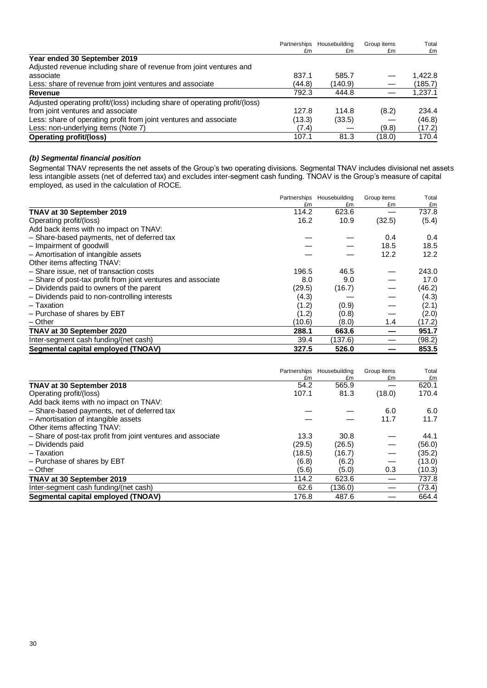|                                                                             | Partnerships | Housebuilding | Group items | Total   |
|-----------------------------------------------------------------------------|--------------|---------------|-------------|---------|
|                                                                             | £m           | £m            | £m          | £m      |
| Year ended 30 September 2019                                                |              |               |             |         |
| Adjusted revenue including share of revenue from joint ventures and         |              |               |             |         |
| associate                                                                   | 837.1        | 585.7         |             | 1.422.8 |
| Less: share of revenue from joint ventures and associate                    | (44.8)       | (140.9)       |             | (185.7) |
| <b>Revenue</b>                                                              | 792.3        | 444.8         |             | 1,237.1 |
| Adjusted operating profit/(loss) including share of operating profit/(loss) |              |               |             |         |
| from joint ventures and associate                                           | 127.8        | 114.8         | (8.2)       | 234.4   |
| Less: share of operating profit from joint ventures and associate           | (13.3)       | (33.5)        |             | (46.8)  |
| Less: non-underlying items (Note 7)                                         | (7.4)        |               | (9.8)       | (17.2)  |
| <b>Operating profit/(loss)</b>                                              | 107.1        | 81.3          | (18.0)      | 170.4   |

# *(b) Segmental financial position*

Segmental TNAV represents the net assets of the Group's two operating divisions. Segmental TNAV includes divisional net assets less intangible assets (net of deferred tax) and excludes inter-segment cash funding. TNOAV is the Group's measure of capital employed, as used in the calculation of ROCE.

|                                                              | Partnerships | Housebuilding | Group items | Total  |
|--------------------------------------------------------------|--------------|---------------|-------------|--------|
|                                                              | £m           | £m            | £m          | £m     |
| TNAV at 30 September 2019                                    | 114.2        | 623.6         |             | 737.8  |
| Operating profit/(loss)                                      | 16.2         | 10.9          | (32.5)      | (5.4)  |
| Add back items with no impact on TNAV:                       |              |               |             |        |
| - Share-based payments, net of deferred tax                  |              |               | 0.4         | 0.4    |
| - Impairment of goodwill                                     |              |               | 18.5        | 18.5   |
| - Amortisation of intangible assets                          |              |               | 12.2        | 12.2   |
| Other items affecting TNAV:                                  |              |               |             |        |
| - Share issue, net of transaction costs                      | 196.5        | 46.5          |             | 243.0  |
| - Share of post-tax profit from joint ventures and associate | 8.0          | 9.0           |             | 17.0   |
| - Dividends paid to owners of the parent                     | (29.5)       | (16.7)        |             | (46.2) |
| - Dividends paid to non-controlling interests                | (4.3)        |               |             | (4.3)  |
| - Taxation                                                   | (1.2)        | (0.9)         |             | (2.1)  |
| - Purchase of shares by EBT                                  | (1.2)        | (0.8)         |             | (2.0)  |
| $-$ Other                                                    | (10.6)       | (8.0)         | 1.4         | (17.2) |
| TNAV at 30 September 2020                                    | 288.1        | 663.6         |             | 951.7  |
| Inter-segment cash funding/(net cash)                        | 39.4         | (137.6)       |             | (98.2) |
| Segmental capital employed (TNOAV)                           | 327.5        | 526.0         |             | 853.5  |

|                                                              | Partnerships | Housebuilding | Group items | Total  |
|--------------------------------------------------------------|--------------|---------------|-------------|--------|
|                                                              | £m           | £m            | £m          | £m     |
| TNAV at 30 September 2018                                    | 54.2         | 565.9         |             | 620.1  |
| Operating profit/(loss)                                      | 107.1        | 81.3          | (18.0)      | 170.4  |
| Add back items with no impact on TNAV:                       |              |               |             |        |
| - Share-based payments, net of deferred tax                  |              |               | 6.0         | 6.0    |
| - Amortisation of intangible assets                          |              |               | 11.7        | 11.7   |
| Other items affecting TNAV:                                  |              |               |             |        |
| - Share of post-tax profit from joint ventures and associate | 13.3         | 30.8          |             | 44.1   |
| - Dividends paid                                             | (29.5)       | (26.5)        |             | (56.0) |
| - Taxation                                                   | (18.5)       | (16.7)        |             | (35.2) |
| - Purchase of shares by EBT                                  | (6.8)        | (6.2)         |             | (13.0) |
| $-$ Other                                                    | (5.6)        | (5.0)         | 0.3         | (10.3) |
| TNAV at 30 September 2019                                    | 114.2        | 623.6         |             | 737.8  |
| Inter-segment cash funding/(net cash)                        | 62.6         | (136.0)       |             | (73.4) |
| Segmental capital employed (TNOAV)                           | 176.8        | 487.6         |             | 664.4  |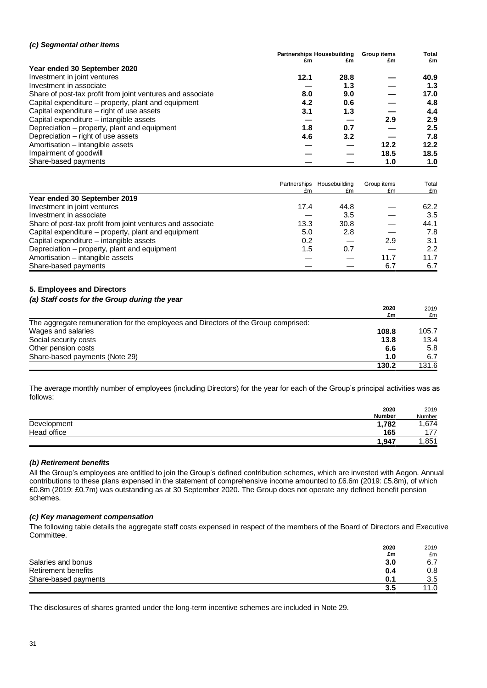#### *(c) Segmental other items*

|                                                            | Partnerships Housebuilding |      | <b>Group items</b> | <b>Total</b> |
|------------------------------------------------------------|----------------------------|------|--------------------|--------------|
|                                                            | £m                         | £m   | £m                 | £m           |
| Year ended 30 September 2020                               |                            |      |                    |              |
| Investment in joint ventures                               | 12.1                       | 28.8 |                    | 40.9         |
| Investment in associate                                    |                            | 1.3  |                    | 1.3          |
| Share of post-tax profit from joint ventures and associate | 8.0                        | 9.0  |                    | 17.0         |
| Capital expenditure – property, plant and equipment        | 4.2                        | 0.6  |                    | 4.8          |
| Capital expenditure – right of use assets                  | 3.1                        | 1.3  |                    | 4.4          |
| Capital expenditure - intangible assets                    |                            |      | 2.9                | 2.9          |
| Depreciation – property, plant and equipment               | 1.8                        | 0.7  |                    | 2.5          |
| Depreciation – right of use assets                         | 4.6                        | 3.2  |                    | 7.8          |
| Amortisation - intangible assets                           |                            |      | 12.2               | 12.2         |
| Impairment of goodwill                                     |                            |      | 18.5               | 18.5         |
| Share-based payments                                       |                            |      | 1.0                | 1.0          |

|                                                            |      | Partnerships Housebuilding | Group items | Total |
|------------------------------------------------------------|------|----------------------------|-------------|-------|
|                                                            | £m   | £m                         | £m          | £m    |
| Year ended 30 September 2019                               |      |                            |             |       |
| Investment in joint ventures                               | 17.4 | 44.8                       |             | 62.2  |
| Investment in associate                                    |      | 3.5                        |             | 3.5   |
| Share of post-tax profit from joint ventures and associate | 13.3 | 30.8                       |             | 44.1  |
| Capital expenditure – property, plant and equipment        | 5.0  | 2.8                        |             | 7.8   |
| Capital expenditure – intangible assets                    | 0.2  |                            | 2.9         | 3.1   |
| Depreciation – property, plant and equipment               | 1.5  | 0.7                        |             | 2.2   |
| Amortisation - intangible assets                           |      |                            | 11.7        | 11.7  |
| Share-based payments                                       |      |                            | 6.7         | 6.7   |

#### **5. Employees and Directors**

# *(a) Staff costs for the Group during the year*

|                                                                                    | 2020  | 2019  |
|------------------------------------------------------------------------------------|-------|-------|
|                                                                                    | £m    | £m    |
| The aggregate remuneration for the employees and Directors of the Group comprised: |       |       |
| Wages and salaries                                                                 | 108.8 | 105.7 |
| Social security costs                                                              | 13.8  | 13.4  |
| Other pension costs                                                                | 6.6   | 5.8   |
| Share-based payments (Note 29)                                                     | 1.0   | 6.7   |
|                                                                                    | 130.2 | 131.6 |

The average monthly number of employees (including Directors) for the year for each of the Group's principal activities was as follows:

|             | 2020          | 2019   |
|-------------|---------------|--------|
|             | <b>Number</b> | Number |
| Development | 1,782         | .674   |
| Head office | 165           | 177    |
|             | 947. ا        | .851   |

#### *(b) Retirement benefits*

All the Group's employees are entitled to join the Group's defined contribution schemes, which are invested with Aegon. Annual contributions to these plans expensed in the statement of comprehensive income amounted to £6.6m (2019: £5.8m), of which £0.8m (2019: £0.7m) was outstanding as at 30 September 2020. The Group does not operate any defined benefit pension schemes.

#### *(c) Key management compensation*

The following table details the aggregate staff costs expensed in respect of the members of the Board of Directors and Executive Committee.

|                      | 2020 | 2019 |
|----------------------|------|------|
|                      | £m   | £m   |
| Salaries and bonus   | 3.0  | 6.7  |
| Retirement benefits  | 0.4  | 0.8  |
| Share-based payments | 0.1  | 3.5  |
|                      | 3.5  | 11.0 |

The disclosures of shares granted under the long-term incentive schemes are included in Note 29.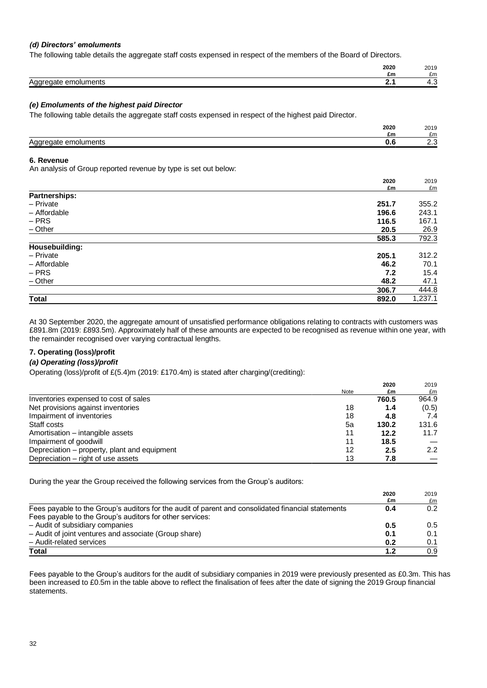# *(d) Directors' emoluments*

The following table details the aggregate staff costs expensed in respect of the members of the Board of Directors.

|     | 2020 | 2019 |
|-----|------|------|
|     | zm   | £m   |
| Agg | --   | ں.+  |

# *(e) Emoluments of the highest paid Director*

The following table details the aggregate staff costs expensed in respect of the highest paid Director.

|                                                       | 2020 | 2019     |
|-------------------------------------------------------|------|----------|
|                                                       | £m   | £m       |
| Anr<br>$\sim$ 0m <sup>-</sup><br>ments<br>ווחר<br>JJ. |      | $\cdots$ |

#### **6. Revenue**

An analysis of Group reported revenue by type is set out below:

|                | 2020  | 2019    |
|----------------|-------|---------|
|                | £m    | £m      |
| Partnerships:  |       |         |
| - Private      | 251.7 | 355.2   |
| - Affordable   | 196.6 | 243.1   |
| $-$ PRS        | 116.5 | 167.1   |
| $-$ Other      | 20.5  | 26.9    |
|                | 585.3 | 792.3   |
| Housebuilding: |       |         |
| - Private      | 205.1 | 312.2   |
| - Affordable   | 46.2  | 70.1    |
| $-$ PRS        | 7.2   | 15.4    |
| $-$ Other      | 48.2  | 47.1    |
|                | 306.7 | 444.8   |
| Total          | 892.0 | 1,237.1 |
|                |       |         |

At 30 September 2020, the aggregate amount of unsatisfied performance obligations relating to contracts with customers was £891.8m (2019: £893.5m). Approximately half of these amounts are expected to be recognised as revenue within one year, with the remainder recognised over varying contractual lengths.

### **7. Operating (loss)/profit**

# *(a) Operating (loss)/profit*

Operating (loss)/profit of £(5.4)m (2019: £170.4m) is stated after charging/(crediting):

|                                              |      | 2020  | 2019  |
|----------------------------------------------|------|-------|-------|
|                                              | Note | £m    | £m    |
| Inventories expensed to cost of sales        |      | 760.5 | 964.9 |
| Net provisions against inventories           | 18   | 1.4   | (0.5) |
| Impairment of inventories                    | 18   | 4.8   | 7.4   |
| Staff costs                                  | 5a   | 130.2 | 131.6 |
| Amortisation - intangible assets             | 11   | 12.2  | 11.7  |
| Impairment of goodwill                       | 11   | 18.5  |       |
| Depreciation – property, plant and equipment | 12   | 2.5   | 2.2   |
| Depreciation – right of use assets           | 13   | 7.8   |       |

During the year the Group received the following services from the Group's auditors:

|                                                                                                    | 2020    | 2019 |
|----------------------------------------------------------------------------------------------------|---------|------|
|                                                                                                    | £m      | £m   |
| Fees payable to the Group's auditors for the audit of parent and consolidated financial statements | 0.4     | 0.2  |
| Fees payable to the Group's auditors for other services:                                           |         |      |
| - Audit of subsidiary companies                                                                    | $0.5\,$ | 0.5  |
| - Audit of joint ventures and associate (Group share)                                              | 0.1     | 0.1  |
| - Audit-related services                                                                           | 0.2     | 0.1  |
| Total                                                                                              | 1.2     | 0.9  |

Fees payable to the Group's auditors for the audit of subsidiary companies in 2019 were previously presented as £0.3m. This has been increased to £0.5m in the table above to reflect the finalisation of fees after the date of signing the 2019 Group financial statements.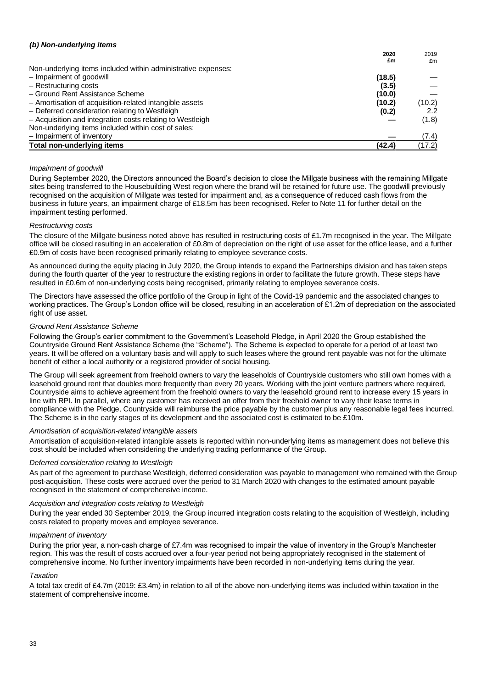# *(b) Non-underlying items*

|                                                               | 2020   | 2019   |
|---------------------------------------------------------------|--------|--------|
|                                                               | £m     | £m     |
| Non-underlying items included within administrative expenses: |        |        |
| - Impairment of goodwill                                      | (18.5) |        |
| - Restructuring costs                                         | (3.5)  |        |
| - Ground Rent Assistance Scheme                               | (10.0) |        |
| - Amortisation of acquisition-related intangible assets       | (10.2) | (10.2) |
| - Deferred consideration relating to Westleigh                | (0.2)  | 2.2    |
| - Acquisition and integration costs relating to Westleigh     |        | (1.8)  |
| Non-underlying items included within cost of sales:           |        |        |
| - Impairment of inventory                                     |        | (7.4)  |
| Total non-underlying items                                    | (42.4) | (17.2) |

# *Impairment of goodwill*

During September 2020, the Directors announced the Board's decision to close the Millgate business with the remaining Millgate sites being transferred to the Housebuilding West region where the brand will be retained for future use. The goodwill previously recognised on the acquisition of Millgate was tested for impairment and, as a consequence of reduced cash flows from the business in future years, an impairment charge of £18.5m has been recognised. Refer to Note 11 for further detail on the impairment testing performed.

#### *Restructuring costs*

The closure of the Millgate business noted above has resulted in restructuring costs of £1.7m recognised in the year. The Millgate office will be closed resulting in an acceleration of £0.8m of depreciation on the right of use asset for the office lease, and a further £0.9m of costs have been recognised primarily relating to employee severance costs.

As announced during the equity placing in July 2020, the Group intends to expand the Partnerships division and has taken steps during the fourth quarter of the year to restructure the existing regions in order to facilitate the future growth. These steps have resulted in £0.6m of non-underlying costs being recognised, primarily relating to employee severance costs.

The Directors have assessed the office portfolio of the Group in light of the Covid-19 pandemic and the associated changes to working practices. The Group's London office will be closed, resulting in an acceleration of £1.2m of depreciation on the associated right of use asset.

#### *Ground Rent Assistance Scheme*

Following the Group's earlier commitment to the Government's Leasehold Pledge, in April 2020 the Group established the Countryside Ground Rent Assistance Scheme (the "Scheme"). The Scheme is expected to operate for a period of at least two years. It will be offered on a voluntary basis and will apply to such leases where the ground rent payable was not for the ultimate benefit of either a local authority or a registered provider of social housing.

The Group will seek agreement from freehold owners to vary the leaseholds of Countryside customers who still own homes with a leasehold ground rent that doubles more frequently than every 20 years. Working with the joint venture partners where required, Countryside aims to achieve agreement from the freehold owners to vary the leasehold ground rent to increase every 15 years in line with RPI. In parallel, where any customer has received an offer from their freehold owner to vary their lease terms in compliance with the Pledge, Countryside will reimburse the price payable by the customer plus any reasonable legal fees incurred. The Scheme is in the early stages of its development and the associated cost is estimated to be £10m.

#### *Amortisation of acquisition-related intangible assets*

Amortisation of acquisition-related intangible assets is reported within non-underlying items as management does not believe this cost should be included when considering the underlying trading performance of the Group.

#### *Deferred consideration relating to Westleigh*

As part of the agreement to purchase Westleigh, deferred consideration was payable to management who remained with the Group post-acquisition. These costs were accrued over the period to 31 March 2020 with changes to the estimated amount payable recognised in the statement of comprehensive income.

#### *Acquisition and integration costs relating to Westleigh*

During the year ended 30 September 2019, the Group incurred integration costs relating to the acquisition of Westleigh, including costs related to property moves and employee severance.

#### *Impairment of inventory*

During the prior year, a non-cash charge of £7.4m was recognised to impair the value of inventory in the Group's Manchester region. This was the result of costs accrued over a four-year period not being appropriately recognised in the statement of comprehensive income. No further inventory impairments have been recorded in non-underlying items during the year.

# *Taxation*

A total tax credit of £4.7m (2019: £3.4m) in relation to all of the above non-underlying items was included within taxation in the statement of comprehensive income.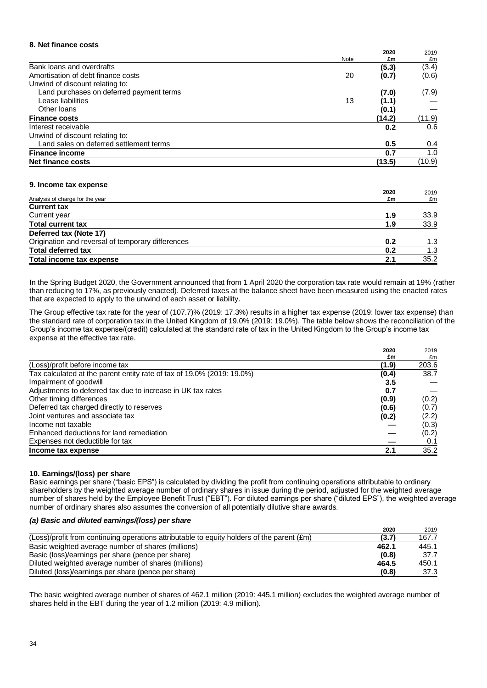#### **8. Net finance costs**

|    | 2020   | 2019   |
|----|--------|--------|
|    | £m     | £m     |
|    | (5.3)  | (3.4)  |
| 20 | (0.7)  | (0.6)  |
|    |        |        |
|    | (7.0)  | (7.9)  |
| 13 | (1.1)  |        |
|    | (0.1)  |        |
|    | (14.2) | (11.9) |
|    | 0.2    | 0.6    |
|    |        |        |
|    | 0.5    | 0.4    |
|    | 0.7    | 1.0    |
|    | (13.5) | (10.9) |
|    | Note   |        |

#### **9. Income tax expense**

| 2020 | 2019 |
|------|------|
| £m   | £m   |
|      |      |
| 1.9  | 33.9 |
| 1.9  | 33.9 |
|      |      |
| 0.2  | 1.3  |
| 0.2  | 1.3  |
| 2.1  | 35.2 |
|      |      |

In the Spring Budget 2020, the Government announced that from 1 April 2020 the corporation tax rate would remain at 19% (rather than reducing to 17%, as previously enacted). Deferred taxes at the balance sheet have been measured using the enacted rates that are expected to apply to the unwind of each asset or liability.

The Group effective tax rate for the year of (107.7)% (2019: 17.3%) results in a higher tax expense (2019: lower tax expense) than the standard rate of corporation tax in the United Kingdom of 19.0% (2019: 19.0%). The table below shows the reconciliation of the Group's income tax expense/(credit) calculated at the standard rate of tax in the United Kingdom to the Group's income tax expense at the effective tax rate.

| 2020                                                                            | 2019  |
|---------------------------------------------------------------------------------|-------|
| £m                                                                              | £m    |
| (Loss)/profit before income tax<br>(1.9)                                        | 203.6 |
| Tax calculated at the parent entity rate of tax of 19.0% (2019: 19.0%)<br>(0.4) | 38.7  |
| Impairment of goodwill<br>3.5                                                   |       |
| Adjustments to deferred tax due to increase in UK tax rates<br>0.7              |       |
| Other timing differences<br>(0.9)                                               | (0.2) |
| Deferred tax charged directly to reserves<br>(0.6)                              | (0.7) |
| Joint ventures and associate tax<br>(0.2)                                       | (2.2) |
| Income not taxable                                                              | (0.3) |
| Enhanced deductions for land remediation                                        | (0.2) |
| Expenses not deductible for tax                                                 | 0.1   |
| 2.1<br>Income tax expense                                                       | 35.2  |

#### **10. Earnings/(loss) per share**

Basic earnings per share ("basic EPS") is calculated by dividing the profit from continuing operations attributable to ordinary shareholders by the weighted average number of ordinary shares in issue during the period, adjusted for the weighted average number of shares held by the Employee Benefit Trust ("EBT"). For diluted earnings per share ("diluted EPS"), the weighted average number of ordinary shares also assumes the conversion of all potentially dilutive share awards.

#### *(a) Basic and diluted earnings/(loss) per share*

|                                                                                            | 2020  | 2019  |
|--------------------------------------------------------------------------------------------|-------|-------|
| (Loss)/profit from continuing operations attributable to equity holders of the parent (£m) | (3.7) | 167.7 |
| Basic weighted average number of shares (millions)<br>462.1                                |       | 445.1 |
| Basic (loss)/earnings per share (pence per share)                                          | (0.8) | 37.7  |
| Diluted weighted average number of shares (millions)<br>464.5                              |       | 450.1 |
| Diluted (loss)/earnings per share (pence per share)                                        | (0.8) | 37.3  |

The basic weighted average number of shares of 462.1 million (2019: 445.1 million) excludes the weighted average number of shares held in the EBT during the year of 1.2 million (2019: 4.9 million).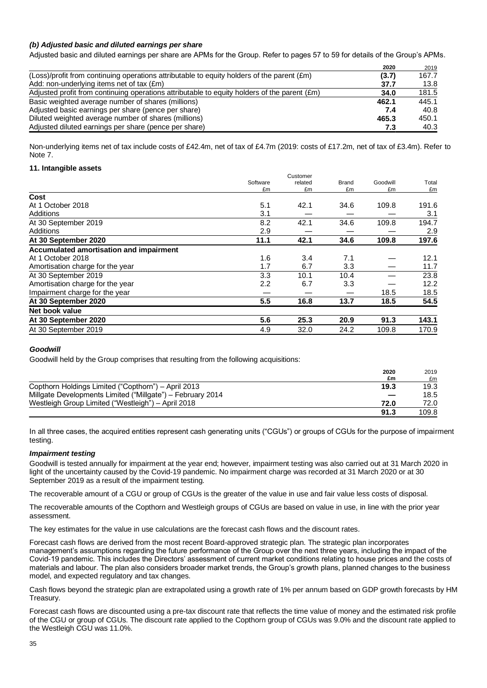# *(b) Adjusted basic and diluted earnings per share*

Adjusted basic and diluted earnings per share are APMs for the Group. Refer to pages 57 to 59 for details of the Group's APMs.

|                                                                                              | 2020  | 2019  |
|----------------------------------------------------------------------------------------------|-------|-------|
| (Loss)/profit from continuing operations attributable to equity holders of the parent (£m)   | (3.7) | 167.7 |
| Add: non-underlying items net of tax (£m)                                                    | 37.7  | 13.8  |
| Adjusted profit from continuing operations attributable to equity holders of the parent (£m) | 34.0  | 181.5 |
| Basic weighted average number of shares (millions)                                           | 462.1 | 445.1 |
| Adjusted basic earnings per share (pence per share)                                          | 7.4   | 40.8  |
| Diluted weighted average number of shares (millions)                                         | 465.3 | 450.1 |
| Adjusted diluted earnings per share (pence per share)                                        | 7.3   | 40.3  |

Non-underlying items net of tax include costs of £42.4m, net of tax of £4.7m (2019: costs of £17.2m, net of tax of £3.4m). Refer to Note 7.

#### **11. Intangible assets**

|                                         | Customer |         |              |          |       |
|-----------------------------------------|----------|---------|--------------|----------|-------|
|                                         | Software | related | <b>Brand</b> | Goodwill | Total |
|                                         | £m       | £m      | £m           | £m       | £m    |
| Cost                                    |          |         |              |          |       |
| At 1 October 2018                       | 5.1      | 42.1    | 34.6         | 109.8    | 191.6 |
| Additions                               | 3.1      |         |              |          | 3.1   |
| At 30 September 2019                    | 8.2      | 42.1    | 34.6         | 109.8    | 194.7 |
| <b>Additions</b>                        | 2.9      |         |              |          | 2.9   |
| At 30 September 2020                    | 11.1     | 42.1    | 34.6         | 109.8    | 197.6 |
| Accumulated amortisation and impairment |          |         |              |          |       |
| At 1 October 2018                       | 1.6      | 3.4     | 7.1          |          | 12.1  |
| Amortisation charge for the year        | 1.7      | 6.7     | 3.3          |          | 11.7  |
| At 30 September 2019                    | 3.3      | 10.1    | 10.4         |          | 23.8  |
| Amortisation charge for the year        | 2.2      | 6.7     | 3.3          |          | 12.2  |
| Impairment charge for the year          |          |         |              | 18.5     | 18.5  |
| At 30 September 2020                    | 5.5      | 16.8    | 13.7         | 18.5     | 54.5  |
| Net book value                          |          |         |              |          |       |
| At 30 September 2020                    | 5.6      | 25.3    | 20.9         | 91.3     | 143.1 |
| At 30 September 2019                    | 4.9      | 32.0    | 24.2         | 109.8    | 170.9 |
|                                         |          |         |              |          |       |

#### *Goodwill*

Goodwill held by the Group comprises that resulting from the following acquisitions:

|                                                            | 2020 | 2019  |
|------------------------------------------------------------|------|-------|
|                                                            | £m   | £m    |
| Copthorn Holdings Limited ("Copthorn") – April 2013        | 19.3 | 19.3  |
| Millgate Developments Limited ("Millgate") - February 2014 |      | 18.5  |
| Westleigh Group Limited ("Westleigh") - April 2018         | 72.0 | 72.0  |
|                                                            | 91.3 | 109.8 |

In all three cases, the acquired entities represent cash generating units ("CGUs") or groups of CGUs for the purpose of impairment testing.

# *Impairment testing*

Goodwill is tested annually for impairment at the year end; however, impairment testing was also carried out at 31 March 2020 in light of the uncertainty caused by the Covid-19 pandemic. No impairment charge was recorded at 31 March 2020 or at 30 September 2019 as a result of the impairment testing.

The recoverable amount of a CGU or group of CGUs is the greater of the value in use and fair value less costs of disposal.

The recoverable amounts of the Copthorn and Westleigh groups of CGUs are based on value in use, in line with the prior year assessment.

The key estimates for the value in use calculations are the forecast cash flows and the discount rates.

Forecast cash flows are derived from the most recent Board-approved strategic plan. The strategic plan incorporates management's assumptions regarding the future performance of the Group over the next three years, including the impact of the Covid-19 pandemic. This includes the Directors' assessment of current market conditions relating to house prices and the costs of materials and labour. The plan also considers broader market trends, the Group's growth plans, planned changes to the business model, and expected regulatory and tax changes.

Cash flows beyond the strategic plan are extrapolated using a growth rate of 1% per annum based on GDP growth forecasts by HM Treasury.

Forecast cash flows are discounted using a pre-tax discount rate that reflects the time value of money and the estimated risk profile of the CGU or group of CGUs. The discount rate applied to the Copthorn group of CGUs was 9.0% and the discount rate applied to the Westleigh CGU was 11.0%.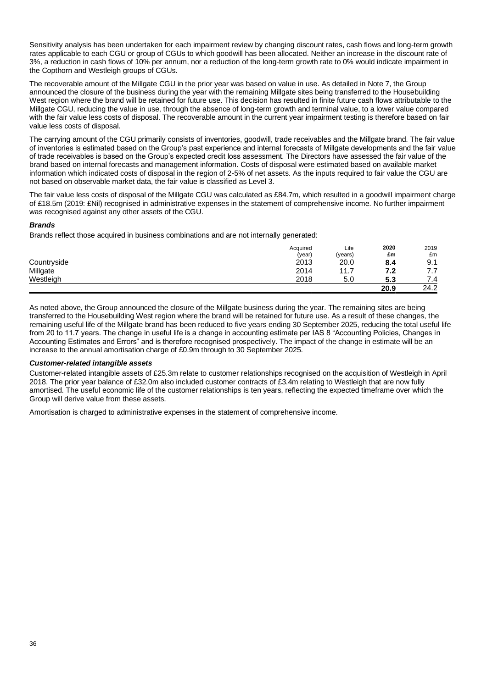Sensitivity analysis has been undertaken for each impairment review by changing discount rates, cash flows and long-term growth rates applicable to each CGU or group of CGUs to which goodwill has been allocated. Neither an increase in the discount rate of 3%, a reduction in cash flows of 10% per annum, nor a reduction of the long-term growth rate to 0% would indicate impairment in the Copthorn and Westleigh groups of CGUs.

The recoverable amount of the Millgate CGU in the prior year was based on value in use. As detailed in Note 7, the Group announced the closure of the business during the year with the remaining Millgate sites being transferred to the Housebuilding West region where the brand will be retained for future use. This decision has resulted in finite future cash flows attributable to the Millgate CGU, reducing the value in use, through the absence of long-term growth and terminal value, to a lower value compared with the fair value less costs of disposal. The recoverable amount in the current year impairment testing is therefore based on fair value less costs of disposal.

The carrying amount of the CGU primarily consists of inventories, goodwill, trade receivables and the Millgate brand. The fair value of inventories is estimated based on the Group's past experience and internal forecasts of Millgate developments and the fair value of trade receivables is based on the Group's expected credit loss assessment. The Directors have assessed the fair value of the brand based on internal forecasts and management information. Costs of disposal were estimated based on available market information which indicated costs of disposal in the region of 2-5% of net assets. As the inputs required to fair value the CGU are not based on observable market data, the fair value is classified as Level 3.

The fair value less costs of disposal of the Millgate CGU was calculated as £84.7m, which resulted in a goodwill impairment charge of £18.5m (2019: £Nil) recognised in administrative expenses in the statement of comprehensive income. No further impairment was recognised against any other assets of the CGU.

#### *Brands*

Brands reflect those acquired in business combinations and are not internally generated:

|             | Acquired<br>(year) | Life<br>(years) | 2020<br>£m | 2019<br>£m |
|-------------|--------------------|-----------------|------------|------------|
| Countryside | 2013               | 20.0            | 8.4        | 9.1        |
| Millgate    | 2014               | 11.7            | 7.2        | 7.7        |
| Westleigh   | 2018               | 5.0             | 5.3        | 7.4        |
|             |                    |                 | 20.9       | 24.2       |

As noted above, the Group announced the closure of the Millgate business during the year. The remaining sites are being transferred to the Housebuilding West region where the brand will be retained for future use. As a result of these changes, the remaining useful life of the Millgate brand has been reduced to five years ending 30 September 2025, reducing the total useful life from 20 to 11.7 years. The change in useful life is a change in accounting estimate per IAS 8 "Accounting Policies, Changes in Accounting Estimates and Errors" and is therefore recognised prospectively. The impact of the change in estimate will be an increase to the annual amortisation charge of £0.9m through to 30 September 2025.

# *Customer-related intangible assets*

Customer-related intangible assets of £25.3m relate to customer relationships recognised on the acquisition of Westleigh in April 2018. The prior year balance of £32.0m also included customer contracts of £3.4m relating to Westleigh that are now fully amortised. The useful economic life of the customer relationships is ten years, reflecting the expected timeframe over which the Group will derive value from these assets.

Amortisation is charged to administrative expenses in the statement of comprehensive income.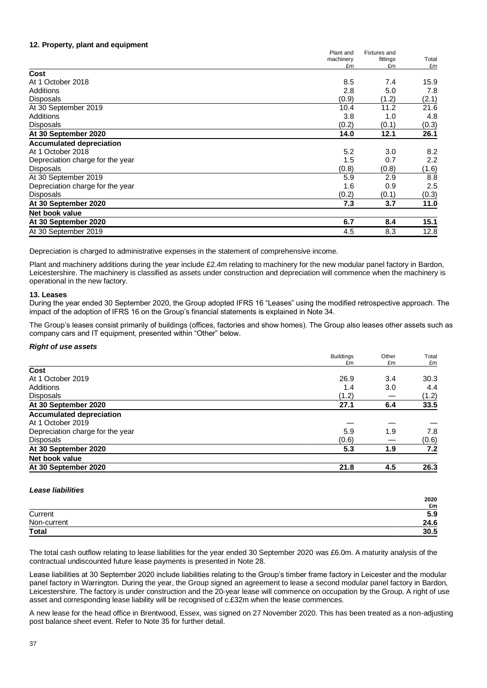#### **12. Property, plant and equipment**

|                                  | Plant and | <b>Fixtures and</b> |       |
|----------------------------------|-----------|---------------------|-------|
|                                  | machinery | fittings            | Total |
|                                  | £m        | £m                  | £m    |
| Cost                             |           |                     |       |
| At 1 October 2018                | 8.5       | 7.4                 | 15.9  |
| Additions                        | 2.8       | 5.0                 | 7.8   |
| <b>Disposals</b>                 | (0.9)     | (1.2)               | (2.1) |
| At 30 September 2019             | 10.4      | 11.2                | 21.6  |
| Additions                        | 3.8       | 1.0                 | 4.8   |
| Disposals                        | (0.2)     | (0.1)               | (0.3) |
| At 30 September 2020             | 14.0      | 12.1                | 26.1  |
| <b>Accumulated depreciation</b>  |           |                     |       |
| At 1 October 2018                | 5.2       | 3.0                 | 8.2   |
| Depreciation charge for the year | 1.5       | 0.7                 | 2.2   |
| <b>Disposals</b>                 | (0.8)     | (0.8)               | (1.6) |
| At 30 September 2019             | 5.9       | 2.9                 | 8.8   |
| Depreciation charge for the year | 1.6       | 0.9                 | 2.5   |
| <b>Disposals</b>                 | (0.2)     | (0.1)               | (0.3) |
| At 30 September 2020             | 7.3       | 3.7                 | 11.0  |
| Net book value                   |           |                     |       |
| At 30 September 2020             | 6.7       | 8.4                 | 15.1  |
| At 30 September 2019             | 4.5       | 8.3                 | 12.8  |
|                                  |           |                     |       |

Depreciation is charged to administrative expenses in the statement of comprehensive income.

Plant and machinery additions during the year include £2.4m relating to machinery for the new modular panel factory in Bardon, Leicestershire. The machinery is classified as assets under construction and depreciation will commence when the machinery is operational in the new factory.

#### **13. Leases**

During the year ended 30 September 2020, the Group adopted IFRS 16 "Leases" using the modified retrospective approach. The impact of the adoption of IFRS 16 on the Group's financial statements is explained in Note 34.

The Group's leases consist primarily of buildings (offices, factories and show homes). The Group also leases other assets such as company cars and IT equipment, presented within "Other" below.

#### *Right of use assets*

|                                  | <b>Buildings</b> | Other | Total |
|----------------------------------|------------------|-------|-------|
|                                  | £m               | £m    | £m    |
| Cost                             |                  |       |       |
| At 1 October 2019                | 26.9             | 3.4   | 30.3  |
| Additions                        | 1.4              | 3.0   | 4.4   |
| <b>Disposals</b>                 | (1.2)            |       | (1.2) |
| At 30 September 2020             | 27.1             | 6.4   | 33.5  |
| <b>Accumulated depreciation</b>  |                  |       |       |
| At 1 October 2019                |                  |       |       |
| Depreciation charge for the year | 5.9              | 1.9   | 7.8   |
| <b>Disposals</b>                 | (0.6)            |       | (0.6) |
| At 30 September 2020             | 5.3              | 1.9   | 7.2   |
| Net book value                   |                  |       |       |
| At 30 September 2020             | 21.8             | 4.5   | 26.3  |
|                                  |                  |       |       |

#### *Lease liabilities*

|                                                                                                                                        | 2020 |
|----------------------------------------------------------------------------------------------------------------------------------------|------|
|                                                                                                                                        | £m   |
| Current                                                                                                                                | 5.9  |
| Non-current                                                                                                                            | 24.6 |
| <u> 1989 - Johann Stoff, deutscher Stoffen und der Stoffen und der Stoffen und der Stoffen und der Stoffen und der</u><br><b>Total</b> | 30.5 |

The total cash outflow relating to lease liabilities for the year ended 30 September 2020 was £6.0m. A maturity analysis of the contractual undiscounted future lease payments is presented in Note 28.

Lease liabilities at 30 September 2020 include liabilities relating to the Group's timber frame factory in Leicester and the modular panel factory in Warrington. During the year, the Group signed an agreement to lease a second modular panel factory in Bardon, Leicestershire. The factory is under construction and the 20-year lease will commence on occupation by the Group. A right of use asset and corresponding lease liability will be recognised of c.£32m when the lease commences.

A new lease for the head office in Brentwood, Essex, was signed on 27 November 2020. This has been treated as a non-adjusting post balance sheet event. Refer to Note 35 for further detail.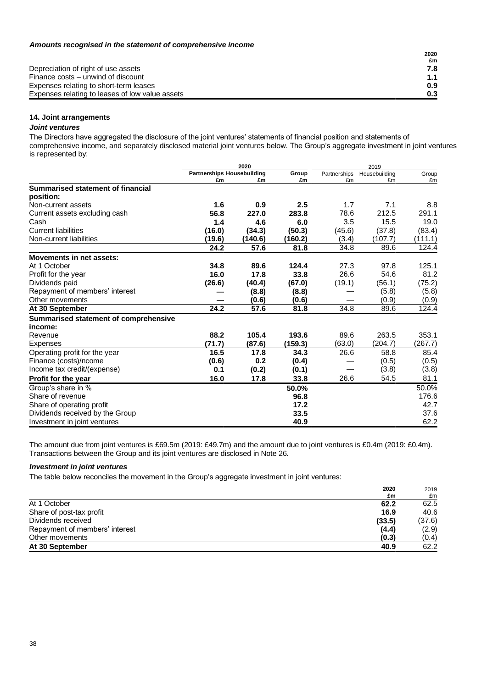|                                                 | 2020 |
|-------------------------------------------------|------|
|                                                 | £m   |
| Depreciation of right of use assets             | 7.8  |
| Finance costs – unwind of discount              | 1.1  |
| Expenses relating to short-term leases          | 0.9  |
| Expenses relating to leases of low value assets | 0.3  |

# **14. Joint arrangements**

#### *Joint ventures*

The Directors have aggregated the disclosure of the joint ventures' statements of financial position and statements of comprehensive income, and separately disclosed material joint ventures below. The Group's aggregate investment in joint ventures is represented by:

|                                       | 2020                              |         |         | 2019         |               |         |
|---------------------------------------|-----------------------------------|---------|---------|--------------|---------------|---------|
|                                       | <b>Partnerships Housebuilding</b> |         | Group   | Partnerships | Housebuilding | Group   |
|                                       | £m                                | £m      | £m      | £m           | £m            | £m      |
| Summarised statement of financial     |                                   |         |         |              |               |         |
| position:                             |                                   |         |         |              |               |         |
| Non-current assets                    | 1.6                               | 0.9     | 2.5     | 1.7          | 7.1           | 8.8     |
| Current assets excluding cash         | 56.8                              | 227.0   | 283.8   | 78.6         | 212.5         | 291.1   |
| Cash                                  | 1.4                               | 4.6     | 6.0     | 3.5          | 15.5          | 19.0    |
| <b>Current liabilities</b>            | (16.0)                            | (34.3)  | (50.3)  | (45.6)       | (37.8)        | (83.4)  |
| Non-current liabilities               | (19.6)                            | (140.6) | (160.2) | (3.4)        | (107.7)       | (111.1) |
|                                       | 24.2                              | 57.6    | 81.8    | 34.8         | 89.6          | 124.4   |
| Movements in net assets:              |                                   |         |         |              |               |         |
| At 1 October                          | 34.8                              | 89.6    | 124.4   | 27.3         | 97.8          | 125.1   |
| Profit for the year                   | 16.0                              | 17.8    | 33.8    | 26.6         | 54.6          | 81.2    |
| Dividends paid                        | (26.6)                            | (40.4)  | (67.0)  | (19.1)       | (56.1)        | (75.2)  |
| Repayment of members' interest        |                                   | (8.8)   | (8.8)   |              | (5.8)         | (5.8)   |
| Other movements                       |                                   | (0.6)   | (0.6)   |              | (0.9)         | (0.9)   |
| At 30 September                       | 24.2                              | 57.6    | 81.8    | 34.8         | 89.6          | 124.4   |
| Summarised statement of comprehensive |                                   |         |         |              |               |         |
| income:                               |                                   |         |         |              |               |         |
| Revenue                               | 88.2                              | 105.4   | 193.6   | 89.6         | 263.5         | 353.1   |
| <b>Expenses</b>                       | (71.7)                            | (87.6)  | (159.3) | (63.0)       | (204.7)       | (267.7) |
| Operating profit for the year         | 16.5                              | 17.8    | 34.3    | 26.6         | 58.8          | 85.4    |
| Finance (costs)/ncome                 | (0.6)                             | 0.2     | (0.4)   |              | (0.5)         | (0.5)   |
| Income tax credit/(expense)           | 0.1                               | (0.2)   | (0.1)   |              | (3.8)         | (3.8)   |
| Profit for the year                   | 16.0                              | 17.8    | 33.8    | 26.6         | 54.5          | 81.1    |
| Group's share in %                    |                                   |         | 50.0%   |              |               | 50.0%   |
| Share of revenue                      |                                   |         | 96.8    |              |               | 176.6   |
| Share of operating profit             |                                   |         | 17.2    |              |               | 42.7    |
| Dividends received by the Group       |                                   |         | 33.5    |              |               | 37.6    |
| Investment in joint ventures          |                                   |         | 40.9    |              |               | 62.2    |

The amount due from joint ventures is £69.5m (2019: £49.7m) and the amount due to joint ventures is £0.4m (2019: £0.4m). Transactions between the Group and its joint ventures are disclosed in Note 26.

### *Investment in joint ventures*

The table below reconciles the movement in the Group's aggregate investment in joint ventures:

| 2020                                    | 2019   |
|-----------------------------------------|--------|
| £m                                      | £m     |
| At 1 October<br>62.2                    | 62.5   |
| Share of post-tax profit<br>16.9        | 40.6   |
| Dividends received<br>(33.5)            | (37.6) |
| Repayment of members' interest<br>(4.4) | (2.9)  |
| Other movements<br>(0.3)                | (0.4)  |
| At 30 September<br>40.9                 | 62.2   |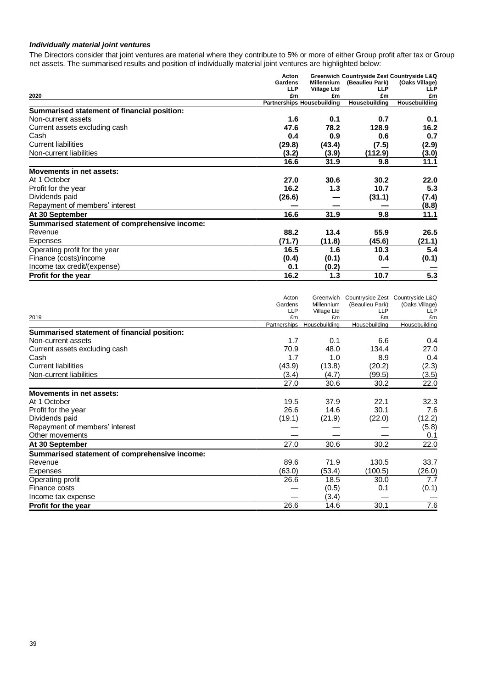# *Individually material joint ventures*

The Directors consider that joint ventures are material where they contribute to 5% or more of either Group profit after tax or Group net assets. The summarised results and position of individually material joint ventures are highlighted below:

|                                               | Acton                             |                    | Greenwich Countryside Zest Countryside L&Q |                |
|-----------------------------------------------|-----------------------------------|--------------------|--------------------------------------------|----------------|
|                                               | Gardens                           | <b>Millennium</b>  | (Beaulieu Park)                            | (Oaks Village) |
|                                               | <b>LLP</b>                        | <b>Village Ltd</b> | LLP                                        | LLP            |
| 2020                                          | £m                                | £m                 | £m                                         | £m             |
|                                               | <b>Partnerships Housebuilding</b> |                    | Housebuilding                              | Housebuilding  |
| Summarised statement of financial position:   |                                   |                    |                                            |                |
| Non-current assets                            | 1.6                               | 0.1                | 0.7                                        | 0.1            |
| Current assets excluding cash                 | 47.6                              | 78.2               | 128.9                                      | 16.2           |
| Cash                                          | 0.4                               | 0.9                | 0.6                                        | 0.7            |
| <b>Current liabilities</b>                    | (29.8)                            | (43.4)             | (7.5)                                      | (2.9)          |
| Non-current liabilities                       | (3.2)                             | (3.9)              | (112.9)                                    | (3.0)          |
|                                               | 16.6                              | 31.9               | 9.8                                        | 11.1           |
| Movements in net assets:                      |                                   |                    |                                            |                |
| At 1 October                                  | 27.0                              | 30.6               | 30.2                                       | 22.0           |
| Profit for the year                           | 16.2                              | 1.3                | 10.7                                       | 5.3            |
| Dividends paid                                | (26.6)                            |                    | (31.1)                                     | (7.4)          |
| Repayment of members' interest                |                                   |                    |                                            | (8.8)          |
| At 30 September                               | 16.6                              | 31.9               | 9.8                                        | 11.1           |
| Summarised statement of comprehensive income: |                                   |                    |                                            |                |
| Revenue                                       | 88.2                              | 13.4               | 55.9                                       | 26.5           |
| <b>Expenses</b>                               | (71.7)                            | (11.8)             | (45.6)                                     | (21.1)         |
| Operating profit for the year                 | 16.5                              | 1.6                | 10.3                                       | 5.4            |
| Finance (costs)/income                        | (0.4)                             | (0.1)              | 0.4                                        | (0.1)          |
| Income tax credit/(expense)                   | 0.1                               | (0.2)              |                                            |                |
| Profit for the year                           | 16.2                              | 1.3                | 10.7                                       | 5.3            |

|                                               | Acton<br>Gardens | Greenwich<br>Millennium | (Beaulieu Park) | Countryside Zest Countryside L&Q<br>(Oaks Village) |
|-----------------------------------------------|------------------|-------------------------|-----------------|----------------------------------------------------|
| 2019                                          | <b>LLP</b><br>£m | Village Ltd<br>£m       | LLP<br>£m       | <b>LLP</b><br>£m                                   |
|                                               | Partnerships     | Housebuilding           | Housebuilding   | Housebuilding                                      |
| Summarised statement of financial position:   |                  |                         |                 |                                                    |
| Non-current assets                            | 1.7              | 0.1                     | 6.6             | 0.4                                                |
| Current assets excluding cash                 | 70.9             | 48.0                    | 134.4           | 27.0                                               |
| Cash                                          | 1.7              | 1.0                     | 8.9             | 0.4                                                |
| <b>Current liabilities</b>                    | (43.9)           | (13.8)                  | (20.2)          | (2.3)                                              |
| Non-current liabilities                       | (3.4)            | (4.7)                   | (99.5)          | (3.5)                                              |
|                                               | 27.0             | 30.6                    | 30.2            | 22.0                                               |
| Movements in net assets:                      |                  |                         |                 |                                                    |
| At 1 October                                  | 19.5             | 37.9                    | 22.1            | 32.3                                               |
| Profit for the year                           | 26.6             | 14.6                    | 30.1            | 7.6                                                |
| Dividends paid                                | (19.1)           | (21.9)                  | (22.0)          | (12.2)                                             |
| Repayment of members' interest                |                  |                         |                 | (5.8)                                              |
| Other movements                               |                  |                         |                 | 0.1                                                |
| At 30 September                               | 27.0             | 30.6                    | 30.2            | 22.0                                               |
| Summarised statement of comprehensive income: |                  |                         |                 |                                                    |
| Revenue                                       | 89.6             | 71.9                    | 130.5           | 33.7                                               |
| Expenses                                      | (63.0)           | (53.4)                  | (100.5)         | (26.0)                                             |
| Operating profit                              | 26.6             | 18.5                    | 30.0            | 7.7                                                |
| Finance costs                                 |                  | (0.5)                   | 0.1             | (0.1)                                              |
| Income tax expense                            |                  | (3.4)                   |                 |                                                    |
| Profit for the year                           | 26.6             | 14.6                    | 30.1            | 7.6                                                |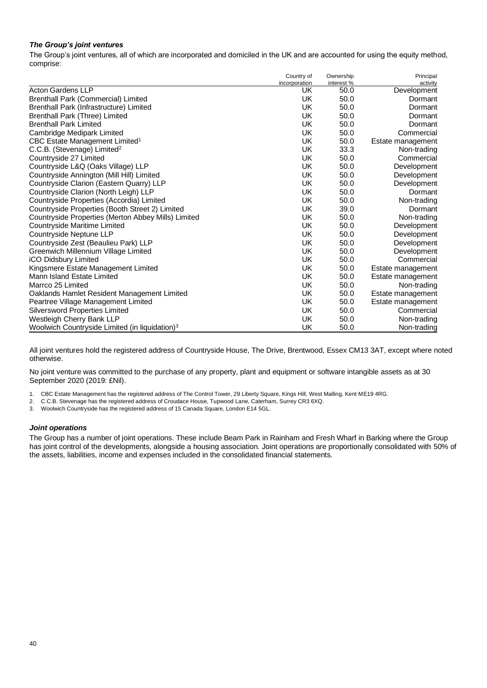# *The Group's joint ventures*

The Group's joint ventures, all of which are incorporated and domiciled in the UK and are accounted for using the equity method, comprise:

|                                                            | Country of<br>incorporation | Ownership<br>interest % | Principal<br>activity |
|------------------------------------------------------------|-----------------------------|-------------------------|-----------------------|
| <b>Acton Gardens LLP</b>                                   | UK                          | 50.0                    | Development           |
| Brenthall Park (Commercial) Limited                        | UK                          | 50.0                    | Dormant               |
| Brenthall Park (Infrastructure) Limited                    | UK                          | 50.0                    | Dormant               |
| <b>Brenthall Park (Three) Limited</b>                      | UK                          | 50.0                    | Dormant               |
| <b>Brenthall Park Limited</b>                              | UK                          | 50.0                    | Dormant               |
| Cambridge Medipark Limited                                 | UK.                         | 50.0                    | Commercial            |
| CBC Estate Management Limited <sup>1</sup>                 | UK                          | 50.0                    | Estate management     |
| C.C.B. (Stevenage) Limited <sup>2</sup>                    | UK                          | 33.3                    | Non-trading           |
| Countryside 27 Limited                                     | UK                          | 50.0                    | Commercial            |
| Countryside L&Q (Oaks Village) LLP                         | UK                          | 50.0                    | Development           |
| Countryside Annington (Mill Hill) Limited                  | UK                          | 50.0                    | Development           |
| Countryside Clarion (Eastern Quarry) LLP                   | UK                          | 50.0                    | Development           |
| Countryside Clarion (North Leigh) LLP                      | UK                          | 50.0                    | Dormant               |
| Countryside Properties (Accordia) Limited                  | UK                          | 50.0                    | Non-trading           |
| Countryside Properties (Booth Street 2) Limited            | UK                          | 39.0                    | Dormant               |
| Countryside Properties (Merton Abbey Mills) Limited        | UK                          | 50.0                    | Non-trading           |
| Countryside Maritime Limited                               | UK                          | 50.0                    | Development           |
| Countryside Neptune LLP                                    | UK                          | 50.0                    | Development           |
| Countryside Zest (Beaulieu Park) LLP                       | UK                          | 50.0                    | Development           |
| Greenwich Millennium Village Limited                       | UK                          | 50.0                    | Development           |
| iCO Didsbury Limited                                       | UK                          | 50.0                    | Commercial            |
| Kingsmere Estate Management Limited                        | UK                          | 50.0                    | Estate management     |
| Mann Island Estate Limited                                 | UK                          | 50.0                    | Estate management     |
| Marrco 25 Limited                                          | UK                          | 50.0                    | Non-trading           |
| Oaklands Hamlet Resident Management Limited                | UK                          | 50.0                    | Estate management     |
| Peartree Village Management Limited                        | UK                          | 50.0                    | Estate management     |
| Silversword Properties Limited                             | UK                          | 50.0                    | Commercial            |
| Westleigh Cherry Bank LLP                                  | UK                          | 50.0                    | Non-trading           |
| Woolwich Countryside Limited (in liquidation) <sup>3</sup> | UK                          | 50.0                    | Non-trading           |

All joint ventures hold the registered address of Countryside House, The Drive, Brentwood, Essex CM13 3AT, except where noted otherwise.

No joint venture was committed to the purchase of any property, plant and equipment or software intangible assets as at 30 September 2020 (2019: £Nil).

1. CBC Estate Management has the registered address of The Control Tower, 29 Liberty Square, Kings Hill, West Malling, Kent ME19 4RG.

- 2. C.C.B. Stevenage has the registered address of Croudace House, Tupwood Lane, Caterham, Surrey CR3 6XQ.
- 3. Woolwich Countryside has the registered address of 15 Canada Square, London E14 5GL.

#### *Joint operations*

The Group has a number of joint operations. These include Beam Park in Rainham and Fresh Wharf in Barking where the Group has joint control of the developments, alongside a housing association. Joint operations are proportionally consolidated with 50% of the assets, liabilities, income and expenses included in the consolidated financial statements.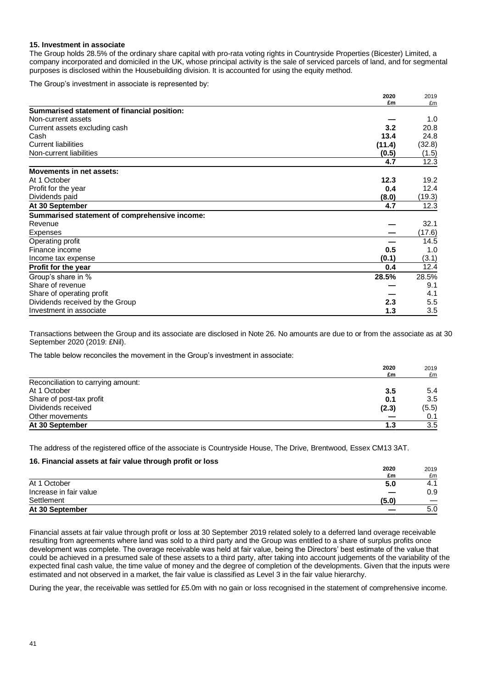#### **15. Investment in associate**

The Group holds 28.5% of the ordinary share capital with pro-rata voting rights in Countryside Properties (Bicester) Limited, a company incorporated and domiciled in the UK, whose principal activity is the sale of serviced parcels of land, and for segmental purposes is disclosed within the Housebuilding division. It is accounted for using the equity method.

The Group's investment in associate is represented by:

|                                               | 2020   | 2019   |
|-----------------------------------------------|--------|--------|
|                                               | £m     | £m     |
| Summarised statement of financial position:   |        |        |
| Non-current assets                            |        | 1.0    |
| Current assets excluding cash                 | 3.2    | 20.8   |
| Cash                                          | 13.4   | 24.8   |
| <b>Current liabilities</b>                    | (11.4) | (32.8) |
| Non-current liabilities                       | (0.5)  | (1.5)  |
|                                               | 4.7    | 12.3   |
| <b>Movements in net assets:</b>               |        |        |
| At 1 October                                  | 12.3   | 19.2   |
| Profit for the year                           | 0.4    | 12.4   |
| Dividends paid                                | (8.0)  | (19.3) |
| At 30 September                               | 4.7    | 12.3   |
| Summarised statement of comprehensive income: |        |        |
| Revenue                                       |        | 32.1   |
| <b>Expenses</b>                               |        | (17.6) |
| Operating profit                              |        | 14.5   |
| Finance income                                | 0.5    | 1.0    |
| Income tax expense                            | (0.1)  | (3.1)  |
| Profit for the year                           | 0.4    | 12.4   |
| Group's share in %                            | 28.5%  | 28.5%  |
| Share of revenue                              |        | 9.1    |
| Share of operating profit                     |        | 4.1    |
| Dividends received by the Group               | 2.3    | 5.5    |
| Investment in associate                       | 1.3    | 3.5    |

Transactions between the Group and its associate are disclosed in Note 26. No amounts are due to or from the associate as at 30 September 2020 (2019: £Nil).

The table below reconciles the movement in the Group's investment in associate:

|                                    | 2020  | 2019  |
|------------------------------------|-------|-------|
|                                    | £m    | £m    |
| Reconciliation to carrying amount: |       |       |
| At 1 October                       | 3.5   | 5.4   |
| Share of post-tax profit           | 0.1   | 3.5   |
| Dividends received                 | (2.3) | (5.5) |
| Other movements                    |       | 0.1   |
| At 30 September                    | 1.3   | 3.5   |

The address of the registered office of the associate is Countryside House, The Drive, Brentwood, Essex CM13 3AT.

#### **16. Financial assets at fair value through profit or loss**

|                        | 2020  | 2019 |
|------------------------|-------|------|
|                        | £m    | £m   |
| At 1 October           | 5.0   | 4.1  |
| Increase in fair value |       | 0.9  |
| Settlement             | (5.0) |      |
| At 30 September        |       | 5.0  |

Financial assets at fair value through profit or loss at 30 September 2019 related solely to a deferred land overage receivable resulting from agreements where land was sold to a third party and the Group was entitled to a share of surplus profits once development was complete. The overage receivable was held at fair value, being the Directors' best estimate of the value that could be achieved in a presumed sale of these assets to a third party, after taking into account judgements of the variability of the expected final cash value, the time value of money and the degree of completion of the developments. Given that the inputs were estimated and not observed in a market, the fair value is classified as Level 3 in the fair value hierarchy.

During the year, the receivable was settled for £5.0m with no gain or loss recognised in the statement of comprehensive income.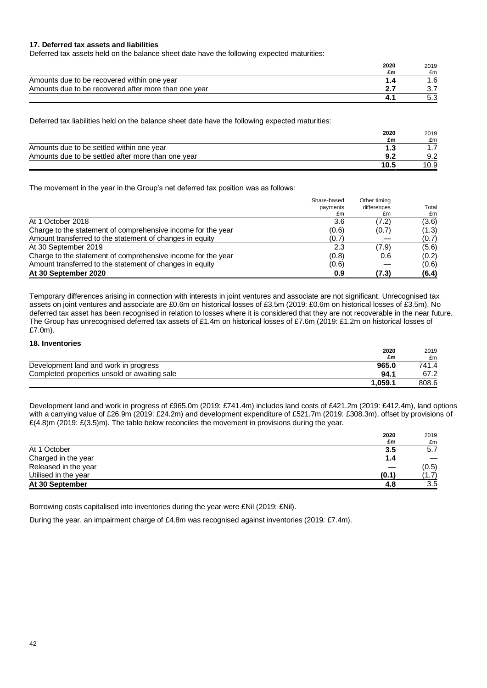#### **17. Deferred tax assets and liabilities**

Deferred tax assets held on the balance sheet date have the following expected maturities:

|                                                      | 2020 | 2019 |
|------------------------------------------------------|------|------|
|                                                      | £m   | £m   |
| Amounts due to be recovered within one year          |      |      |
| Amounts due to be recovered after more than one vear |      |      |
|                                                      |      | ე.კ  |

Deferred tax liabilities held on the balance sheet date have the following expected maturities:

|                                                    | 2020 | 2019 |
|----------------------------------------------------|------|------|
|                                                    | £m   | £m   |
| Amounts due to be settled within one year          |      |      |
| Amounts due to be settled after more than one year |      | 9.2  |
|                                                    | 10.5 | 10.9 |

The movement in the year in the Group's net deferred tax position was as follows:

|                                                              | Share-based | Other timing |       |
|--------------------------------------------------------------|-------------|--------------|-------|
|                                                              | payments    | differences  | Total |
|                                                              | £m          | £m           | £m    |
| At 1 October 2018                                            | 3.6         | (7.2)        | (3.6) |
| Charge to the statement of comprehensive income for the year | (0.6)       | (0.7)        | (1.3) |
| Amount transferred to the statement of changes in equity     | (0.7)       |              | (0.7) |
| At 30 September 2019                                         | 2.3         | (7.9)        | (5.6) |
| Charge to the statement of comprehensive income for the year | (0.8)       | 0.6          | (0.2) |
| Amount transferred to the statement of changes in equity     | (0.6)       |              | (0.6) |
| At 30 September 2020                                         | 0.9         | (7.3)        | (6.4) |

Temporary differences arising in connection with interests in joint ventures and associate are not significant. Unrecognised tax assets on joint ventures and associate are £0.6m on historical losses of £3.5m (2019: £0.6m on historical losses of £3.5m). No deferred tax asset has been recognised in relation to losses where it is considered that they are not recoverable in the near future. The Group has unrecognised deferred tax assets of £1.4m on historical losses of £7.6m (2019: £1.2m on historical losses of £7.0m).

#### **18. Inventories**

|                                              | 2020    | 2019  |
|----------------------------------------------|---------|-------|
|                                              | £m      | £m    |
| Development land and work in progress        | 965.0   | 741.4 |
| Completed properties unsold or awaiting sale | 94.1    | 67.2  |
|                                              | 1.059.1 | 808.6 |

Development land and work in progress of £965.0m (2019: £741.4m) includes land costs of £421.2m (2019: £412.4m), land options with a carrying value of £26.9m (2019: £24.2m) and development expenditure of £521.7m (2019: £308.3m), offset by provisions of  $£(4.8)$ m (2019: £(3.5)m). The table below reconciles the movement in provisions during the year.

|                      | 2020  | 2019  |
|----------------------|-------|-------|
|                      | £m    | £m    |
| At 1 October         | 3.5   | 5.7   |
| Charged in the year  | 1.4   |       |
| Released in the year |       | (0.5) |
| Utilised in the year | (0.1) | (1.7) |
| At 30 September      | 4.8   | 3.5   |

Borrowing costs capitalised into inventories during the year were £Nil (2019: £Nil).

During the year, an impairment charge of £4.8m was recognised against inventories (2019: £7.4m).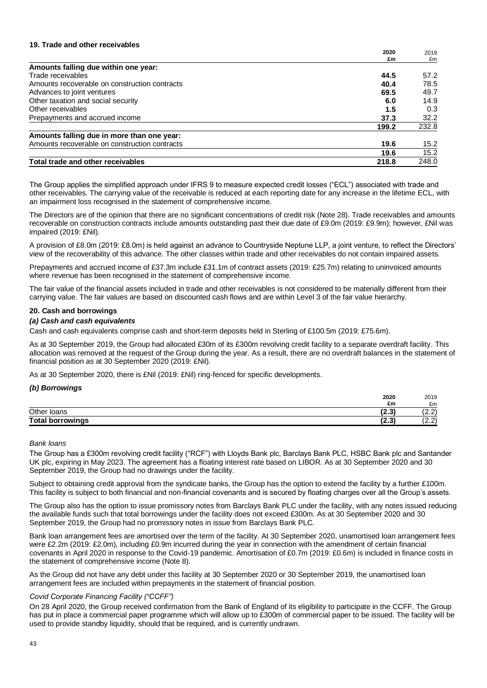#### **19. Trade and other receivables**

|                                               | 2020  | 2019  |
|-----------------------------------------------|-------|-------|
|                                               | £m    | £m    |
| Amounts falling due within one year:          |       |       |
| Trade receivables                             | 44.5  | 57.2  |
| Amounts recoverable on construction contracts | 40.4  | 78.5  |
| Advances to joint ventures                    | 69.5  | 49.7  |
| Other taxation and social security            | 6.0   | 14.9  |
| Other receivables                             | 1.5   | 0.3   |
| Prepayments and accrued income                | 37.3  | 32.2  |
|                                               | 199.2 | 232.8 |
| Amounts falling due in more than one year:    |       |       |
| Amounts recoverable on construction contracts | 19.6  | 15.2  |
|                                               | 19.6  | 15.2  |
| Total trade and other receivables             | 218.8 | 248.0 |

The Group applies the simplified approach under IFRS 9 to measure expected credit losses ("ECL") associated with trade and other receivables. The carrying value of the receivable is reduced at each reporting date for any increase in the lifetime ECL, with an impairment loss recognised in the statement of comprehensive income.

The Directors are of the opinion that there are no significant concentrations of credit risk (Note 28). Trade receivables and amounts recoverable on construction contracts include amounts outstanding past their due date of £9.0m (2019: £9.9m); however, £Nil was impaired (2019: £Nil).

A provision of £8.0m (2019: £8.0m) is held against an advance to Countryside Neptune LLP, a joint venture, to reflect the Directors' view of the recoverability of this advance. The other classes within trade and other receivables do not contain impaired assets.

Prepayments and accrued income of £37.3m include £31.1m of contract assets (2019: £25.7m) relating to uninvoiced amounts where revenue has been recognised in the statement of comprehensive income.

The fair value of the financial assets included in trade and other receivables is not considered to be materially different from their carrying value. The fair values are based on discounted cash flows and are within Level 3 of the fair value hierarchy.

#### **20. Cash and borrowings**

#### *(a) Cash and cash equivalents*

Cash and cash equivalents comprise cash and short-term deposits held in Sterling of £100.5m (2019: £75.6m).

As at 30 September 2019, the Group had allocated £30m of its £300m revolving credit facility to a separate overdraft facility. This allocation was removed at the request of the Group during the year. As a result, there are no overdraft balances in the statement of financial position as at 30 September 2020 (2019: £Nil).

As at 30 September 2020, there is £Nil (2019: £Nil) ring-fenced for specific developments.

# *(b) Borrowings*

|                         | 2020           | 2019              |
|-------------------------|----------------|-------------------|
|                         | £m             | £m                |
| Other loans             | パク つき<br>14.J  | $\sim$<br>. د . د |
| <b>Total borrowings</b> | (2.5)<br>14.JI | $\sim$<br>. د . د |

#### *Bank loans*

The Group has a £300m revolving credit facility ("RCF") with Lloyds Bank plc, Barclays Bank PLC, HSBC Bank plc and Santander UK plc, expiring in May 2023. The agreement has a floating interest rate based on LIBOR. As at 30 September 2020 and 30 September 2019, the Group had no drawings under the facility.

Subject to obtaining credit approval from the syndicate banks, the Group has the option to extend the facility by a further £100m. This facility is subject to both financial and non-financial covenants and is secured by floating charges over all the Group's assets.

The Group also has the option to issue promissory notes from Barclays Bank PLC under the facility, with any notes issued reducing the available funds such that total borrowings under the facility does not exceed £300m. As at 30 September 2020 and 30 September 2019, the Group had no promissory notes in issue from Barclays Bank PLC.

Bank loan arrangement fees are amortised over the term of the facility. At 30 September 2020, unamortised loan arrangement fees were £2.2m (2019: £2.0m), including £0.9m incurred during the year in connection with the amendment of certain financial covenants in April 2020 in response to the Covid-19 pandemic. Amortisation of £0.7m (2019: £0.6m) is included in finance costs in the statement of comprehensive income (Note 8).

As the Group did not have any debt under this facility at 30 September 2020 or 30 September 2019, the unamortised loan arrangement fees are included within prepayments in the statement of financial position.

# *Covid Corporate Financing Facility ("CCFF")*

On 28 April 2020, the Group received confirmation from the Bank of England of its eligibility to participate in the CCFF. The Group has put in place a commercial paper programme which will allow up to £300m of commercial paper to be issued. The facility will be used to provide standby liquidity, should that be required, and is currently undrawn.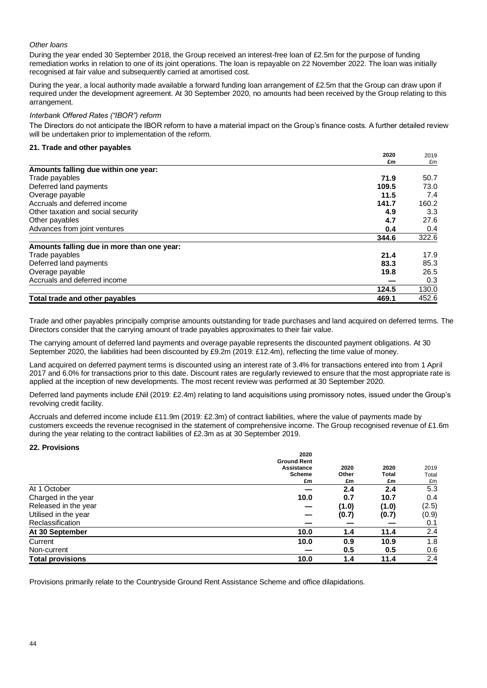# *Other loans*

During the year ended 30 September 2018, the Group received an interest-free loan of £2.5m for the purpose of funding remediation works in relation to one of its joint operations. The loan is repayable on 22 November 2022. The loan was initially recognised at fair value and subsequently carried at amortised cost.

During the year, a local authority made available a forward funding loan arrangement of £2.5m that the Group can draw upon if required under the development agreement. At 30 September 2020, no amounts had been received by the Group relating to this arrangement.

# *Interbank Offered Rates ("IBOR") reform*

The Directors do not anticipate the IBOR reform to have a material impact on the Group's finance costs. A further detailed review will be undertaken prior to implementation of the reform.

 $2019$ 

# **21. Trade and other payables**

|                                            | 2020  | 2019  |
|--------------------------------------------|-------|-------|
|                                            | £m    | £m    |
| Amounts falling due within one year:       |       |       |
| Trade payables                             | 71.9  | 50.7  |
| Deferred land payments                     | 109.5 | 73.0  |
| Overage payable                            | 11.5  | 7.4   |
| Accruals and deferred income               | 141.7 | 160.2 |
| Other taxation and social security         | 4.9   | 3.3   |
| Other payables                             | 4.7   | 27.6  |
| Advances from joint ventures               | 0.4   | 0.4   |
|                                            | 344.6 | 322.6 |
| Amounts falling due in more than one year: |       |       |
| Trade payables                             | 21.4  | 17.9  |
| Deferred land payments                     | 83.3  | 85.3  |
| Overage payable                            | 19.8  | 26.5  |
| Accruals and deferred income               |       | 0.3   |
|                                            | 124.5 | 130.0 |
| Total trade and other payables             | 469.1 | 452.6 |

Trade and other payables principally comprise amounts outstanding for trade purchases and land acquired on deferred terms. The Directors consider that the carrying amount of trade payables approximates to their fair value.

The carrying amount of deferred land payments and overage payable represents the discounted payment obligations. At 30 September 2020, the liabilities had been discounted by £9.2m (2019: £12.4m), reflecting the time value of money.

Land acquired on deferred payment terms is discounted using an interest rate of 3.4% for transactions entered into from 1 April 2017 and 6.0% for transactions prior to this date. Discount rates are regularly reviewed to ensure that the most appropriate rate is applied at the inception of new developments. The most recent review was performed at 30 September 2020.

Deferred land payments include £Nil (2019: £2.4m) relating to land acquisitions using promissory notes, issued under the Group's revolving credit facility.

Accruals and deferred income include £11.9m (2019: £2.3m) of contract liabilities, where the value of payments made by customers exceeds the revenue recognised in the statement of comprehensive income. The Group recognised revenue of £1.6m during the year relating to the contract liabilities of £2.3m as at 30 September 2019.

# **22. Provisions**

|                         | 2020               |       |       |       |
|-------------------------|--------------------|-------|-------|-------|
|                         | <b>Ground Rent</b> |       |       |       |
|                         | <b>Assistance</b>  | 2020  | 2020  | 2019  |
|                         | Scheme             | Other | Total | Total |
|                         | £m                 | £m    | £m    | £m    |
| At 1 October            |                    | 2.4   | 2.4   | 5.3   |
| Charged in the year     | 10.0               | 0.7   | 10.7  | 0.4   |
| Released in the year    |                    | (1.0) | (1.0) | (2.5) |
| Utilised in the year    |                    | (0.7) | (0.7) | (0.9) |
| Reclassification        |                    |       |       | 0.1   |
| At 30 September         | 10.0               | 1.4   | 11.4  | 2.4   |
| Current                 | 10.0               | 0.9   | 10.9  | 1.8   |
| Non-current             |                    | 0.5   | 0.5   | 0.6   |
| <b>Total provisions</b> | 10.0               | 1.4   | 11.4  | 2.4   |

Provisions primarily relate to the Countryside Ground Rent Assistance Scheme and office dilapidations.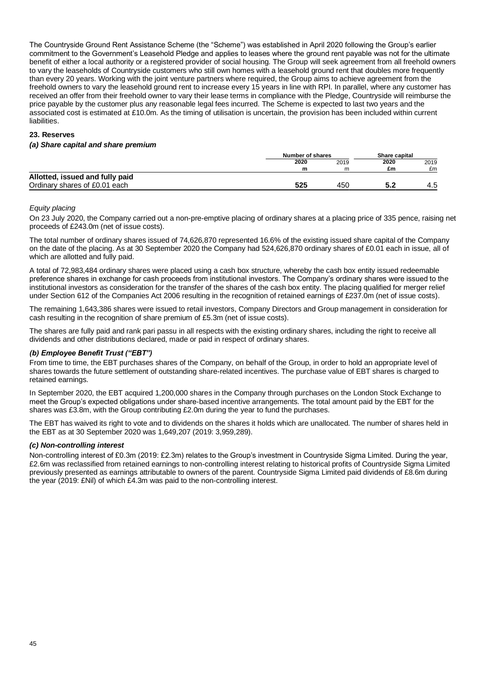The Countryside Ground Rent Assistance Scheme (the "Scheme") was established in April 2020 following the Group's earlier commitment to the Government's Leasehold Pledge and applies to leases where the ground rent payable was not for the ultimate benefit of either a local authority or a registered provider of social housing. The Group will seek agreement from all freehold owners to vary the leaseholds of Countryside customers who still own homes with a leasehold ground rent that doubles more frequently than every 20 years. Working with the joint venture partners where required, the Group aims to achieve agreement from the freehold owners to vary the leasehold ground rent to increase every 15 years in line with RPI. In parallel, where any customer has received an offer from their freehold owner to vary their lease terms in compliance with the Pledge, Countryside will reimburse the price payable by the customer plus any reasonable legal fees incurred. The Scheme is expected to last two years and the associated cost is estimated at £10.0m. As the timing of utilisation is uncertain, the provision has been included within current liabilities.

#### **23. Reserves**

#### *(a) Share capital and share premium*

|                                 | Number of shares |     | Share capital |      |      |
|---------------------------------|------------------|-----|---------------|------|------|
|                                 | 2020             |     | 2019          | 2020 | 2019 |
|                                 | m                | m   | £m            | £m   |      |
| Allotted, issued and fully paid |                  |     |               |      |      |
| Ordinary shares of £0.01 each   | 525              | 450 | J.Z           | 4.5  |      |

#### *Equity placing*

On 23 July 2020, the Company carried out a non-pre-emptive placing of ordinary shares at a placing price of 335 pence, raising net proceeds of £243.0m (net of issue costs).

The total number of ordinary shares issued of 74,626,870 represented 16.6% of the existing issued share capital of the Company on the date of the placing. As at 30 September 2020 the Company had 524,626,870 ordinary shares of £0.01 each in issue, all of which are allotted and fully paid.

A total of 72,983,484 ordinary shares were placed using a cash box structure, whereby the cash box entity issued redeemable preference shares in exchange for cash proceeds from institutional investors. The Company's ordinary shares were issued to the institutional investors as consideration for the transfer of the shares of the cash box entity. The placing qualified for merger relief under Section 612 of the Companies Act 2006 resulting in the recognition of retained earnings of £237.0m (net of issue costs).

The remaining 1,643,386 shares were issued to retail investors, Company Directors and Group management in consideration for cash resulting in the recognition of share premium of £5.3m (net of issue costs).

The shares are fully paid and rank pari passu in all respects with the existing ordinary shares, including the right to receive all dividends and other distributions declared, made or paid in respect of ordinary shares.

#### *(b) Employee Benefit Trust ("EBT")*

From time to time, the EBT purchases shares of the Company, on behalf of the Group, in order to hold an appropriate level of shares towards the future settlement of outstanding share-related incentives. The purchase value of EBT shares is charged to retained earnings.

In September 2020, the EBT acquired 1,200,000 shares in the Company through purchases on the London Stock Exchange to meet the Group's expected obligations under share-based incentive arrangements. The total amount paid by the EBT for the shares was £3.8m, with the Group contributing £2.0m during the year to fund the purchases.

The EBT has waived its right to vote and to dividends on the shares it holds which are unallocated. The number of shares held in the EBT as at 30 September 2020 was 1,649,207 (2019: 3,959,289).

# *(c) Non-controlling interest*

Non-controlling interest of £0.3m (2019: £2.3m) relates to the Group's investment in Countryside Sigma Limited. During the year, £2.6m was reclassified from retained earnings to non-controlling interest relating to historical profits of Countryside Sigma Limited previously presented as earnings attributable to owners of the parent. Countryside Sigma Limited paid dividends of £8.6m during the year (2019: £Nil) of which £4.3m was paid to the non-controlling interest.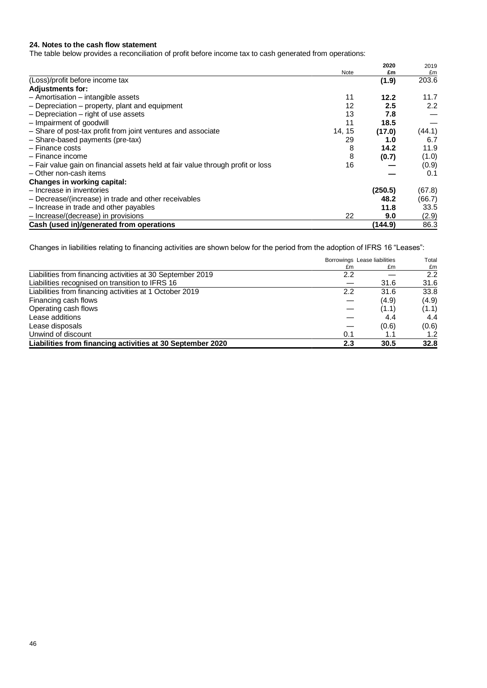# **24. Notes to the cash flow statement**

The table below provides a reconciliation of profit before income tax to cash generated from operations:

|                                                                                 |        | 2020    | 2019   |
|---------------------------------------------------------------------------------|--------|---------|--------|
|                                                                                 | Note   | £m      | £m     |
| (Loss)/profit before income tax                                                 |        | (1.9)   | 203.6  |
| <b>Adjustments for:</b>                                                         |        |         |        |
| $-$ Amortisation $-$ intangible assets                                          | 11     | 12.2    | 11.7   |
| - Depreciation - property, plant and equipment                                  | 12     | 2.5     | 2.2    |
| $-$ Depreciation $-$ right of use assets                                        | 13     | 7.8     |        |
| - Impairment of goodwill                                                        | 11     | 18.5    |        |
| - Share of post-tax profit from joint ventures and associate                    | 14, 15 | (17.0)  | (44.1) |
| - Share-based payments (pre-tax)                                                | 29     | 1.0     | 6.7    |
| - Finance costs                                                                 | 8      | 14.2    | 11.9   |
| - Finance income                                                                | 8      | (0.7)   | (1.0)  |
| - Fair value gain on financial assets held at fair value through profit or loss | 16     |         | (0.9)  |
| - Other non-cash items                                                          |        |         | 0.1    |
| Changes in working capital:                                                     |        |         |        |
| - Increase in inventories                                                       |        | (250.5) | (67.8) |
| - Decrease/(increase) in trade and other receivables                            |        | 48.2    | (66.7) |
| - Increase in trade and other payables                                          |        | 11.8    | 33.5   |
| - Increase/(decrease) in provisions                                             | 22     | 9.0     | (2.9)  |
| Cash (used in)/generated from operations                                        |        | (144.9) | 86.3   |

Changes in liabilities relating to financing activities are shown below for the period from the adoption of IFRS 16 "Leases":

|                                                            | Borrowings Lease liabilities |       | Total |  |
|------------------------------------------------------------|------------------------------|-------|-------|--|
|                                                            | £m                           | £m    | £m    |  |
| Liabilities from financing activities at 30 September 2019 | 2.2                          |       | 2.2   |  |
| Liabilities recognised on transition to IFRS 16            |                              | 31.6  | 31.6  |  |
| Liabilities from financing activities at 1 October 2019    | 2.2                          | 31.6  | 33.8  |  |
| Financing cash flows                                       |                              | (4.9) | (4.9) |  |
| Operating cash flows                                       |                              | (1.1) | (1.1) |  |
| Lease additions                                            |                              | 4.4   | 4.4   |  |
| Lease disposals                                            |                              | (0.6) | (0.6) |  |
| Unwind of discount                                         | 0.1                          | 1.1   | 1.2   |  |
| Liabilities from financing activities at 30 September 2020 | 2.3                          | 30.5  | 32.8  |  |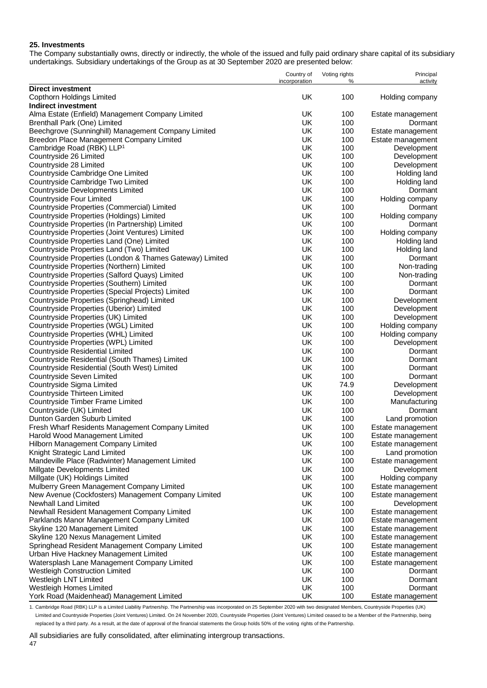#### **25. Investments**

The Company substantially owns, directly or indirectly, the whole of the issued and fully paid ordinary share capital of its subsidiary undertakings. Subsidiary undertakings of the Group as at 30 September 2020 are presented below:

| UK<br>100<br>Holding company<br><b>UK</b><br>100<br>Alma Estate (Enfield) Management Company Limited<br>Estate management<br>UK<br>Brenthall Park (One) Limited<br>100<br>Dormant<br><b>UK</b><br>Beechgrove (Sunninghill) Management Company Limited<br>100<br>Estate management<br><b>UK</b><br>Breedon Place Management Company Limited<br>100<br>Estate management<br>UK<br>Cambridge Road (RBK) LLP <sup>1</sup><br>100<br>Development<br>Countryside 26 Limited<br>UK<br>100<br>Development<br>UK<br>Countryside 28 Limited<br>100<br>Development<br><b>UK</b><br>Countryside Cambridge One Limited<br>100<br>Holding land<br>UK<br>Countryside Cambridge Two Limited<br>100<br>Holding land<br>Countryside Developments Limited<br>UK<br>100<br>Dormant<br>UK<br>Countryside Four Limited<br>100<br>Holding company<br>UK<br>Countryside Properties (Commercial) Limited<br>100<br>Dormant<br>UK<br>Countryside Properties (Holdings) Limited<br>100<br>Holding company<br>UK<br>100<br>Countryside Properties (In Partnership) Limited<br>Dormant<br>UK<br>100<br>Countryside Properties (Joint Ventures) Limited<br>Holding company<br>UK<br>Countryside Properties Land (One) Limited<br>100<br>Holding land<br>UK<br>Countryside Properties Land (Two) Limited<br>100<br>Holding land<br>UK<br>Countryside Properties (London & Thames Gateway) Limited<br>100<br>Dormant<br><b>UK</b><br>Countryside Properties (Northern) Limited<br>100<br>Non-trading<br>UK<br>Countryside Properties (Salford Quays) Limited<br>100<br>Non-trading<br>Countryside Properties (Southern) Limited<br>UK.<br>100<br>Dormant<br><b>UK</b><br>Countryside Properties (Special Projects) Limited<br>100<br>Dormant<br><b>UK</b><br>Countryside Properties (Springhead) Limited<br>100<br>Development<br>UK<br>Countryside Properties (Uberior) Limited<br>100<br>Development<br>UK<br>Countryside Properties (UK) Limited<br>100<br>Development<br>UK<br>Countryside Properties (WGL) Limited<br>100<br>Holding company<br>UK<br>Countryside Properties (WHL) Limited<br>100<br>Holding company<br>Countryside Properties (WPL) Limited<br>UK<br>100<br>Development<br>UK<br>Countryside Residential Limited<br>100<br>Dormant<br>UK<br>Countryside Residential (South Thames) Limited<br>100<br>Dormant<br>UK<br>Countryside Residential (South West) Limited<br>100<br>Dormant<br>UK<br>100<br>Dormant<br>UK<br>74.9<br>Development<br>UK<br>100<br>Development<br>UK<br>100<br>Manufacturing<br>UK<br>100<br>Dormant<br>UK<br>100<br>Land promotion<br>UK<br>Fresh Wharf Residents Management Company Limited<br>100<br>Estate management<br>UK<br>100<br>Harold Wood Management Limited<br>Estate management<br>UK<br>Hilborn Management Company Limited<br>100<br>Estate management<br>Knight Strategic Land Limited<br>UK<br>100<br>Land promotion<br>Mandeville Place (Radwinter) Management Limited<br>UK<br>100<br>Estate management<br>Millgate Developments Limited<br>UK<br>100<br>Development<br>UK<br>Millgate (UK) Holdings Limited<br>100<br>Holding company<br>Mulberry Green Management Company Limited<br>UK<br>100<br>Estate management<br>New Avenue (Cockfosters) Management Company Limited<br>UK<br>100<br>Estate management<br>Newhall Land Limited<br>UK<br>100<br>Development<br>Newhall Resident Management Company Limited<br>UK<br>100<br>Estate management<br>Parklands Manor Management Company Limited<br>UK<br>100<br>Estate management<br>Skyline 120 Management Limited<br>UK<br>100<br>Estate management<br>Skyline 120 Nexus Management Limited<br>UK<br>100<br>Estate management<br>Springhead Resident Management Company Limited<br>UK<br>100<br>Estate management<br>Urban Hive Hackney Management Limited<br>UK<br>100<br>Estate management<br>UK<br>Watersplash Lane Management Company Limited<br>100<br>Estate management<br>UK<br><b>Westleigh Construction Limited</b><br>100<br>Dormant<br>Westleigh LNT Limited<br>UK<br>100<br>Dormant<br>Westleigh Homes Limited<br>UK<br>100<br>Dormant |                                           | Country of<br>incorporation | Voting rights<br>℅ | Principal<br>activity |
|----------------------------------------------------------------------------------------------------------------------------------------------------------------------------------------------------------------------------------------------------------------------------------------------------------------------------------------------------------------------------------------------------------------------------------------------------------------------------------------------------------------------------------------------------------------------------------------------------------------------------------------------------------------------------------------------------------------------------------------------------------------------------------------------------------------------------------------------------------------------------------------------------------------------------------------------------------------------------------------------------------------------------------------------------------------------------------------------------------------------------------------------------------------------------------------------------------------------------------------------------------------------------------------------------------------------------------------------------------------------------------------------------------------------------------------------------------------------------------------------------------------------------------------------------------------------------------------------------------------------------------------------------------------------------------------------------------------------------------------------------------------------------------------------------------------------------------------------------------------------------------------------------------------------------------------------------------------------------------------------------------------------------------------------------------------------------------------------------------------------------------------------------------------------------------------------------------------------------------------------------------------------------------------------------------------------------------------------------------------------------------------------------------------------------------------------------------------------------------------------------------------------------------------------------------------------------------------------------------------------------------------------------------------------------------------------------------------------------------------------------------------------------------------------------------------------------------------------------------------------------------------------------------------------------------------------------------------------------------------------------------------------------------------------------------------------------------------------------------------------------------------------------------------------------------------------------------------------------------------------------------------------------------------------------------------------------------------------------------------------------------------------------------------------------------------------------------------------------------------------------------------------------------------------------------------------------------------------------------------------------------------------------------------------------------------------------------------------------------------------------------------------------------------------------------------------------------------------------------------------------------------------------------------------------------------------------------------------------------------------------------------------------------------|-------------------------------------------|-----------------------------|--------------------|-----------------------|
|                                                                                                                                                                                                                                                                                                                                                                                                                                                                                                                                                                                                                                                                                                                                                                                                                                                                                                                                                                                                                                                                                                                                                                                                                                                                                                                                                                                                                                                                                                                                                                                                                                                                                                                                                                                                                                                                                                                                                                                                                                                                                                                                                                                                                                                                                                                                                                                                                                                                                                                                                                                                                                                                                                                                                                                                                                                                                                                                                                                                                                                                                                                                                                                                                                                                                                                                                                                                                                                                                                                                                                                                                                                                                                                                                                                                                                                                                                                                                                                                                                        | <b>Direct investment</b>                  |                             |                    |                       |
|                                                                                                                                                                                                                                                                                                                                                                                                                                                                                                                                                                                                                                                                                                                                                                                                                                                                                                                                                                                                                                                                                                                                                                                                                                                                                                                                                                                                                                                                                                                                                                                                                                                                                                                                                                                                                                                                                                                                                                                                                                                                                                                                                                                                                                                                                                                                                                                                                                                                                                                                                                                                                                                                                                                                                                                                                                                                                                                                                                                                                                                                                                                                                                                                                                                                                                                                                                                                                                                                                                                                                                                                                                                                                                                                                                                                                                                                                                                                                                                                                                        | <b>Copthorn Holdings Limited</b>          |                             |                    |                       |
|                                                                                                                                                                                                                                                                                                                                                                                                                                                                                                                                                                                                                                                                                                                                                                                                                                                                                                                                                                                                                                                                                                                                                                                                                                                                                                                                                                                                                                                                                                                                                                                                                                                                                                                                                                                                                                                                                                                                                                                                                                                                                                                                                                                                                                                                                                                                                                                                                                                                                                                                                                                                                                                                                                                                                                                                                                                                                                                                                                                                                                                                                                                                                                                                                                                                                                                                                                                                                                                                                                                                                                                                                                                                                                                                                                                                                                                                                                                                                                                                                                        | Indirect investment                       |                             |                    |                       |
|                                                                                                                                                                                                                                                                                                                                                                                                                                                                                                                                                                                                                                                                                                                                                                                                                                                                                                                                                                                                                                                                                                                                                                                                                                                                                                                                                                                                                                                                                                                                                                                                                                                                                                                                                                                                                                                                                                                                                                                                                                                                                                                                                                                                                                                                                                                                                                                                                                                                                                                                                                                                                                                                                                                                                                                                                                                                                                                                                                                                                                                                                                                                                                                                                                                                                                                                                                                                                                                                                                                                                                                                                                                                                                                                                                                                                                                                                                                                                                                                                                        |                                           |                             |                    |                       |
|                                                                                                                                                                                                                                                                                                                                                                                                                                                                                                                                                                                                                                                                                                                                                                                                                                                                                                                                                                                                                                                                                                                                                                                                                                                                                                                                                                                                                                                                                                                                                                                                                                                                                                                                                                                                                                                                                                                                                                                                                                                                                                                                                                                                                                                                                                                                                                                                                                                                                                                                                                                                                                                                                                                                                                                                                                                                                                                                                                                                                                                                                                                                                                                                                                                                                                                                                                                                                                                                                                                                                                                                                                                                                                                                                                                                                                                                                                                                                                                                                                        |                                           |                             |                    |                       |
|                                                                                                                                                                                                                                                                                                                                                                                                                                                                                                                                                                                                                                                                                                                                                                                                                                                                                                                                                                                                                                                                                                                                                                                                                                                                                                                                                                                                                                                                                                                                                                                                                                                                                                                                                                                                                                                                                                                                                                                                                                                                                                                                                                                                                                                                                                                                                                                                                                                                                                                                                                                                                                                                                                                                                                                                                                                                                                                                                                                                                                                                                                                                                                                                                                                                                                                                                                                                                                                                                                                                                                                                                                                                                                                                                                                                                                                                                                                                                                                                                                        |                                           |                             |                    |                       |
|                                                                                                                                                                                                                                                                                                                                                                                                                                                                                                                                                                                                                                                                                                                                                                                                                                                                                                                                                                                                                                                                                                                                                                                                                                                                                                                                                                                                                                                                                                                                                                                                                                                                                                                                                                                                                                                                                                                                                                                                                                                                                                                                                                                                                                                                                                                                                                                                                                                                                                                                                                                                                                                                                                                                                                                                                                                                                                                                                                                                                                                                                                                                                                                                                                                                                                                                                                                                                                                                                                                                                                                                                                                                                                                                                                                                                                                                                                                                                                                                                                        |                                           |                             |                    |                       |
|                                                                                                                                                                                                                                                                                                                                                                                                                                                                                                                                                                                                                                                                                                                                                                                                                                                                                                                                                                                                                                                                                                                                                                                                                                                                                                                                                                                                                                                                                                                                                                                                                                                                                                                                                                                                                                                                                                                                                                                                                                                                                                                                                                                                                                                                                                                                                                                                                                                                                                                                                                                                                                                                                                                                                                                                                                                                                                                                                                                                                                                                                                                                                                                                                                                                                                                                                                                                                                                                                                                                                                                                                                                                                                                                                                                                                                                                                                                                                                                                                                        |                                           |                             |                    |                       |
|                                                                                                                                                                                                                                                                                                                                                                                                                                                                                                                                                                                                                                                                                                                                                                                                                                                                                                                                                                                                                                                                                                                                                                                                                                                                                                                                                                                                                                                                                                                                                                                                                                                                                                                                                                                                                                                                                                                                                                                                                                                                                                                                                                                                                                                                                                                                                                                                                                                                                                                                                                                                                                                                                                                                                                                                                                                                                                                                                                                                                                                                                                                                                                                                                                                                                                                                                                                                                                                                                                                                                                                                                                                                                                                                                                                                                                                                                                                                                                                                                                        |                                           |                             |                    |                       |
|                                                                                                                                                                                                                                                                                                                                                                                                                                                                                                                                                                                                                                                                                                                                                                                                                                                                                                                                                                                                                                                                                                                                                                                                                                                                                                                                                                                                                                                                                                                                                                                                                                                                                                                                                                                                                                                                                                                                                                                                                                                                                                                                                                                                                                                                                                                                                                                                                                                                                                                                                                                                                                                                                                                                                                                                                                                                                                                                                                                                                                                                                                                                                                                                                                                                                                                                                                                                                                                                                                                                                                                                                                                                                                                                                                                                                                                                                                                                                                                                                                        |                                           |                             |                    |                       |
|                                                                                                                                                                                                                                                                                                                                                                                                                                                                                                                                                                                                                                                                                                                                                                                                                                                                                                                                                                                                                                                                                                                                                                                                                                                                                                                                                                                                                                                                                                                                                                                                                                                                                                                                                                                                                                                                                                                                                                                                                                                                                                                                                                                                                                                                                                                                                                                                                                                                                                                                                                                                                                                                                                                                                                                                                                                                                                                                                                                                                                                                                                                                                                                                                                                                                                                                                                                                                                                                                                                                                                                                                                                                                                                                                                                                                                                                                                                                                                                                                                        |                                           |                             |                    |                       |
|                                                                                                                                                                                                                                                                                                                                                                                                                                                                                                                                                                                                                                                                                                                                                                                                                                                                                                                                                                                                                                                                                                                                                                                                                                                                                                                                                                                                                                                                                                                                                                                                                                                                                                                                                                                                                                                                                                                                                                                                                                                                                                                                                                                                                                                                                                                                                                                                                                                                                                                                                                                                                                                                                                                                                                                                                                                                                                                                                                                                                                                                                                                                                                                                                                                                                                                                                                                                                                                                                                                                                                                                                                                                                                                                                                                                                                                                                                                                                                                                                                        |                                           |                             |                    |                       |
|                                                                                                                                                                                                                                                                                                                                                                                                                                                                                                                                                                                                                                                                                                                                                                                                                                                                                                                                                                                                                                                                                                                                                                                                                                                                                                                                                                                                                                                                                                                                                                                                                                                                                                                                                                                                                                                                                                                                                                                                                                                                                                                                                                                                                                                                                                                                                                                                                                                                                                                                                                                                                                                                                                                                                                                                                                                                                                                                                                                                                                                                                                                                                                                                                                                                                                                                                                                                                                                                                                                                                                                                                                                                                                                                                                                                                                                                                                                                                                                                                                        |                                           |                             |                    |                       |
|                                                                                                                                                                                                                                                                                                                                                                                                                                                                                                                                                                                                                                                                                                                                                                                                                                                                                                                                                                                                                                                                                                                                                                                                                                                                                                                                                                                                                                                                                                                                                                                                                                                                                                                                                                                                                                                                                                                                                                                                                                                                                                                                                                                                                                                                                                                                                                                                                                                                                                                                                                                                                                                                                                                                                                                                                                                                                                                                                                                                                                                                                                                                                                                                                                                                                                                                                                                                                                                                                                                                                                                                                                                                                                                                                                                                                                                                                                                                                                                                                                        |                                           |                             |                    |                       |
|                                                                                                                                                                                                                                                                                                                                                                                                                                                                                                                                                                                                                                                                                                                                                                                                                                                                                                                                                                                                                                                                                                                                                                                                                                                                                                                                                                                                                                                                                                                                                                                                                                                                                                                                                                                                                                                                                                                                                                                                                                                                                                                                                                                                                                                                                                                                                                                                                                                                                                                                                                                                                                                                                                                                                                                                                                                                                                                                                                                                                                                                                                                                                                                                                                                                                                                                                                                                                                                                                                                                                                                                                                                                                                                                                                                                                                                                                                                                                                                                                                        |                                           |                             |                    |                       |
|                                                                                                                                                                                                                                                                                                                                                                                                                                                                                                                                                                                                                                                                                                                                                                                                                                                                                                                                                                                                                                                                                                                                                                                                                                                                                                                                                                                                                                                                                                                                                                                                                                                                                                                                                                                                                                                                                                                                                                                                                                                                                                                                                                                                                                                                                                                                                                                                                                                                                                                                                                                                                                                                                                                                                                                                                                                                                                                                                                                                                                                                                                                                                                                                                                                                                                                                                                                                                                                                                                                                                                                                                                                                                                                                                                                                                                                                                                                                                                                                                                        |                                           |                             |                    |                       |
|                                                                                                                                                                                                                                                                                                                                                                                                                                                                                                                                                                                                                                                                                                                                                                                                                                                                                                                                                                                                                                                                                                                                                                                                                                                                                                                                                                                                                                                                                                                                                                                                                                                                                                                                                                                                                                                                                                                                                                                                                                                                                                                                                                                                                                                                                                                                                                                                                                                                                                                                                                                                                                                                                                                                                                                                                                                                                                                                                                                                                                                                                                                                                                                                                                                                                                                                                                                                                                                                                                                                                                                                                                                                                                                                                                                                                                                                                                                                                                                                                                        |                                           |                             |                    |                       |
|                                                                                                                                                                                                                                                                                                                                                                                                                                                                                                                                                                                                                                                                                                                                                                                                                                                                                                                                                                                                                                                                                                                                                                                                                                                                                                                                                                                                                                                                                                                                                                                                                                                                                                                                                                                                                                                                                                                                                                                                                                                                                                                                                                                                                                                                                                                                                                                                                                                                                                                                                                                                                                                                                                                                                                                                                                                                                                                                                                                                                                                                                                                                                                                                                                                                                                                                                                                                                                                                                                                                                                                                                                                                                                                                                                                                                                                                                                                                                                                                                                        |                                           |                             |                    |                       |
|                                                                                                                                                                                                                                                                                                                                                                                                                                                                                                                                                                                                                                                                                                                                                                                                                                                                                                                                                                                                                                                                                                                                                                                                                                                                                                                                                                                                                                                                                                                                                                                                                                                                                                                                                                                                                                                                                                                                                                                                                                                                                                                                                                                                                                                                                                                                                                                                                                                                                                                                                                                                                                                                                                                                                                                                                                                                                                                                                                                                                                                                                                                                                                                                                                                                                                                                                                                                                                                                                                                                                                                                                                                                                                                                                                                                                                                                                                                                                                                                                                        |                                           |                             |                    |                       |
|                                                                                                                                                                                                                                                                                                                                                                                                                                                                                                                                                                                                                                                                                                                                                                                                                                                                                                                                                                                                                                                                                                                                                                                                                                                                                                                                                                                                                                                                                                                                                                                                                                                                                                                                                                                                                                                                                                                                                                                                                                                                                                                                                                                                                                                                                                                                                                                                                                                                                                                                                                                                                                                                                                                                                                                                                                                                                                                                                                                                                                                                                                                                                                                                                                                                                                                                                                                                                                                                                                                                                                                                                                                                                                                                                                                                                                                                                                                                                                                                                                        |                                           |                             |                    |                       |
|                                                                                                                                                                                                                                                                                                                                                                                                                                                                                                                                                                                                                                                                                                                                                                                                                                                                                                                                                                                                                                                                                                                                                                                                                                                                                                                                                                                                                                                                                                                                                                                                                                                                                                                                                                                                                                                                                                                                                                                                                                                                                                                                                                                                                                                                                                                                                                                                                                                                                                                                                                                                                                                                                                                                                                                                                                                                                                                                                                                                                                                                                                                                                                                                                                                                                                                                                                                                                                                                                                                                                                                                                                                                                                                                                                                                                                                                                                                                                                                                                                        |                                           |                             |                    |                       |
|                                                                                                                                                                                                                                                                                                                                                                                                                                                                                                                                                                                                                                                                                                                                                                                                                                                                                                                                                                                                                                                                                                                                                                                                                                                                                                                                                                                                                                                                                                                                                                                                                                                                                                                                                                                                                                                                                                                                                                                                                                                                                                                                                                                                                                                                                                                                                                                                                                                                                                                                                                                                                                                                                                                                                                                                                                                                                                                                                                                                                                                                                                                                                                                                                                                                                                                                                                                                                                                                                                                                                                                                                                                                                                                                                                                                                                                                                                                                                                                                                                        |                                           |                             |                    |                       |
|                                                                                                                                                                                                                                                                                                                                                                                                                                                                                                                                                                                                                                                                                                                                                                                                                                                                                                                                                                                                                                                                                                                                                                                                                                                                                                                                                                                                                                                                                                                                                                                                                                                                                                                                                                                                                                                                                                                                                                                                                                                                                                                                                                                                                                                                                                                                                                                                                                                                                                                                                                                                                                                                                                                                                                                                                                                                                                                                                                                                                                                                                                                                                                                                                                                                                                                                                                                                                                                                                                                                                                                                                                                                                                                                                                                                                                                                                                                                                                                                                                        |                                           |                             |                    |                       |
|                                                                                                                                                                                                                                                                                                                                                                                                                                                                                                                                                                                                                                                                                                                                                                                                                                                                                                                                                                                                                                                                                                                                                                                                                                                                                                                                                                                                                                                                                                                                                                                                                                                                                                                                                                                                                                                                                                                                                                                                                                                                                                                                                                                                                                                                                                                                                                                                                                                                                                                                                                                                                                                                                                                                                                                                                                                                                                                                                                                                                                                                                                                                                                                                                                                                                                                                                                                                                                                                                                                                                                                                                                                                                                                                                                                                                                                                                                                                                                                                                                        |                                           |                             |                    |                       |
|                                                                                                                                                                                                                                                                                                                                                                                                                                                                                                                                                                                                                                                                                                                                                                                                                                                                                                                                                                                                                                                                                                                                                                                                                                                                                                                                                                                                                                                                                                                                                                                                                                                                                                                                                                                                                                                                                                                                                                                                                                                                                                                                                                                                                                                                                                                                                                                                                                                                                                                                                                                                                                                                                                                                                                                                                                                                                                                                                                                                                                                                                                                                                                                                                                                                                                                                                                                                                                                                                                                                                                                                                                                                                                                                                                                                                                                                                                                                                                                                                                        |                                           |                             |                    |                       |
|                                                                                                                                                                                                                                                                                                                                                                                                                                                                                                                                                                                                                                                                                                                                                                                                                                                                                                                                                                                                                                                                                                                                                                                                                                                                                                                                                                                                                                                                                                                                                                                                                                                                                                                                                                                                                                                                                                                                                                                                                                                                                                                                                                                                                                                                                                                                                                                                                                                                                                                                                                                                                                                                                                                                                                                                                                                                                                                                                                                                                                                                                                                                                                                                                                                                                                                                                                                                                                                                                                                                                                                                                                                                                                                                                                                                                                                                                                                                                                                                                                        |                                           |                             |                    |                       |
|                                                                                                                                                                                                                                                                                                                                                                                                                                                                                                                                                                                                                                                                                                                                                                                                                                                                                                                                                                                                                                                                                                                                                                                                                                                                                                                                                                                                                                                                                                                                                                                                                                                                                                                                                                                                                                                                                                                                                                                                                                                                                                                                                                                                                                                                                                                                                                                                                                                                                                                                                                                                                                                                                                                                                                                                                                                                                                                                                                                                                                                                                                                                                                                                                                                                                                                                                                                                                                                                                                                                                                                                                                                                                                                                                                                                                                                                                                                                                                                                                                        |                                           |                             |                    |                       |
|                                                                                                                                                                                                                                                                                                                                                                                                                                                                                                                                                                                                                                                                                                                                                                                                                                                                                                                                                                                                                                                                                                                                                                                                                                                                                                                                                                                                                                                                                                                                                                                                                                                                                                                                                                                                                                                                                                                                                                                                                                                                                                                                                                                                                                                                                                                                                                                                                                                                                                                                                                                                                                                                                                                                                                                                                                                                                                                                                                                                                                                                                                                                                                                                                                                                                                                                                                                                                                                                                                                                                                                                                                                                                                                                                                                                                                                                                                                                                                                                                                        |                                           |                             |                    |                       |
|                                                                                                                                                                                                                                                                                                                                                                                                                                                                                                                                                                                                                                                                                                                                                                                                                                                                                                                                                                                                                                                                                                                                                                                                                                                                                                                                                                                                                                                                                                                                                                                                                                                                                                                                                                                                                                                                                                                                                                                                                                                                                                                                                                                                                                                                                                                                                                                                                                                                                                                                                                                                                                                                                                                                                                                                                                                                                                                                                                                                                                                                                                                                                                                                                                                                                                                                                                                                                                                                                                                                                                                                                                                                                                                                                                                                                                                                                                                                                                                                                                        |                                           |                             |                    |                       |
|                                                                                                                                                                                                                                                                                                                                                                                                                                                                                                                                                                                                                                                                                                                                                                                                                                                                                                                                                                                                                                                                                                                                                                                                                                                                                                                                                                                                                                                                                                                                                                                                                                                                                                                                                                                                                                                                                                                                                                                                                                                                                                                                                                                                                                                                                                                                                                                                                                                                                                                                                                                                                                                                                                                                                                                                                                                                                                                                                                                                                                                                                                                                                                                                                                                                                                                                                                                                                                                                                                                                                                                                                                                                                                                                                                                                                                                                                                                                                                                                                                        |                                           |                             |                    |                       |
|                                                                                                                                                                                                                                                                                                                                                                                                                                                                                                                                                                                                                                                                                                                                                                                                                                                                                                                                                                                                                                                                                                                                                                                                                                                                                                                                                                                                                                                                                                                                                                                                                                                                                                                                                                                                                                                                                                                                                                                                                                                                                                                                                                                                                                                                                                                                                                                                                                                                                                                                                                                                                                                                                                                                                                                                                                                                                                                                                                                                                                                                                                                                                                                                                                                                                                                                                                                                                                                                                                                                                                                                                                                                                                                                                                                                                                                                                                                                                                                                                                        |                                           |                             |                    |                       |
|                                                                                                                                                                                                                                                                                                                                                                                                                                                                                                                                                                                                                                                                                                                                                                                                                                                                                                                                                                                                                                                                                                                                                                                                                                                                                                                                                                                                                                                                                                                                                                                                                                                                                                                                                                                                                                                                                                                                                                                                                                                                                                                                                                                                                                                                                                                                                                                                                                                                                                                                                                                                                                                                                                                                                                                                                                                                                                                                                                                                                                                                                                                                                                                                                                                                                                                                                                                                                                                                                                                                                                                                                                                                                                                                                                                                                                                                                                                                                                                                                                        |                                           |                             |                    |                       |
|                                                                                                                                                                                                                                                                                                                                                                                                                                                                                                                                                                                                                                                                                                                                                                                                                                                                                                                                                                                                                                                                                                                                                                                                                                                                                                                                                                                                                                                                                                                                                                                                                                                                                                                                                                                                                                                                                                                                                                                                                                                                                                                                                                                                                                                                                                                                                                                                                                                                                                                                                                                                                                                                                                                                                                                                                                                                                                                                                                                                                                                                                                                                                                                                                                                                                                                                                                                                                                                                                                                                                                                                                                                                                                                                                                                                                                                                                                                                                                                                                                        |                                           |                             |                    |                       |
|                                                                                                                                                                                                                                                                                                                                                                                                                                                                                                                                                                                                                                                                                                                                                                                                                                                                                                                                                                                                                                                                                                                                                                                                                                                                                                                                                                                                                                                                                                                                                                                                                                                                                                                                                                                                                                                                                                                                                                                                                                                                                                                                                                                                                                                                                                                                                                                                                                                                                                                                                                                                                                                                                                                                                                                                                                                                                                                                                                                                                                                                                                                                                                                                                                                                                                                                                                                                                                                                                                                                                                                                                                                                                                                                                                                                                                                                                                                                                                                                                                        | Countryside Seven Limited                 |                             |                    |                       |
|                                                                                                                                                                                                                                                                                                                                                                                                                                                                                                                                                                                                                                                                                                                                                                                                                                                                                                                                                                                                                                                                                                                                                                                                                                                                                                                                                                                                                                                                                                                                                                                                                                                                                                                                                                                                                                                                                                                                                                                                                                                                                                                                                                                                                                                                                                                                                                                                                                                                                                                                                                                                                                                                                                                                                                                                                                                                                                                                                                                                                                                                                                                                                                                                                                                                                                                                                                                                                                                                                                                                                                                                                                                                                                                                                                                                                                                                                                                                                                                                                                        | Countryside Sigma Limited                 |                             |                    |                       |
|                                                                                                                                                                                                                                                                                                                                                                                                                                                                                                                                                                                                                                                                                                                                                                                                                                                                                                                                                                                                                                                                                                                                                                                                                                                                                                                                                                                                                                                                                                                                                                                                                                                                                                                                                                                                                                                                                                                                                                                                                                                                                                                                                                                                                                                                                                                                                                                                                                                                                                                                                                                                                                                                                                                                                                                                                                                                                                                                                                                                                                                                                                                                                                                                                                                                                                                                                                                                                                                                                                                                                                                                                                                                                                                                                                                                                                                                                                                                                                                                                                        | Countryside Thirteen Limited              |                             |                    |                       |
|                                                                                                                                                                                                                                                                                                                                                                                                                                                                                                                                                                                                                                                                                                                                                                                                                                                                                                                                                                                                                                                                                                                                                                                                                                                                                                                                                                                                                                                                                                                                                                                                                                                                                                                                                                                                                                                                                                                                                                                                                                                                                                                                                                                                                                                                                                                                                                                                                                                                                                                                                                                                                                                                                                                                                                                                                                                                                                                                                                                                                                                                                                                                                                                                                                                                                                                                                                                                                                                                                                                                                                                                                                                                                                                                                                                                                                                                                                                                                                                                                                        | Countryside Timber Frame Limited          |                             |                    |                       |
|                                                                                                                                                                                                                                                                                                                                                                                                                                                                                                                                                                                                                                                                                                                                                                                                                                                                                                                                                                                                                                                                                                                                                                                                                                                                                                                                                                                                                                                                                                                                                                                                                                                                                                                                                                                                                                                                                                                                                                                                                                                                                                                                                                                                                                                                                                                                                                                                                                                                                                                                                                                                                                                                                                                                                                                                                                                                                                                                                                                                                                                                                                                                                                                                                                                                                                                                                                                                                                                                                                                                                                                                                                                                                                                                                                                                                                                                                                                                                                                                                                        | Countryside (UK) Limited                  |                             |                    |                       |
|                                                                                                                                                                                                                                                                                                                                                                                                                                                                                                                                                                                                                                                                                                                                                                                                                                                                                                                                                                                                                                                                                                                                                                                                                                                                                                                                                                                                                                                                                                                                                                                                                                                                                                                                                                                                                                                                                                                                                                                                                                                                                                                                                                                                                                                                                                                                                                                                                                                                                                                                                                                                                                                                                                                                                                                                                                                                                                                                                                                                                                                                                                                                                                                                                                                                                                                                                                                                                                                                                                                                                                                                                                                                                                                                                                                                                                                                                                                                                                                                                                        | Dunton Garden Suburb Limited              |                             |                    |                       |
|                                                                                                                                                                                                                                                                                                                                                                                                                                                                                                                                                                                                                                                                                                                                                                                                                                                                                                                                                                                                                                                                                                                                                                                                                                                                                                                                                                                                                                                                                                                                                                                                                                                                                                                                                                                                                                                                                                                                                                                                                                                                                                                                                                                                                                                                                                                                                                                                                                                                                                                                                                                                                                                                                                                                                                                                                                                                                                                                                                                                                                                                                                                                                                                                                                                                                                                                                                                                                                                                                                                                                                                                                                                                                                                                                                                                                                                                                                                                                                                                                                        |                                           |                             |                    |                       |
|                                                                                                                                                                                                                                                                                                                                                                                                                                                                                                                                                                                                                                                                                                                                                                                                                                                                                                                                                                                                                                                                                                                                                                                                                                                                                                                                                                                                                                                                                                                                                                                                                                                                                                                                                                                                                                                                                                                                                                                                                                                                                                                                                                                                                                                                                                                                                                                                                                                                                                                                                                                                                                                                                                                                                                                                                                                                                                                                                                                                                                                                                                                                                                                                                                                                                                                                                                                                                                                                                                                                                                                                                                                                                                                                                                                                                                                                                                                                                                                                                                        |                                           |                             |                    |                       |
|                                                                                                                                                                                                                                                                                                                                                                                                                                                                                                                                                                                                                                                                                                                                                                                                                                                                                                                                                                                                                                                                                                                                                                                                                                                                                                                                                                                                                                                                                                                                                                                                                                                                                                                                                                                                                                                                                                                                                                                                                                                                                                                                                                                                                                                                                                                                                                                                                                                                                                                                                                                                                                                                                                                                                                                                                                                                                                                                                                                                                                                                                                                                                                                                                                                                                                                                                                                                                                                                                                                                                                                                                                                                                                                                                                                                                                                                                                                                                                                                                                        |                                           |                             |                    |                       |
|                                                                                                                                                                                                                                                                                                                                                                                                                                                                                                                                                                                                                                                                                                                                                                                                                                                                                                                                                                                                                                                                                                                                                                                                                                                                                                                                                                                                                                                                                                                                                                                                                                                                                                                                                                                                                                                                                                                                                                                                                                                                                                                                                                                                                                                                                                                                                                                                                                                                                                                                                                                                                                                                                                                                                                                                                                                                                                                                                                                                                                                                                                                                                                                                                                                                                                                                                                                                                                                                                                                                                                                                                                                                                                                                                                                                                                                                                                                                                                                                                                        |                                           |                             |                    |                       |
|                                                                                                                                                                                                                                                                                                                                                                                                                                                                                                                                                                                                                                                                                                                                                                                                                                                                                                                                                                                                                                                                                                                                                                                                                                                                                                                                                                                                                                                                                                                                                                                                                                                                                                                                                                                                                                                                                                                                                                                                                                                                                                                                                                                                                                                                                                                                                                                                                                                                                                                                                                                                                                                                                                                                                                                                                                                                                                                                                                                                                                                                                                                                                                                                                                                                                                                                                                                                                                                                                                                                                                                                                                                                                                                                                                                                                                                                                                                                                                                                                                        |                                           |                             |                    |                       |
|                                                                                                                                                                                                                                                                                                                                                                                                                                                                                                                                                                                                                                                                                                                                                                                                                                                                                                                                                                                                                                                                                                                                                                                                                                                                                                                                                                                                                                                                                                                                                                                                                                                                                                                                                                                                                                                                                                                                                                                                                                                                                                                                                                                                                                                                                                                                                                                                                                                                                                                                                                                                                                                                                                                                                                                                                                                                                                                                                                                                                                                                                                                                                                                                                                                                                                                                                                                                                                                                                                                                                                                                                                                                                                                                                                                                                                                                                                                                                                                                                                        |                                           |                             |                    |                       |
|                                                                                                                                                                                                                                                                                                                                                                                                                                                                                                                                                                                                                                                                                                                                                                                                                                                                                                                                                                                                                                                                                                                                                                                                                                                                                                                                                                                                                                                                                                                                                                                                                                                                                                                                                                                                                                                                                                                                                                                                                                                                                                                                                                                                                                                                                                                                                                                                                                                                                                                                                                                                                                                                                                                                                                                                                                                                                                                                                                                                                                                                                                                                                                                                                                                                                                                                                                                                                                                                                                                                                                                                                                                                                                                                                                                                                                                                                                                                                                                                                                        |                                           |                             |                    |                       |
|                                                                                                                                                                                                                                                                                                                                                                                                                                                                                                                                                                                                                                                                                                                                                                                                                                                                                                                                                                                                                                                                                                                                                                                                                                                                                                                                                                                                                                                                                                                                                                                                                                                                                                                                                                                                                                                                                                                                                                                                                                                                                                                                                                                                                                                                                                                                                                                                                                                                                                                                                                                                                                                                                                                                                                                                                                                                                                                                                                                                                                                                                                                                                                                                                                                                                                                                                                                                                                                                                                                                                                                                                                                                                                                                                                                                                                                                                                                                                                                                                                        |                                           |                             |                    |                       |
|                                                                                                                                                                                                                                                                                                                                                                                                                                                                                                                                                                                                                                                                                                                                                                                                                                                                                                                                                                                                                                                                                                                                                                                                                                                                                                                                                                                                                                                                                                                                                                                                                                                                                                                                                                                                                                                                                                                                                                                                                                                                                                                                                                                                                                                                                                                                                                                                                                                                                                                                                                                                                                                                                                                                                                                                                                                                                                                                                                                                                                                                                                                                                                                                                                                                                                                                                                                                                                                                                                                                                                                                                                                                                                                                                                                                                                                                                                                                                                                                                                        |                                           |                             |                    |                       |
|                                                                                                                                                                                                                                                                                                                                                                                                                                                                                                                                                                                                                                                                                                                                                                                                                                                                                                                                                                                                                                                                                                                                                                                                                                                                                                                                                                                                                                                                                                                                                                                                                                                                                                                                                                                                                                                                                                                                                                                                                                                                                                                                                                                                                                                                                                                                                                                                                                                                                                                                                                                                                                                                                                                                                                                                                                                                                                                                                                                                                                                                                                                                                                                                                                                                                                                                                                                                                                                                                                                                                                                                                                                                                                                                                                                                                                                                                                                                                                                                                                        |                                           |                             |                    |                       |
|                                                                                                                                                                                                                                                                                                                                                                                                                                                                                                                                                                                                                                                                                                                                                                                                                                                                                                                                                                                                                                                                                                                                                                                                                                                                                                                                                                                                                                                                                                                                                                                                                                                                                                                                                                                                                                                                                                                                                                                                                                                                                                                                                                                                                                                                                                                                                                                                                                                                                                                                                                                                                                                                                                                                                                                                                                                                                                                                                                                                                                                                                                                                                                                                                                                                                                                                                                                                                                                                                                                                                                                                                                                                                                                                                                                                                                                                                                                                                                                                                                        |                                           |                             |                    |                       |
|                                                                                                                                                                                                                                                                                                                                                                                                                                                                                                                                                                                                                                                                                                                                                                                                                                                                                                                                                                                                                                                                                                                                                                                                                                                                                                                                                                                                                                                                                                                                                                                                                                                                                                                                                                                                                                                                                                                                                                                                                                                                                                                                                                                                                                                                                                                                                                                                                                                                                                                                                                                                                                                                                                                                                                                                                                                                                                                                                                                                                                                                                                                                                                                                                                                                                                                                                                                                                                                                                                                                                                                                                                                                                                                                                                                                                                                                                                                                                                                                                                        |                                           |                             |                    |                       |
|                                                                                                                                                                                                                                                                                                                                                                                                                                                                                                                                                                                                                                                                                                                                                                                                                                                                                                                                                                                                                                                                                                                                                                                                                                                                                                                                                                                                                                                                                                                                                                                                                                                                                                                                                                                                                                                                                                                                                                                                                                                                                                                                                                                                                                                                                                                                                                                                                                                                                                                                                                                                                                                                                                                                                                                                                                                                                                                                                                                                                                                                                                                                                                                                                                                                                                                                                                                                                                                                                                                                                                                                                                                                                                                                                                                                                                                                                                                                                                                                                                        |                                           |                             |                    |                       |
|                                                                                                                                                                                                                                                                                                                                                                                                                                                                                                                                                                                                                                                                                                                                                                                                                                                                                                                                                                                                                                                                                                                                                                                                                                                                                                                                                                                                                                                                                                                                                                                                                                                                                                                                                                                                                                                                                                                                                                                                                                                                                                                                                                                                                                                                                                                                                                                                                                                                                                                                                                                                                                                                                                                                                                                                                                                                                                                                                                                                                                                                                                                                                                                                                                                                                                                                                                                                                                                                                                                                                                                                                                                                                                                                                                                                                                                                                                                                                                                                                                        |                                           |                             |                    |                       |
|                                                                                                                                                                                                                                                                                                                                                                                                                                                                                                                                                                                                                                                                                                                                                                                                                                                                                                                                                                                                                                                                                                                                                                                                                                                                                                                                                                                                                                                                                                                                                                                                                                                                                                                                                                                                                                                                                                                                                                                                                                                                                                                                                                                                                                                                                                                                                                                                                                                                                                                                                                                                                                                                                                                                                                                                                                                                                                                                                                                                                                                                                                                                                                                                                                                                                                                                                                                                                                                                                                                                                                                                                                                                                                                                                                                                                                                                                                                                                                                                                                        |                                           |                             |                    |                       |
|                                                                                                                                                                                                                                                                                                                                                                                                                                                                                                                                                                                                                                                                                                                                                                                                                                                                                                                                                                                                                                                                                                                                                                                                                                                                                                                                                                                                                                                                                                                                                                                                                                                                                                                                                                                                                                                                                                                                                                                                                                                                                                                                                                                                                                                                                                                                                                                                                                                                                                                                                                                                                                                                                                                                                                                                                                                                                                                                                                                                                                                                                                                                                                                                                                                                                                                                                                                                                                                                                                                                                                                                                                                                                                                                                                                                                                                                                                                                                                                                                                        |                                           |                             |                    |                       |
|                                                                                                                                                                                                                                                                                                                                                                                                                                                                                                                                                                                                                                                                                                                                                                                                                                                                                                                                                                                                                                                                                                                                                                                                                                                                                                                                                                                                                                                                                                                                                                                                                                                                                                                                                                                                                                                                                                                                                                                                                                                                                                                                                                                                                                                                                                                                                                                                                                                                                                                                                                                                                                                                                                                                                                                                                                                                                                                                                                                                                                                                                                                                                                                                                                                                                                                                                                                                                                                                                                                                                                                                                                                                                                                                                                                                                                                                                                                                                                                                                                        |                                           |                             |                    |                       |
|                                                                                                                                                                                                                                                                                                                                                                                                                                                                                                                                                                                                                                                                                                                                                                                                                                                                                                                                                                                                                                                                                                                                                                                                                                                                                                                                                                                                                                                                                                                                                                                                                                                                                                                                                                                                                                                                                                                                                                                                                                                                                                                                                                                                                                                                                                                                                                                                                                                                                                                                                                                                                                                                                                                                                                                                                                                                                                                                                                                                                                                                                                                                                                                                                                                                                                                                                                                                                                                                                                                                                                                                                                                                                                                                                                                                                                                                                                                                                                                                                                        |                                           |                             |                    |                       |
|                                                                                                                                                                                                                                                                                                                                                                                                                                                                                                                                                                                                                                                                                                                                                                                                                                                                                                                                                                                                                                                                                                                                                                                                                                                                                                                                                                                                                                                                                                                                                                                                                                                                                                                                                                                                                                                                                                                                                                                                                                                                                                                                                                                                                                                                                                                                                                                                                                                                                                                                                                                                                                                                                                                                                                                                                                                                                                                                                                                                                                                                                                                                                                                                                                                                                                                                                                                                                                                                                                                                                                                                                                                                                                                                                                                                                                                                                                                                                                                                                                        |                                           |                             |                    |                       |
|                                                                                                                                                                                                                                                                                                                                                                                                                                                                                                                                                                                                                                                                                                                                                                                                                                                                                                                                                                                                                                                                                                                                                                                                                                                                                                                                                                                                                                                                                                                                                                                                                                                                                                                                                                                                                                                                                                                                                                                                                                                                                                                                                                                                                                                                                                                                                                                                                                                                                                                                                                                                                                                                                                                                                                                                                                                                                                                                                                                                                                                                                                                                                                                                                                                                                                                                                                                                                                                                                                                                                                                                                                                                                                                                                                                                                                                                                                                                                                                                                                        | York Road (Maidenhead) Management Limited | UK                          | 100                | Estate management     |

1. Cambridge Road (RBK) LLP is a Limited Liability Partnership. The Partnership was incorporated on 25 September 2020 with two designated Members, Countryside Properties (UK) Limited and Countryside Properties (Joint Ventures) Limited. On 24 November 2020, Countryside Properties (Joint Ventures) Limited ceased to be a Member of the Partnership, being replaced by a third party. As a result, at the date of approval of the financial statements the Group holds 50% of the voting rights of the Partnership.

All subsidiaries are fully consolidated, after eliminating intergroup transactions.

47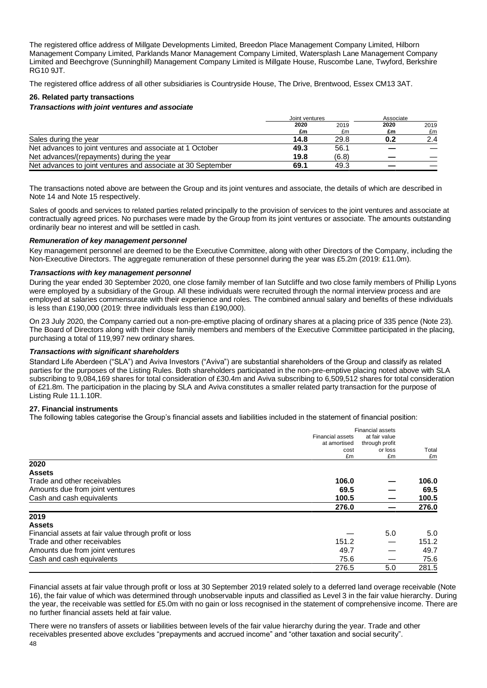The registered office address of Millgate Developments Limited, Breedon Place Management Company Limited, Hilborn Management Company Limited, Parklands Manor Management Company Limited, Watersplash Lane Management Company Limited and Beechgrove (Sunninghill) Management Company Limited is Millgate House, Ruscombe Lane, Twyford, Berkshire RG10 9JT.

The registered office address of all other subsidiaries is Countryside House, The Drive, Brentwood, Essex CM13 3AT.

# **26. Related party transactions**

#### *Transactions with joint ventures and associate*

|                                                              | Joint ventures |       | Associate |      |
|--------------------------------------------------------------|----------------|-------|-----------|------|
|                                                              | 2020           | 2019  | 2020      | 2019 |
|                                                              | £m             | £m    | £m        | £m   |
| Sales during the year                                        | 14.8           | 29.8  | 0.2       | 2.4  |
| Net advances to joint ventures and associate at 1 October    | 49.3           | 56.1  |           |      |
| Net advances/(repayments) during the year                    | 19.8           | (6.8) |           |      |
| Net advances to joint ventures and associate at 30 September | 69.1           | 49.3  |           |      |

The transactions noted above are between the Group and its joint ventures and associate, the details of which are described in Note 14 and Note 15 respectively.

Sales of goods and services to related parties related principally to the provision of services to the joint ventures and associate at contractually agreed prices. No purchases were made by the Group from its joint ventures or associate. The amounts outstanding ordinarily bear no interest and will be settled in cash.

#### *Remuneration of key management personnel*

Key management personnel are deemed to be the Executive Committee, along with other Directors of the Company, including the Non-Executive Directors. The aggregate remuneration of these personnel during the year was £5.2m (2019: £11.0m).

#### *Transactions with key management personnel*

During the year ended 30 September 2020, one close family member of Ian Sutcliffe and two close family members of Phillip Lyons were employed by a subsidiary of the Group. All these individuals were recruited through the normal interview process and are employed at salaries commensurate with their experience and roles. The combined annual salary and benefits of these individuals is less than £190,000 (2019: three individuals less than £190,000).

On 23 July 2020, the Company carried out a non-pre-emptive placing of ordinary shares at a placing price of 335 pence (Note 23). The Board of Directors along with their close family members and members of the Executive Committee participated in the placing, purchasing a total of 119,997 new ordinary shares.

#### *Transactions with significant shareholders*

Standard Life Aberdeen ("SLA") and Aviva Investors ("Aviva") are substantial shareholders of the Group and classify as related parties for the purposes of the Listing Rules. Both shareholders participated in the non-pre-emptive placing noted above with SLA subscribing to 9,084,169 shares for total consideration of £30.4m and Aviva subscribing to 6,509,512 shares for total consideration of £21.8m. The participation in the placing by SLA and Aviva constitutes a smaller related party transaction for the purpose of Listing Rule 11.1.10R.

#### **27. Financial instruments**

The following tables categorise the Group's financial assets and liabilities included in the statement of financial position:

|                                                       | <b>Financial assets</b>                         |                                            |       |
|-------------------------------------------------------|-------------------------------------------------|--------------------------------------------|-------|
|                                                       | <b>Financial assets</b><br>at amortised<br>cost | at fair value<br>through profit<br>or loss | Total |
|                                                       | £m                                              | £m                                         | £m    |
| 2020                                                  |                                                 |                                            |       |
| <b>Assets</b>                                         |                                                 |                                            |       |
| Trade and other receivables                           | 106.0                                           |                                            | 106.0 |
| Amounts due from joint ventures                       | 69.5                                            |                                            | 69.5  |
| Cash and cash equivalents                             | 100.5                                           |                                            | 100.5 |
|                                                       | 276.0                                           |                                            | 276.0 |
| 2019                                                  |                                                 |                                            |       |
| <b>Assets</b>                                         |                                                 |                                            |       |
| Financial assets at fair value through profit or loss |                                                 | 5.0                                        | 5.0   |
| Trade and other receivables                           | 151.2                                           |                                            | 151.2 |
| Amounts due from joint ventures                       | 49.7                                            |                                            | 49.7  |
| Cash and cash equivalents                             | 75.6                                            |                                            | 75.6  |
|                                                       | 276.5                                           | 5.0                                        | 281.5 |

Financial assets at fair value through profit or loss at 30 September 2019 related solely to a deferred land overage receivable (Note 16), the fair value of which was determined through unobservable inputs and classified as Level 3 in the fair value hierarchy. During the year, the receivable was settled for £5.0m with no gain or loss recognised in the statement of comprehensive income. There are no further financial assets held at fair value.

48 There were no transfers of assets or liabilities between levels of the fair value hierarchy during the year. Trade and other receivables presented above excludes "prepayments and accrued income" and "other taxation and social security".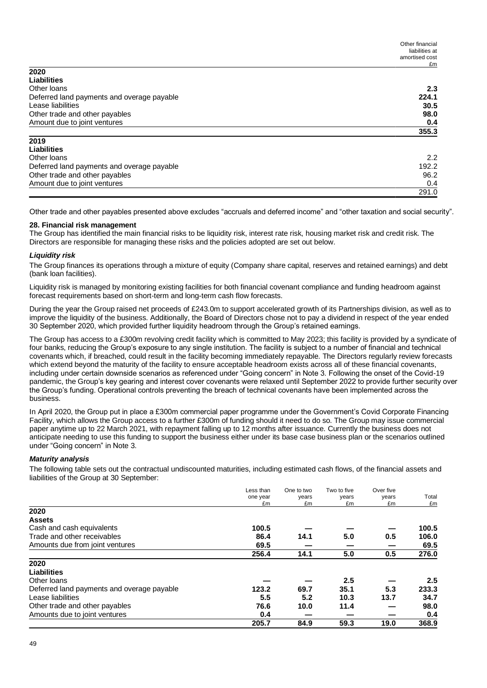|                                            | Other financial<br>liabilities at<br>amortised cost |
|--------------------------------------------|-----------------------------------------------------|
|                                            | £m                                                  |
| 2020                                       |                                                     |
| <b>Liabilities</b>                         |                                                     |
| Other loans                                | 2.3                                                 |
| Deferred land payments and overage payable | 224.1                                               |
| Lease liabilities                          | 30.5                                                |
| Other trade and other payables             | 98.0                                                |
| Amount due to joint ventures               | 0.4                                                 |
|                                            | 355.3                                               |
| 2019                                       |                                                     |
| Liabilities                                |                                                     |
| Other loans                                | 2.2                                                 |

| Other loans                                |       |
|--------------------------------------------|-------|
| Deferred land payments and overage payable | 192.2 |
| Other trade and other payables             | 96.2  |
| Amount due to joint ventures               | 0.4   |
|                                            | 291.0 |

Other trade and other payables presented above excludes "accruals and deferred income" and "other taxation and social security".

#### **28. Financial risk management**

The Group has identified the main financial risks to be liquidity risk, interest rate risk, housing market risk and credit risk. The Directors are responsible for managing these risks and the policies adopted are set out below.

#### *Liquidity risk*

The Group finances its operations through a mixture of equity (Company share capital, reserves and retained earnings) and debt (bank loan facilities).

Liquidity risk is managed by monitoring existing facilities for both financial covenant compliance and funding headroom against forecast requirements based on short-term and long-term cash flow forecasts.

During the year the Group raised net proceeds of £243.0m to support accelerated growth of its Partnerships division, as well as to improve the liquidity of the business. Additionally, the Board of Directors chose not to pay a dividend in respect of the year ended 30 September 2020, which provided further liquidity headroom through the Group's retained earnings.

The Group has access to a £300m revolving credit facility which is committed to May 2023; this facility is provided by a syndicate of four banks, reducing the Group's exposure to any single institution. The facility is subject to a number of financial and technical covenants which, if breached, could result in the facility becoming immediately repayable. The Directors regularly review forecasts which extend beyond the maturity of the facility to ensure acceptable headroom exists across all of these financial covenants, including under certain downside scenarios as referenced under "Going concern" in Note 3. Following the onset of the Covid-19 pandemic, the Group's key gearing and interest cover covenants were relaxed until September 2022 to provide further security over the Group's funding. Operational controls preventing the breach of technical covenants have been implemented across the business.

In April 2020, the Group put in place a £300m commercial paper programme under the Government's Covid Corporate Financing Facility, which allows the Group access to a further £300m of funding should it need to do so. The Group may issue commercial paper anytime up to 22 March 2021, with repayment falling up to 12 months after issuance. Currently the business does not anticipate needing to use this funding to support the business either under its base case business plan or the scenarios outlined under "Going concern" in Note 3.

#### *Maturity analysis*

The following table sets out the contractual undiscounted maturities, including estimated cash flows, of the financial assets and liabilities of the Group at 30 September:

|                                            | Less than<br>one year<br>£m | One to two<br>years<br>£m | Two to five<br>years<br>£m | Over five<br>years<br>£m | Total<br>£m      |
|--------------------------------------------|-----------------------------|---------------------------|----------------------------|--------------------------|------------------|
| 2020                                       |                             |                           |                            |                          |                  |
| <b>Assets</b>                              |                             |                           |                            |                          |                  |
| Cash and cash equivalents                  | 100.5                       |                           |                            |                          | 100.5            |
| Trade and other receivables                | 86.4                        | 14.1                      | 5.0                        | 0.5                      | 106.0            |
| Amounts due from joint ventures            | 69.5                        |                           |                            |                          | 69.5             |
|                                            | 256.4                       | 14.1                      | 5.0                        | 0.5                      | 276.0            |
| 2020                                       |                             |                           |                            |                          |                  |
| <b>Liabilities</b>                         |                             |                           |                            |                          |                  |
| Other loans                                |                             |                           | 2.5                        |                          | $2.5\phantom{0}$ |
| Deferred land payments and overage payable | 123.2                       | 69.7                      | 35.1                       | 5.3                      | 233.3            |
| Lease liabilities                          | 5.5                         | 5.2                       | 10.3                       | 13.7                     | 34.7             |
| Other trade and other payables             | 76.6                        | 10.0                      | 11.4                       |                          | 98.0             |
| Amounts due to joint ventures              | 0.4                         |                           |                            |                          | 0.4              |
|                                            | 205.7                       | 84.9                      | 59.3                       | 19.0                     | 368.9            |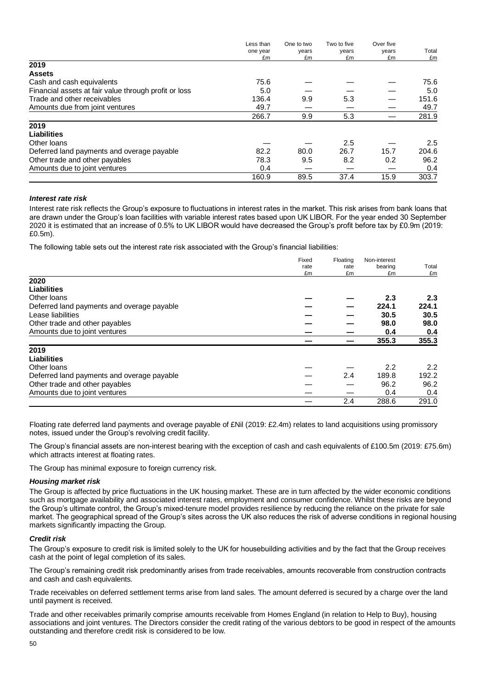|                                                       | Less than<br>one year | One to two | Two to five | Over five |       |
|-------------------------------------------------------|-----------------------|------------|-------------|-----------|-------|
|                                                       |                       | years      | years       | years     | Total |
|                                                       | £m                    | £m         | £m          | £m        | £m    |
| 2019                                                  |                       |            |             |           |       |
| <b>Assets</b>                                         |                       |            |             |           |       |
| Cash and cash equivalents                             | 75.6                  |            |             |           | 75.6  |
| Financial assets at fair value through profit or loss | 5.0                   |            |             |           | 5.0   |
| Trade and other receivables                           | 136.4                 | 9.9        | 5.3         |           | 151.6 |
| Amounts due from joint ventures                       | 49.7                  |            |             |           | 49.7  |
|                                                       | 266.7                 | 9.9        | 5.3         |           | 281.9 |
| 2019                                                  |                       |            |             |           |       |
| <b>Liabilities</b>                                    |                       |            |             |           |       |
| Other loans                                           |                       |            | 2.5         |           | 2.5   |
| Deferred land payments and overage payable            | 82.2                  | 80.0       | 26.7        | 15.7      | 204.6 |
| Other trade and other payables                        | 78.3                  | 9.5        | 8.2         | 0.2       | 96.2  |
| Amounts due to joint ventures                         | 0.4                   |            |             |           | 0.4   |
|                                                       | 160.9                 | 89.5       | 37.4        | 15.9      | 303.7 |

#### *Interest rate risk*

Interest rate risk reflects the Group's exposure to fluctuations in interest rates in the market. This risk arises from bank loans that are drawn under the Group's loan facilities with variable interest rates based upon UK LIBOR. For the year ended 30 September 2020 it is estimated that an increase of 0.5% to UK LIBOR would have decreased the Group's profit before tax by £0.9m (2019: £0.5m).

The following table sets out the interest rate risk associated with the Group's financial liabilities:

|                                            | Fixed | Floating | Non-interest |               |
|--------------------------------------------|-------|----------|--------------|---------------|
|                                            | rate  | rate     | bearing      | Total         |
|                                            | £m    | £m       | £m           | £m            |
| 2020                                       |       |          |              |               |
| <b>Liabilities</b>                         |       |          |              |               |
| Other loans                                |       |          | 2.3          | 2.3           |
| Deferred land payments and overage payable |       |          | 224.1        | 224.1         |
| Lease liabilities                          |       |          | 30.5         | 30.5          |
| Other trade and other payables             |       |          | 98.0         | 98.0          |
| Amounts due to joint ventures              |       |          | 0.4          | 0.4           |
|                                            |       |          | 355.3        | 355.3         |
| 2019                                       |       |          |              |               |
| <b>Liabilities</b>                         |       |          |              |               |
| Other loans                                |       |          | 2.2          | $2.2^{\circ}$ |
| Deferred land payments and overage payable |       | 2.4      | 189.8        | 192.2         |
| Other trade and other payables             |       |          | 96.2         | 96.2          |
| Amounts due to joint ventures              |       |          | 0.4          | 0.4           |
|                                            |       | 2.4      | 288.6        | 291.0         |

Floating rate deferred land payments and overage payable of £Nil (2019: £2.4m) relates to land acquisitions using promissory notes, issued under the Group's revolving credit facility.

The Group's financial assets are non-interest bearing with the exception of cash and cash equivalents of £100.5m (2019: £75.6m) which attracts interest at floating rates.

The Group has minimal exposure to foreign currency risk.

#### *Housing market risk*

The Group is affected by price fluctuations in the UK housing market. These are in turn affected by the wider economic conditions such as mortgage availability and associated interest rates, employment and consumer confidence. Whilst these risks are beyond the Group's ultimate control, the Group's mixed-tenure model provides resilience by reducing the reliance on the private for sale market. The geographical spread of the Group's sites across the UK also reduces the risk of adverse conditions in regional housing markets significantly impacting the Group.

#### *Credit risk*

The Group's exposure to credit risk is limited solely to the UK for housebuilding activities and by the fact that the Group receives cash at the point of legal completion of its sales.

The Group's remaining credit risk predominantly arises from trade receivables, amounts recoverable from construction contracts and cash and cash equivalents.

Trade receivables on deferred settlement terms arise from land sales. The amount deferred is secured by a charge over the land until payment is received.

Trade and other receivables primarily comprise amounts receivable from Homes England (in relation to Help to Buy), housing associations and joint ventures. The Directors consider the credit rating of the various debtors to be good in respect of the amounts outstanding and therefore credit risk is considered to be low.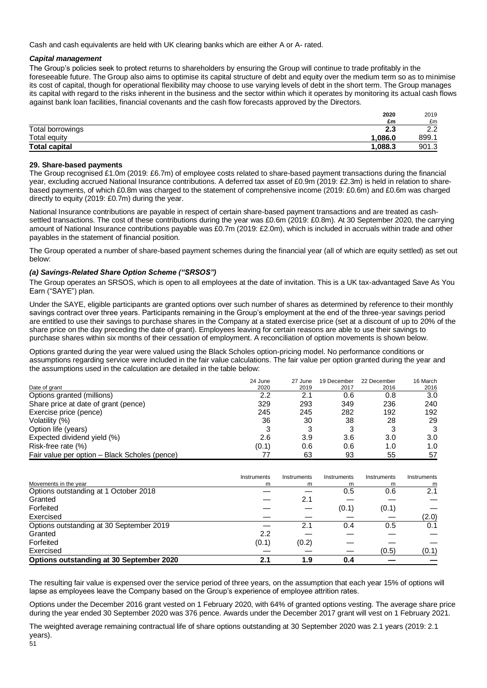Cash and cash equivalents are held with UK clearing banks which are either A or A- rated.

## *Capital management*

The Group's policies seek to protect returns to shareholders by ensuring the Group will continue to trade profitably in the foreseeable future. The Group also aims to optimise its capital structure of debt and equity over the medium term so as to minimise its cost of capital, though for operational flexibility may choose to use varying levels of debt in the short term. The Group manages its capital with regard to the risks inherent in the business and the sector within which it operates by monitoring its actual cash flows against bank loan facilities, financial covenants and the cash flow forecasts approved by the Directors.

|                      | 2020   | 2019      |
|----------------------|--------|-----------|
|                      | £m     | £m        |
| Total borrowings     | 2.3    | າາ<br>2.2 |
| Total equity         | .086.0 | 899.1     |
| <b>Total capital</b> | .088.3 | 901.3     |

#### **29. Share-based payments**

The Group recognised £1.0m (2019: £6.7m) of employee costs related to share-based payment transactions during the financial year, excluding accrued National Insurance contributions. A deferred tax asset of £0.9m (2019: £2.3m) is held in relation to sharebased payments, of which £0.8m was charged to the statement of comprehensive income (2019: £0.6m) and £0.6m was charged directly to equity (2019: £0.7m) during the year.

National Insurance contributions are payable in respect of certain share-based payment transactions and are treated as cashsettled transactions. The cost of these contributions during the year was £0.6m (2019: £0.8m). At 30 September 2020, the carrying amount of National Insurance contributions payable was £0.7m (2019: £2.0m), which is included in accruals within trade and other payables in the statement of financial position.

The Group operated a number of share-based payment schemes during the financial year (all of which are equity settled) as set out below:

#### *(a) Savings-Related Share Option Scheme ("SRSOS")*

The Group operates an SRSOS, which is open to all employees at the date of invitation. This is a UK tax-advantaged Save As You Earn ("SAYE") plan.

Under the SAYE, eligible participants are granted options over such number of shares as determined by reference to their monthly savings contract over three years. Participants remaining in the Group's employment at the end of the three-year savings period are entitled to use their savings to purchase shares in the Company at a stated exercise price (set at a discount of up to 20% of the share price on the day preceding the date of grant). Employees leaving for certain reasons are able to use their savings to purchase shares within six months of their cessation of employment. A reconciliation of option movements is shown below.

Options granted during the year were valued using the Black Scholes option-pricing model. No performance conditions or assumptions regarding service were included in the fair value calculations. The fair value per option granted during the year and the assumptions used in the calculation are detailed in the table below:

|                                               | 24 June | 27 June | 19 December | 22 December | 16 March |
|-----------------------------------------------|---------|---------|-------------|-------------|----------|
| Date of grant                                 | 2020    | 2019    | 2017        | 2016        | 2016     |
| Options granted (millions)                    | 2.2     | 2.1     | 0.6         | 0.8         | 3.0      |
| Share price at date of grant (pence)          | 329     | 293     | 349         | 236         | 240      |
| Exercise price (pence)                        | 245     | 245     | 282         | 192         | 192      |
| Volatility (%)                                | 36      | 30      | 38          | 28          | 29       |
| Option life (years)                           |         |         |             |             | 3        |
| Expected dividend yield (%)                   | 2.6     | 3.9     | 3.6         | 3.0         | 3.0      |
| Risk-free rate (%)                            | (0.1)   | 0.6     | 0.6         | 1.0         | 1.0      |
| Fair value per option – Black Scholes (pence) |         | 63      | 93          | 55          | 57       |

|                                          | Instruments | Instruments | Instruments | Instruments | Instruments |
|------------------------------------------|-------------|-------------|-------------|-------------|-------------|
| Movements in the year                    | m           | m           | m           | m           | m           |
| Options outstanding at 1 October 2018    |             |             | 0.5         | 0.6         | 2.1         |
| Granted                                  |             | 2.1         |             |             |             |
| Forfeited                                |             |             | (0.1)       | (0.1)       |             |
| Exercised                                |             |             |             |             | (2.0)       |
| Options outstanding at 30 September 2019 |             | 2.1         | 0.4         | 0.5         | 0.1         |
| Granted                                  | 2.2         |             |             |             |             |
| Forfeited                                | (0.1)       | (0.2)       |             |             |             |
| Exercised                                |             |             |             | (0.5)       | (0.1)       |
| Options outstanding at 30 September 2020 | 2.1         | 1.9         | 0.4         |             |             |

The resulting fair value is expensed over the service period of three years, on the assumption that each year 15% of options will lapse as employees leave the Company based on the Group's experience of employee attrition rates.

Options under the December 2016 grant vested on 1 February 2020, with 64% of granted options vesting. The average share price during the year ended 30 September 2020 was 376 pence. Awards under the December 2017 grant will vest on 1 February 2021.

The weighted average remaining contractual life of share options outstanding at 30 September 2020 was 2.1 years (2019: 2.1 years).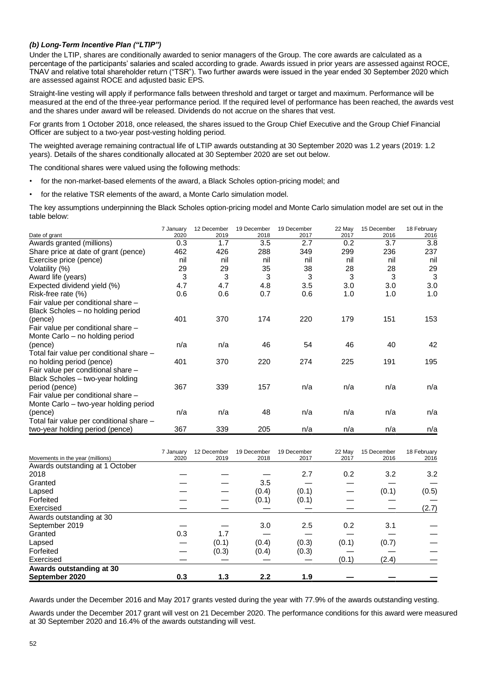# *(b) Long-Term Incentive Plan ("LTIP")*

Under the LTIP, shares are conditionally awarded to senior managers of the Group. The core awards are calculated as a percentage of the participants' salaries and scaled according to grade. Awards issued in prior years are assessed against ROCE, TNAV and relative total shareholder return ("TSR"). Two further awards were issued in the year ended 30 September 2020 which are assessed against ROCE and adjusted basic EPS.

Straight-line vesting will apply if performance falls between threshold and target or target and maximum. Performance will be measured at the end of the three-year performance period. If the required level of performance has been reached, the awards vest and the shares under award will be released. Dividends do not accrue on the shares that vest.

For grants from 1 October 2018, once released, the shares issued to the Group Chief Executive and the Group Chief Financial Officer are subject to a two-year post-vesting holding period.

The weighted average remaining contractual life of LTIP awards outstanding at 30 September 2020 was 1.2 years (2019: 1.2 years). Details of the shares conditionally allocated at 30 September 2020 are set out below.

The conditional shares were valued using the following methods:

- for the non-market-based elements of the award, a Black Scholes option-pricing model; and
- for the relative TSR elements of the award, a Monte Carlo simulation model.

The key assumptions underpinning the Black Scholes option-pricing model and Monte Carlo simulation model are set out in the table below:

|                                                                                                                | 7 January | 12 December | 19 December | 19 December | 22 May | 15 December | 18 February |
|----------------------------------------------------------------------------------------------------------------|-----------|-------------|-------------|-------------|--------|-------------|-------------|
| Date of grant                                                                                                  | 2020      | 2019        | 2018        | 2017        | 2017   | 2016        | 2016        |
| Awards granted (millions)                                                                                      | 0.3       | 1.7         | 3.5         | 2.7         | 0.2    | 3.7         | 3.8         |
| Share price at date of grant (pence)                                                                           | 462       | 426         | 288         | 349         | 299    | 236         | 237         |
| Exercise price (pence)                                                                                         | nil       | nil         | nil         | nil         | nil    | nil         | nil         |
| Volatility (%)                                                                                                 | 29        | 29          | 35          | 38          | 28     | 28          | 29          |
| Award life (years)                                                                                             | 3         | 3           | 3           | 3           | 3      | 3           | 3           |
| Expected dividend yield (%)                                                                                    | 4.7       | 4.7         | 4.8         | 3.5         | 3.0    | 3.0         | 3.0         |
| Risk-free rate (%)                                                                                             | 0.6       | 0.6         | 0.7         | 0.6         | 1.0    | 1.0         | 1.0         |
| Fair value per conditional share -                                                                             |           |             |             |             |        |             |             |
| Black Scholes – no holding period                                                                              |           |             |             |             |        |             |             |
| (pence)                                                                                                        | 401       | 370         | 174         | 220         | 179    | 151         | 153         |
| Fair value per conditional share -                                                                             |           |             |             |             |        |             |             |
| Monte Carlo - no holding period                                                                                |           |             |             |             |        |             |             |
| (pence)                                                                                                        | n/a       | n/a         | 46          | 54          | 46     | 40          | 42          |
| Total fair value per conditional share -                                                                       |           |             |             |             |        |             |             |
| no holding period (pence)                                                                                      | 401       | 370         | 220         | 274         | 225    | 191         | 195         |
| Fair value per conditional share -                                                                             |           |             |             |             |        |             |             |
| Black Scholes - two-year holding                                                                               |           |             |             |             |        |             |             |
| period (pence)                                                                                                 | 367       | 339         | 157         | n/a         | n/a    | n/a         | n/a         |
| Fair value per conditional share -                                                                             |           |             |             |             |        |             |             |
| Monte Carlo - two-year holding period                                                                          |           |             |             |             |        |             |             |
| (pence)                                                                                                        | n/a       | n/a         | 48          | n/a         | n/a    | n/a         | n/a         |
| Total fair value per conditional share -                                                                       |           |             |             |             |        |             |             |
| two-year holding period (pence)                                                                                | 367       | 339         | 205         | n/a         | n/a    | n/a         | n/a         |
|                                                                                                                |           |             |             |             |        |             |             |
|                                                                                                                | 7 January | 12 December | 19 December | 19 December | 22 May | 15 December | 18 February |
| Movements in the year (millions)<br>$\mathbf{r}$ and $\mathbf{r}$ are the set of $\mathbf{r}$ and $\mathbf{r}$ | 2020      | 2019        | 2018        | 2017        | 2017   | 2016        | 2016        |

|                                  | January | IZ DECEIIIDEI | <b>19 DECENIDEI</b> | <u>is nereilinei</u> | ZZ IVIAY | <b>I'D DECETITION</b> | TO I GUIUDIY |
|----------------------------------|---------|---------------|---------------------|----------------------|----------|-----------------------|--------------|
| Movements in the year (millions) | 2020    | 2019          | 2018                | 2017                 | 2017     | 2016                  | 2016         |
| Awards outstanding at 1 October  |         |               |                     |                      |          |                       |              |
| 2018                             |         |               |                     | 2.7                  | 0.2      | 3.2                   | 3.2          |
| Granted                          |         |               | 3.5                 |                      |          |                       |              |
| Lapsed                           |         |               | (0.4)               | (0.1)                |          | (0.1)                 | (0.5)        |
| Forfeited                        |         |               | (0.1)               | (0.1)                |          |                       |              |
| Exercised                        |         |               |                     |                      |          |                       | (2.7)        |
| Awards outstanding at 30         |         |               |                     |                      |          |                       |              |
| September 2019                   |         |               | 3.0                 | 2.5                  | 0.2      | 3.1                   |              |
| Granted                          | 0.3     | 1.7           |                     |                      |          |                       |              |
| Lapsed                           |         | (0.1)         | (0.4)               | (0.3)                | (0.1)    | (0.7)                 |              |
| Forfeited                        |         | (0.3)         | (0.4)               | (0.3)                |          |                       |              |
| Exercised                        |         |               |                     |                      | (0.1)    | (2.4)                 |              |
| Awards outstanding at 30         |         |               |                     |                      |          |                       |              |
| September 2020                   | 0.3     | 1.3           | 2.2                 | 1.9                  |          |                       |              |

Awards under the December 2016 and May 2017 grants vested during the year with 77.9% of the awards outstanding vesting.

Awards under the December 2017 grant will vest on 21 December 2020. The performance conditions for this award were measured at 30 September 2020 and 16.4% of the awards outstanding will vest.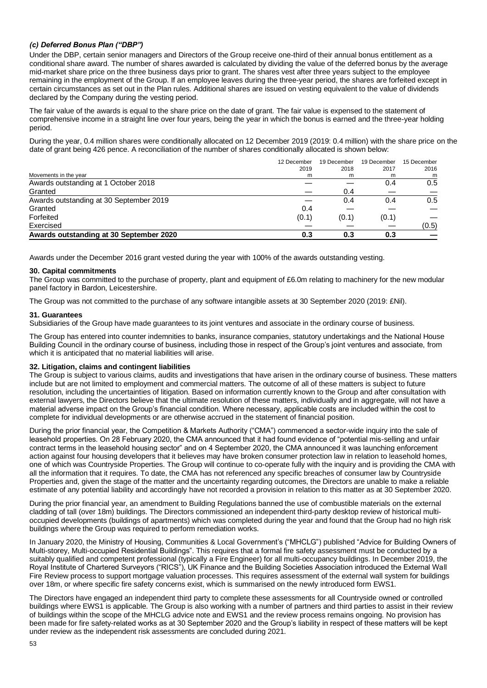# *(c) Deferred Bonus Plan ("DBP")*

Under the DBP, certain senior managers and Directors of the Group receive one-third of their annual bonus entitlement as a conditional share award. The number of shares awarded is calculated by dividing the value of the deferred bonus by the average mid-market share price on the three business days prior to grant. The shares vest after three years subject to the employee remaining in the employment of the Group. If an employee leaves during the three-year period, the shares are forfeited except in certain circumstances as set out in the Plan rules. Additional shares are issued on vesting equivalent to the value of dividends declared by the Company during the vesting period.

The fair value of the awards is equal to the share price on the date of grant. The fair value is expensed to the statement of comprehensive income in a straight line over four years, being the year in which the bonus is earned and the three-year holding period.

During the year, 0.4 million shares were conditionally allocated on 12 December 2019 (2019: 0.4 million) with the share price on the date of grant being 426 pence. A reconciliation of the number of shares conditionally allocated is shown below:

|                                         | 12 December<br>2019 | 19 December<br>2018 | 19 December<br>2017 | 15 December<br>2016 |
|-----------------------------------------|---------------------|---------------------|---------------------|---------------------|
| Movements in the year                   | m                   | m                   | m                   | m                   |
| Awards outstanding at 1 October 2018    |                     |                     | 0.4                 | 0.5                 |
| Granted                                 |                     | 0.4                 |                     |                     |
| Awards outstanding at 30 September 2019 |                     | 0.4                 | 0.4                 | 0.5                 |
| Granted                                 | 0.4                 |                     |                     |                     |
| Forfeited                               | (0.1)               | (0.1)               | (0.1)               |                     |
| Exercised                               |                     |                     |                     | (0.5)               |
| Awards outstanding at 30 September 2020 | 0.3                 | 0.3                 | 0.3                 |                     |

Awards under the December 2016 grant vested during the year with 100% of the awards outstanding vesting.

#### **30. Capital commitments**

The Group was committed to the purchase of property, plant and equipment of £6.0m relating to machinery for the new modular panel factory in Bardon, Leicestershire.

The Group was not committed to the purchase of any software intangible assets at 30 September 2020 (2019: £Nil).

#### **31. Guarantees**

Subsidiaries of the Group have made guarantees to its joint ventures and associate in the ordinary course of business.

The Group has entered into counter indemnities to banks, insurance companies, statutory undertakings and the National House Building Council in the ordinary course of business, including those in respect of the Group's joint ventures and associate, from which it is anticipated that no material liabilities will arise.

#### **32. Litigation, claims and contingent liabilities**

The Group is subject to various claims, audits and investigations that have arisen in the ordinary course of business. These matters include but are not limited to employment and commercial matters. The outcome of all of these matters is subject to future resolution, including the uncertainties of litigation. Based on information currently known to the Group and after consultation with external lawyers, the Directors believe that the ultimate resolution of these matters, individually and in aggregate, will not have a material adverse impact on the Group's financial condition. Where necessary, applicable costs are included within the cost to complete for individual developments or are otherwise accrued in the statement of financial position.

During the prior financial year, the Competition & Markets Authority ("CMA") commenced a sector-wide inquiry into the sale of leasehold properties. On 28 February 2020, the CMA announced that it had found evidence of "potential mis-selling and unfair contract terms in the leasehold housing sector" and on 4 September 2020, the CMA announced it was launching enforcement action against four housing developers that it believes may have broken consumer protection law in relation to leasehold homes, one of which was Countryside Properties. The Group will continue to co-operate fully with the inquiry and is providing the CMA with all the information that it requires. To date, the CMA has not referenced any specific breaches of consumer law by Countryside Properties and, given the stage of the matter and the uncertainty regarding outcomes, the Directors are unable to make a reliable estimate of any potential liability and accordingly have not recorded a provision in relation to this matter as at 30 September 2020.

During the prior financial year, an amendment to Building Regulations banned the use of combustible materials on the external cladding of tall (over 18m) buildings. The Directors commissioned an independent third-party desktop review of historical multioccupied developments (buildings of apartments) which was completed during the year and found that the Group had no high risk buildings where the Group was required to perform remediation works.

In January 2020, the Ministry of Housing, Communities & Local Government's ("MHCLG") published "Advice for Building Owners of Multi-storey, Multi-occupied Residential Buildings". This requires that a formal fire safety assessment must be conducted by a suitably qualified and competent professional (typically a Fire Engineer) for all multi-occupancy buildings. In December 2019, the Royal Institute of Chartered Surveyors ("RICS"), UK Finance and the Building Societies Association introduced the External Wall Fire Review process to support mortgage valuation processes. This requires assessment of the external wall system for buildings over 18m, or where specific fire safety concerns exist, which is summarised on the newly introduced form EWS1.

The Directors have engaged an independent third party to complete these assessments for all Countryside owned or controlled buildings where EWS1 is applicable. The Group is also working with a number of partners and third parties to assist in their review of buildings within the scope of the MHCLG advice note and EWS1 and the review process remains ongoing. No provision has been made for fire safety-related works as at 30 September 2020 and the Group's liability in respect of these matters will be kept under review as the independent risk assessments are concluded during 2021.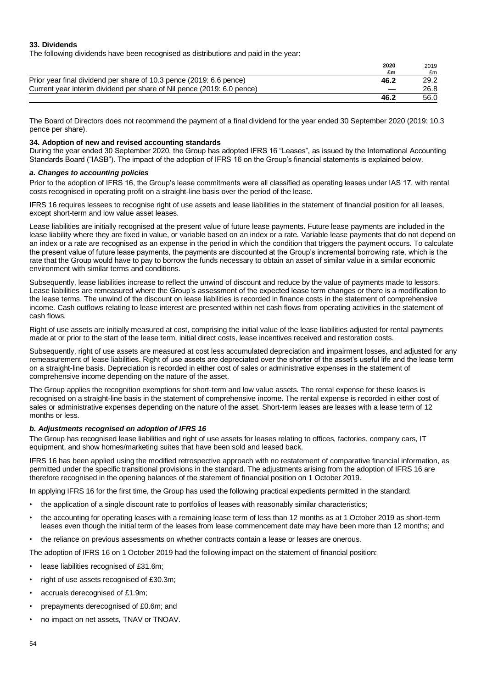#### **33. Dividends**

The following dividends have been recognised as distributions and paid in the year:

|                                                                        | 2020 | 2019 |
|------------------------------------------------------------------------|------|------|
|                                                                        | £m   | £m   |
| Prior year final dividend per share of 10.3 pence (2019: 6.6 pence)    | 46.2 | 29.2 |
| Current year interim dividend per share of Nil pence (2019: 6.0 pence) |      | 26.8 |
|                                                                        | 46.2 | 56.0 |

The Board of Directors does not recommend the payment of a final dividend for the year ended 30 September 2020 (2019: 10.3 pence per share).

#### **34. Adoption of new and revised accounting standards**

During the year ended 30 September 2020, the Group has adopted IFRS 16 "Leases", as issued by the International Accounting Standards Board ("IASB"). The impact of the adoption of IFRS 16 on the Group's financial statements is explained below.

#### *a. Changes to accounting policies*

Prior to the adoption of IFRS 16, the Group's lease commitments were all classified as operating leases under IAS 17, with rental costs recognised in operating profit on a straight-line basis over the period of the lease.

IFRS 16 requires lessees to recognise right of use assets and lease liabilities in the statement of financial position for all leases, except short-term and low value asset leases.

Lease liabilities are initially recognised at the present value of future lease payments. Future lease payments are included in the lease liability where they are fixed in value, or variable based on an index or a rate. Variable lease payments that do not depend on an index or a rate are recognised as an expense in the period in which the condition that triggers the payment occurs. To calculate the present value of future lease payments, the payments are discounted at the Group's incremental borrowing rate, which is the rate that the Group would have to pay to borrow the funds necessary to obtain an asset of similar value in a similar economic environment with similar terms and conditions.

Subsequently, lease liabilities increase to reflect the unwind of discount and reduce by the value of payments made to lessors. Lease liabilities are remeasured where the Group's assessment of the expected lease term changes or there is a modification to the lease terms. The unwind of the discount on lease liabilities is recorded in finance costs in the statement of comprehensive income. Cash outflows relating to lease interest are presented within net cash flows from operating activities in the statement of cash flows.

Right of use assets are initially measured at cost, comprising the initial value of the lease liabilities adjusted for rental payments made at or prior to the start of the lease term, initial direct costs, lease incentives received and restoration costs.

Subsequently, right of use assets are measured at cost less accumulated depreciation and impairment losses, and adjusted for any remeasurement of lease liabilities. Right of use assets are depreciated over the shorter of the asset's useful life and the lease term on a straight-line basis. Depreciation is recorded in either cost of sales or administrative expenses in the statement of comprehensive income depending on the nature of the asset.

The Group applies the recognition exemptions for short-term and low value assets. The rental expense for these leases is recognised on a straight-line basis in the statement of comprehensive income. The rental expense is recorded in either cost of sales or administrative expenses depending on the nature of the asset. Short-term leases are leases with a lease term of 12 months or less.

#### *b. Adjustments recognised on adoption of IFRS 16*

The Group has recognised lease liabilities and right of use assets for leases relating to offices, factories, company cars, IT equipment, and show homes/marketing suites that have been sold and leased back.

IFRS 16 has been applied using the modified retrospective approach with no restatement of comparative financial information, as permitted under the specific transitional provisions in the standard. The adjustments arising from the adoption of IFRS 16 are therefore recognised in the opening balances of the statement of financial position on 1 October 2019.

In applying IFRS 16 for the first time, the Group has used the following practical expedients permitted in the standard:

- the application of a single discount rate to portfolios of leases with reasonably similar characteristics;
- the accounting for operating leases with a remaining lease term of less than 12 months as at 1 October 2019 as short-term leases even though the initial term of the leases from lease commencement date may have been more than 12 months; and
- the reliance on previous assessments on whether contracts contain a lease or leases are onerous.

The adoption of IFRS 16 on 1 October 2019 had the following impact on the statement of financial position:

- lease liabilities recognised of £31.6m;
- right of use assets recognised of £30.3m;
- accruals derecognised of £1.9m;
- prepayments derecognised of £0.6m; and
- no impact on net assets, TNAV or TNOAV.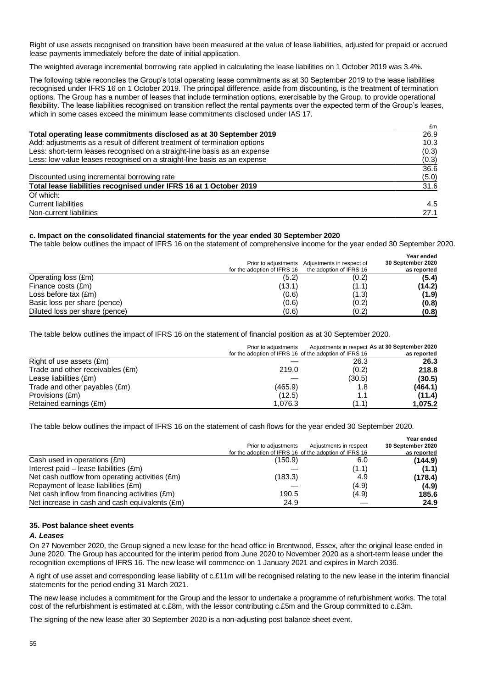Right of use assets recognised on transition have been measured at the value of lease liabilities, adjusted for prepaid or accrued lease payments immediately before the date of initial application.

The weighted average incremental borrowing rate applied in calculating the lease liabilities on 1 October 2019 was 3.4%.

The following table reconciles the Group's total operating lease commitments as at 30 September 2019 to the lease liabilities recognised under IFRS 16 on 1 October 2019. The principal difference, aside from discounting, is the treatment of termination options. The Group has a number of leases that include termination options, exercisable by the Group, to provide operational flexibility. The lease liabilities recognised on transition reflect the rental payments over the expected term of the Group's leases. which in some cases exceed the minimum lease commitments disclosed under IAS 17.

|                                                                            | £m    |
|----------------------------------------------------------------------------|-------|
| Total operating lease commitments disclosed as at 30 September 2019        | 26.9  |
| Add: adjustments as a result of different treatment of termination options | 10.3  |
| Less: short-term leases recognised on a straight-line basis as an expense  | (0.3) |
| Less: low value leases recognised on a straight-line basis as an expense   | (0.3) |
|                                                                            | 36.6  |
| Discounted using incremental borrowing rate                                | (5.0) |
| Total lease liabilities recognised under IFRS 16 at 1 October 2019         | 31.6  |
| Of which:                                                                  |       |
| <b>Current liabilities</b>                                                 | 4.5   |
| Non-current liabilities                                                    | 27.1  |

#### **c. Impact on the consolidated financial statements for the year ended 30 September 2020**

The table below outlines the impact of IFRS 16 on the statement of comprehensive income for the year ended 30 September 2020.

|                                |                             |                                                | Year ended        |
|--------------------------------|-----------------------------|------------------------------------------------|-------------------|
|                                |                             | Prior to adjustments Adjustments in respect of | 30 September 2020 |
|                                | for the adoption of IFRS 16 | the adoption of IFRS 16                        | as reported       |
| Operating loss (£m)            | (5.2)                       | (0.2)                                          | (5.4)             |
| Finance costs (£m)             | (13.1)                      | (1.1)                                          | (14.2)            |
| Loss before $tax$ $(Em)$       | (0.6)                       | (1.3)                                          | (1.9)             |
| Basic loss per share (pence)   | (0.6)                       | (0.2)                                          | (0.8)             |
| Diluted loss per share (pence) | (0.6)                       | (0.2)                                          | (0.8)             |

The table below outlines the impact of IFRS 16 on the statement of financial position as at 30 September 2020.

|                                  | Prior to adjustments<br>for the adoption of IFRS 16 of the adoption of IFRS 16 |        | Adjustments in respect As at 30 September 2020<br>as reported |
|----------------------------------|--------------------------------------------------------------------------------|--------|---------------------------------------------------------------|
| Right of use assets (£m)         |                                                                                | 26.3   | 26.3                                                          |
| Trade and other receivables (£m) | 219.0                                                                          | (0.2)  | 218.8                                                         |
| Lease liabilities (£m)           |                                                                                | (30.5) | (30.5)                                                        |
| Trade and other payables (£m)    | (465.9)                                                                        | 1.8    | (464.1)                                                       |
| Provisions (£m)                  | (12.5)                                                                         | 1.1    | (11.4)                                                        |
| Retained earnings (£m)           | 1.076.3                                                                        | (1.1)  | 1,075.2                                                       |

The table below outlines the impact of IFRS 16 on the statement of cash flows for the year ended 30 September 2020.

|                                                 |                                                        |                        | Year ended        |
|-------------------------------------------------|--------------------------------------------------------|------------------------|-------------------|
|                                                 | Prior to adjustments                                   | Adjustments in respect | 30 September 2020 |
|                                                 | for the adoption of IFRS 16 of the adoption of IFRS 16 |                        | as reported       |
| Cash used in operations (£m)                    | (150.9)                                                | 6.0                    | (144.9)           |
| Interest paid $-$ lease liabilities $(f.m)$     |                                                        | (1.1)                  | (1.1)             |
| Net cash outflow from operating activities (£m) | (183.3)                                                | 4.9                    | (178.4)           |
| Repayment of lease liabilities (£m)             |                                                        | (4.9)                  | (4.9)             |
| Net cash inflow from financing activities (£m)  | 190.5                                                  | (4.9)                  | 185.6             |
| Net increase in cash and cash equivalents (£m)  | 24.9                                                   |                        | 24.9              |

#### **35. Post balance sheet events**

#### *A. Leases*

On 27 November 2020, the Group signed a new lease for the head office in Brentwood, Essex, after the original lease ended in June 2020. The Group has accounted for the interim period from June 2020 to November 2020 as a short-term lease under the recognition exemptions of IFRS 16. The new lease will commence on 1 January 2021 and expires in March 2036.

A right of use asset and corresponding lease liability of c.£11m will be recognised relating to the new lease in the interim financial statements for the period ending 31 March 2021.

The new lease includes a commitment for the Group and the lessor to undertake a programme of refurbishment works. The total cost of the refurbishment is estimated at c.£8m, with the lessor contributing c.£5m and the Group committed to c.£3m.

The signing of the new lease after 30 September 2020 is a non-adjusting post balance sheet event.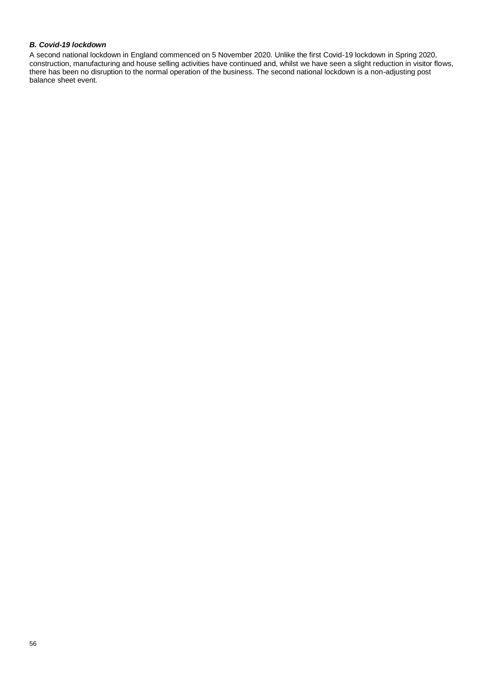# *B. Covid-19 lockdown*

A second national lockdown in England commenced on 5 November 2020. Unlike the first Covid-19 lockdown in Spring 2020, construction, manufacturing and house selling activities have continued and, whilst we have seen a slight reduction in visitor flows, there has been no disruption to the normal operation of the business. The second national lockdown is a non-adjusting post balance sheet event.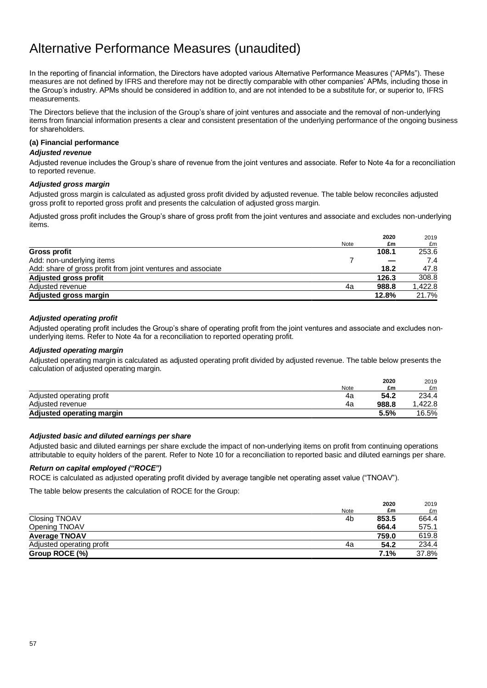# Alternative Performance Measures (unaudited)

In the reporting of financial information, the Directors have adopted various Alternative Performance Measures ("APMs"). These measures are not defined by IFRS and therefore may not be directly comparable with other companies' APMs, including those in the Group's industry. APMs should be considered in addition to, and are not intended to be a substitute for, or superior to, IFRS measurements.

The Directors believe that the inclusion of the Group's share of joint ventures and associate and the removal of non-underlying items from financial information presents a clear and consistent presentation of the underlying performance of the ongoing business for shareholders.

# **(a) Financial performance**

### *Adjusted revenue*

Adjusted revenue includes the Group's share of revenue from the joint ventures and associate. Refer to Note 4a for a reconciliation to reported revenue.

# *Adjusted gross margin*

Adjusted gross margin is calculated as adjusted gross profit divided by adjusted revenue. The table below reconciles adjusted gross profit to reported gross profit and presents the calculation of adjusted gross margin.

Adjusted gross profit includes the Group's share of gross profit from the joint ventures and associate and excludes non-underlying items.

|                                                              |      | 2020  | 2019    |
|--------------------------------------------------------------|------|-------|---------|
|                                                              | Note | £m    | £m      |
| <b>Gross profit</b>                                          |      | 108.1 | 253.6   |
| Add: non-underlying items                                    |      |       | 7.4     |
| Add: share of gross profit from joint ventures and associate |      | 18.2  | 47.8    |
| <b>Adjusted gross profit</b>                                 |      | 126.3 | 308.8   |
| Adjusted revenue                                             | 4a   | 988.8 | 1,422.8 |
| Adjusted gross margin                                        |      | 12.8% | 21.7%   |

# *Adjusted operating profit*

Adjusted operating profit includes the Group's share of operating profit from the joint ventures and associate and excludes nonunderlying items. Refer to Note 4a for a reconciliation to reported operating profit.

#### *Adjusted operating margin*

Adjusted operating margin is calculated as adjusted operating profit divided by adjusted revenue. The table below presents the calculation of adjusted operating margin.

|                           |      | 2020  | 2019   |
|---------------------------|------|-------|--------|
|                           | Note | £m    | £m     |
| Adjusted operating profit | 4a   | 54.2  | 234.4  |
| Adjusted revenue          | 4a   | 988.8 | .422.8 |
| Adjusted operating margin |      | 5.5%  | 16.5%  |

# *Adjusted basic and diluted earnings per share*

Adjusted basic and diluted earnings per share exclude the impact of non-underlying items on profit from continuing operations attributable to equity holders of the parent. Refer to Note 10 for a reconciliation to reported basic and diluted earnings per share.

#### *Return on capital employed ("ROCE")*

ROCE is calculated as adjusted operating profit divided by average tangible net operating asset value ("TNOAV").

The table below presents the calculation of ROCE for the Group:

|                           |      | 2020  | 2019  |
|---------------------------|------|-------|-------|
|                           | Note | £m    | £m    |
| Closing TNOAV             | 4b   | 853.5 | 664.4 |
| Opening TNOAV             |      | 664.4 | 575.1 |
| <b>Average TNOAV</b>      |      | 759.0 | 619.8 |
| Adjusted operating profit | 4a   | 54.2  | 234.4 |
| Group ROCE (%)            |      | 7.1%  | 37.8% |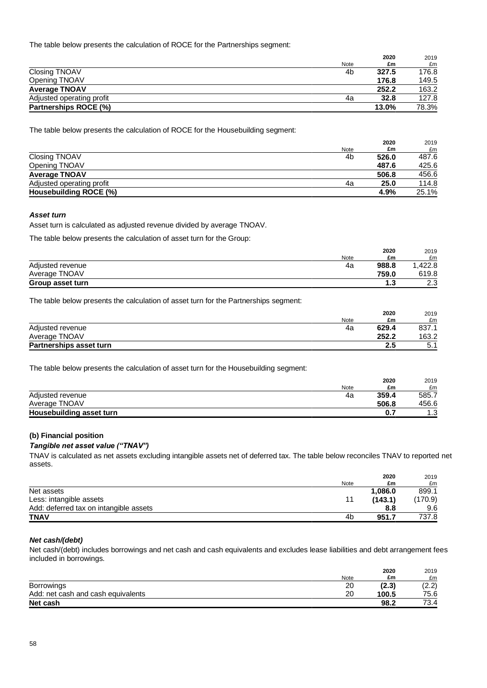The table below presents the calculation of ROCE for the Partnerships segment:

|                           |      | 2020  | 2019  |
|---------------------------|------|-------|-------|
|                           | Note | £m    | £m    |
| Closing TNOAV             | 4b   | 327.5 | 176.8 |
| Opening TNOAV             |      | 176.8 | 149.5 |
| <b>Average TNOAV</b>      |      | 252.2 | 163.2 |
| Adjusted operating profit | 4a   | 32.8  | 127.8 |
| Partnerships ROCE (%)     |      | 13.0% | 78.3% |

The table below presents the calculation of ROCE for the Housebuilding segment:

|                           |      | 2020  | 2019  |
|---------------------------|------|-------|-------|
|                           | Note | £m    | £m    |
| Closing TNOAV             | 4b   | 526.0 | 487.6 |
| Opening TNOAV             |      | 487.6 | 425.6 |
| <b>Average TNOAV</b>      |      | 506.8 | 456.6 |
| Adjusted operating profit | 4a   | 25.0  | 114.8 |
| Housebuilding ROCE (%)    |      | 4.9%  | 25.1% |

### *Asset turn*

Asset turn is calculated as adjusted revenue divided by average TNOAV.

The table below presents the calculation of asset turn for the Group:

|                  |      | 2020           | 2019      |
|------------------|------|----------------|-----------|
|                  | Note | £m             | £m        |
| Adjusted revenue | 4a   | 988.8          | .422.8    |
| Average TNOAV    |      | 759.0          | 619.8     |
| Group asset turn |      | $\mathbf{1.3}$ | າາ<br>د.∠ |
|                  |      |                |           |

The table below presents the calculation of asset turn for the Partnerships segment:

|                                |      | 2020  | 2019        |
|--------------------------------|------|-------|-------------|
|                                | Note | £m    | £m          |
| Adjusted revenue               | 4a   | 629.4 | 837.1       |
| Average TNOAV                  |      | 252.2 | 163.2       |
| <b>Partnerships asset turn</b> |      | 2.5   | 51<br>ا ، ن |

The table below presents the calculation of asset turn for the Housebuilding segment:

|                          |      | 2020  | 2019  |
|--------------------------|------|-------|-------|
|                          | Note | £m    | £m    |
| Adjusted revenue         | 4a   | 359.4 | 585.7 |
| Average TNOAV            |      | 506.8 | 456.6 |
| Housebuilding asset turn |      | 0.7   | 1.3   |

# **(b) Financial position**

# *Tangible net asset value ("TNAV")*

TNAV is calculated as net assets excluding intangible assets net of deferred tax. The table below reconciles TNAV to reported net assets.

|                                        |                | 2020    | 2019    |
|----------------------------------------|----------------|---------|---------|
|                                        | Note           | £m      | £m      |
| Net assets                             |                | 1.086.0 | 899.1   |
| Less: intangible assets                | 11             | (143.1) | (170.9) |
| Add: deferred tax on intangible assets |                | 8.8     | 9.6     |
| <b>TNAV</b>                            | 4 <sub>b</sub> | 951.7   | 737.8   |

# *Net cash/(debt)*

Net cash/(debt) includes borrowings and net cash and cash equivalents and excludes lease liabilities and debt arrangement fees included in borrowings.

|                                    |      | 2020  | 2019  |
|------------------------------------|------|-------|-------|
|                                    | Note | £m    | £m    |
| Borrowings                         | 20   | (2.3) | (2.2) |
| Add: net cash and cash equivalents | 20   | 100.5 | 75.6  |
| Net cash                           |      | 98.2  | 73.4  |